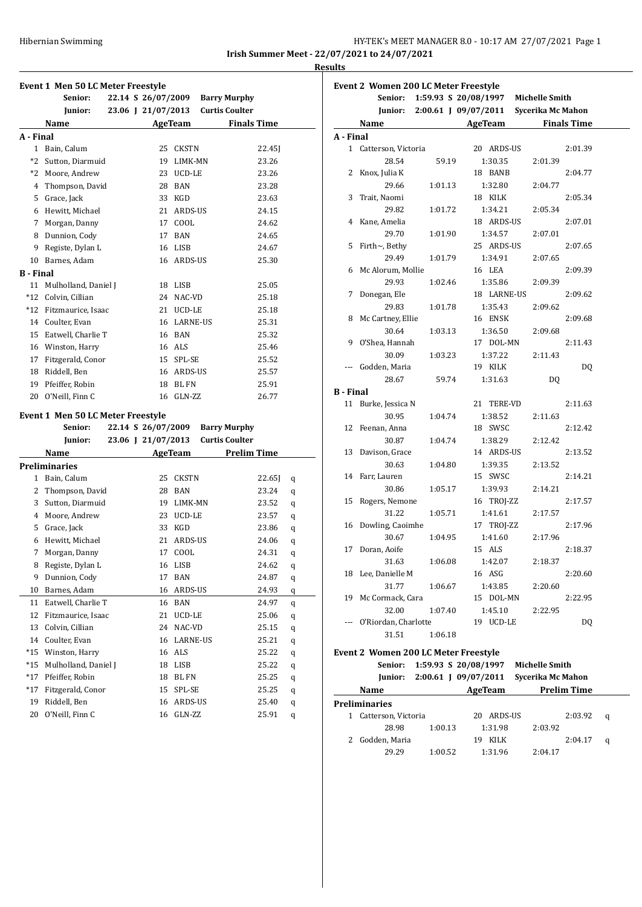|                                              | HY-TEK's MEET MANAGER 8.0 - 10:17 AM 27/07/2021 Page 1 |  |  |
|----------------------------------------------|--------------------------------------------------------|--|--|
| Irish Summer Meet - 22/07/2021 to 24/07/2021 |                                                        |  |  |
|                                              |                                                        |  |  |

**Results**

|                                   | <b>Event 1 Men 50 LC Meter Freestyle</b> |  |  |                    |             |                |                                              |        |  |  |
|-----------------------------------|------------------------------------------|--|--|--------------------|-------------|----------------|----------------------------------------------|--------|--|--|
|                                   | Senior:                                  |  |  | 22.14 S 26/07/2009 |             |                | <b>Barry Murphy</b>                          |        |  |  |
|                                   | Junior:                                  |  |  | 23.06 J 21/07/2013 |             |                | <b>Curtis Coulter</b>                        |        |  |  |
|                                   | Name                                     |  |  |                    |             | <b>AgeTeam</b> | <b>Finals Time</b>                           |        |  |  |
| A - Final                         |                                          |  |  |                    |             |                |                                              |        |  |  |
|                                   | 1 Bain, Calum                            |  |  |                    | 25 CKSTN    |                | 22.45]                                       |        |  |  |
|                                   | *2 Sutton, Diarmuid                      |  |  |                    | 19 LIMK-MN  |                | 23.26                                        |        |  |  |
|                                   | *2 Moore, Andrew                         |  |  |                    | 23 UCD-LE   |                | 23.26                                        |        |  |  |
|                                   | 4 Thompson, David                        |  |  |                    | 28 BAN      |                | 23.28                                        |        |  |  |
|                                   | 5 Grace, Jack                            |  |  |                    | 33 KGD      |                | 23.63                                        |        |  |  |
|                                   | 6 Hewitt, Michael                        |  |  |                    | 21 ARDS-US  |                | 24.15                                        |        |  |  |
|                                   | 7 Morgan, Danny                          |  |  |                    | 17 COOL     |                | 24.62                                        |        |  |  |
|                                   | 8 Dunnion, Cody                          |  |  |                    | 17 BAN      |                | 24.65                                        |        |  |  |
|                                   | 9 Registe, Dylan L                       |  |  |                    | 16 LISB     |                | 24.67                                        |        |  |  |
|                                   | 10 Barnes, Adam                          |  |  |                    | 16 ARDS-US  |                | 25.30                                        |        |  |  |
| <b>B</b> - Final                  |                                          |  |  |                    |             |                |                                              |        |  |  |
|                                   | 11 Mulholland, Daniel J                  |  |  |                    | 18 LISB     |                | 25.05                                        |        |  |  |
|                                   | *12 Colvin, Cillian                      |  |  |                    | 24 NAC-VD   |                | 25.18                                        |        |  |  |
|                                   | *12 Fitzmaurice, Isaac                   |  |  |                    | 21 UCD-LE   |                | 25.18                                        |        |  |  |
|                                   | 14 Coulter, Evan                         |  |  |                    | 16 LARNE-US |                | 25.31                                        |        |  |  |
|                                   | 15 Eatwell, Charlie T                    |  |  |                    | 16 BAN      |                | 25.32                                        |        |  |  |
|                                   | 16 Winston, Harry                        |  |  |                    | 16 ALS      |                | 25.46                                        |        |  |  |
|                                   | 17 Fitzgerald, Conor                     |  |  |                    | 15 SPL-SE   |                | 25.52                                        |        |  |  |
|                                   | 18 Riddell, Ben                          |  |  |                    | 16 ARDS-US  |                | 25.57                                        |        |  |  |
|                                   | 19 Pfeiffer, Robin                       |  |  |                    | 18 BL FN    |                | 25.91                                        |        |  |  |
|                                   | 20 O'Neill, Finn C                       |  |  |                    | 16 GLN-ZZ   |                | 26.77                                        |        |  |  |
|                                   |                                          |  |  |                    |             |                |                                              |        |  |  |
| Event 1 Men 50 LC Meter Freestyle |                                          |  |  |                    |             |                |                                              |        |  |  |
|                                   |                                          |  |  |                    |             |                |                                              |        |  |  |
|                                   | Senior:                                  |  |  | 22.14 S 26/07/2009 |             |                | <b>Barry Murphy</b><br><b>Curtis Coulter</b> |        |  |  |
|                                   | Junior:                                  |  |  | 23.06 J 21/07/2013 |             |                |                                              |        |  |  |
|                                   | Name                                     |  |  |                    | AgeTeam     |                | <b>Prelim Time</b>                           |        |  |  |
|                                   | <b>Preliminaries</b><br>1 Bain, Calum    |  |  |                    | 25 CKSTN    |                |                                              |        |  |  |
|                                   |                                          |  |  |                    | 28 BAN      |                | 22.65J<br>23.24                              | q      |  |  |
|                                   | 2 Thompson, David<br>3 Sutton, Diarmuid  |  |  |                    | 19 LIMK-MN  |                | 23.52                                        | q      |  |  |
|                                   | 4 Moore, Andrew                          |  |  | 23                 | UCD-LE      |                | 23.57                                        | q      |  |  |
|                                   | 5 Grace, Jack                            |  |  |                    | 33 KGD      |                | 23.86                                        | q<br>q |  |  |
|                                   | 6 Hewitt, Michael                        |  |  | 21                 | ARDS-US     |                | 24.06                                        | q      |  |  |
| 7                                 | Morgan, Danny                            |  |  |                    | 17 COOL     |                | 24.31                                        |        |  |  |
| 8                                 |                                          |  |  |                    |             |                | 24.62                                        | q      |  |  |
| 9                                 | Registe, Dylan L<br>Dunnion, Cody        |  |  | 16<br>17           | LISB<br>BAN |                | 24.87                                        | q      |  |  |
| 10                                | Barnes, Adam                             |  |  | 16                 | ARDS-US     |                | 24.93                                        | q      |  |  |
| 11                                | Eatwell, Charlie T                       |  |  | 16                 | BAN         |                | 24.97                                        | q      |  |  |
| 12                                | Fitzmaurice, Isaac                       |  |  | 21                 | UCD-LE      |                | 25.06                                        | q      |  |  |
| 13                                | Colvin, Cillian                          |  |  | 24                 | NAC-VD      |                | 25.15                                        | q      |  |  |
| 14                                | Coulter, Evan                            |  |  | 16                 | LARNE-US    |                |                                              | q      |  |  |
| $*15$                             | Winston, Harry                           |  |  | 16                 | ALS         |                | 25.21<br>25.22                               | q      |  |  |
| *15                               | Mulholland, Daniel J                     |  |  | 18                 | LISB        |                | 25.22                                        | q      |  |  |
| $*17$                             | Pfeiffer, Robin                          |  |  | 18                 | BL FN       |                | 25.25                                        | q      |  |  |
| $*17$                             | Fitzgerald, Conor                        |  |  | 15                 | SPL-SE      |                | 25.25                                        | q      |  |  |
| 19                                | Riddell, Ben                             |  |  | 16                 | ARDS-US     |                | 25.40                                        | q<br>q |  |  |

|                  | <b>Event 2 Women 200 LC Meter Freestyle</b><br>Senior: |                      | 1:59.93 S 20/08/1997 | <b>Michelle Smith</b>                  |                    |
|------------------|--------------------------------------------------------|----------------------|----------------------|----------------------------------------|--------------------|
|                  |                                                        |                      |                      | 2:00.61 J 09/07/2011 Sycerika Mc Mahon |                    |
|                  | Junior:                                                |                      |                      |                                        |                    |
|                  | Name                                                   |                      |                      | AgeTeam Finals Time                    |                    |
| A - Final        |                                                        |                      |                      |                                        |                    |
|                  | 1 Catterson, Victoria                                  |                      | 20 ARDS-US           |                                        | 2:01.39            |
|                  | 28.54                                                  | 59.19                | 1:30.35              | 2:01.39                                |                    |
|                  | 2 Knox, Julia K                                        |                      | 18 BANB              |                                        | 2:04.77            |
|                  | 29.66                                                  | 1:01.13              | 1:32.80              | 2:04.77                                |                    |
| 3                | Trait, Naomi                                           |                      | 18 KILK              |                                        | 2:05.34            |
|                  | 29.82                                                  | 1:01.72              | 1:34.21              | 2:05.34                                |                    |
| 4                | Kane, Amelia                                           |                      | 18 ARDS-US           |                                        | 2:07.01            |
|                  | 29.70                                                  | 1:01.90              | 1:34.57              | 2:07.01                                |                    |
| 5                | Firth~, Bethy                                          |                      | 25 ARDS-US           |                                        | 2:07.65            |
|                  | 29.49                                                  | 1:01.79              | 1:34.91              | 2:07.65                                |                    |
|                  | 6 Mc Alorum, Mollie                                    |                      | 16 LEA               |                                        | 2:09.39            |
|                  | 29.93                                                  | 1:02.46              | 1:35.86              | 2:09.39                                |                    |
|                  | 7 Donegan, Ele                                         |                      | 18 LARNE-US          |                                        | 2:09.62            |
|                  | 29.83                                                  | 1:01.78              | 1:35.43              | 2:09.62                                |                    |
|                  | 8 Mc Cartney, Ellie                                    |                      | 16 ENSK              |                                        | 2:09.68            |
|                  | 30.64                                                  | 1:03.13              | 1:36.50              | 2:09.68                                |                    |
|                  | 9 O'Shea, Hannah                                       |                      | 17 DOL-MN            |                                        | 2:11.43            |
|                  | 30.09                                                  | 1:03.23              | 1:37.22              | 2:11.43                                |                    |
| ---              | Godden, Maria                                          |                      | 19 KILK              |                                        | DQ                 |
|                  | 28.67                                                  | 59.74                | 1:31.63              | DQ                                     |                    |
| <b>B</b> - Final |                                                        |                      |                      |                                        |                    |
|                  | 11 Burke, Jessica N                                    |                      | 21 TERE-VD           |                                        | 2:11.63            |
|                  | 30.95                                                  | 1:04.74              | 1:38.52              | 2:11.63                                |                    |
|                  | 12 Feenan, Anna                                        |                      | 18 SWSC              |                                        | 2:12.42            |
|                  | 30.87                                                  | 1:04.74              | 1:38.29              | 2:12.42                                |                    |
|                  | 13 Davison, Grace                                      |                      | 14 ARDS-US           |                                        | 2:13.52            |
|                  | 30.63                                                  | 1:04.80              | 1:39.35              | 2:13.52                                |                    |
|                  | 14 Farr, Lauren                                        |                      | 15 SWSC              |                                        | 2:14.21            |
|                  | 30.86                                                  | 1:05.17              | 1:39.93              | 2:14.21                                |                    |
|                  | 15 Rogers, Nemone                                      |                      | 16 TROJ-ZZ           |                                        | 2:17.57            |
|                  | 31.22                                                  | 1:05.71              | 1:41.61              | 2:17.57                                |                    |
| 16               | Dowling, Caoimhe                                       |                      | 17 TROJ-ZZ           |                                        | 2:17.96            |
|                  | 30.67                                                  | 1:04.95              | 1:41.60              | 2:17.96                                |                    |
| 17               | Doran, Aoife                                           |                      | 15 ALS               |                                        | 2:18.37            |
|                  | 31.63                                                  | 1:06.08              | 1:42.07              | 2:18.37                                |                    |
|                  | 18 Lee, Danielle M                                     |                      | 16 ASG               |                                        | 2:20.60            |
|                  | 31.77                                                  | 1:06.67              | 1:43.85              | 2:20.60                                |                    |
|                  | 19 Mc Cormack, Cara                                    |                      | 15 DOL-MN            |                                        | 2:22.95            |
|                  | 32.00                                                  | 1:07.40              | 1:45.10              | 2:22.95                                |                    |
|                  | --- O'Riordan, Charlotte                               |                      | 19 UCD-LE            |                                        | DQ                 |
|                  | 31.51                                                  | 1:06.18              |                      |                                        |                    |
|                  |                                                        |                      |                      |                                        |                    |
|                  | <b>Event 2 Women 200 LC Meter Freestyle</b>            |                      |                      |                                        |                    |
|                  | Senior:                                                | 1:59.93 S 20/08/1997 |                      | <b>Michelle Smith</b>                  |                    |
|                  | <b>Iunior:</b>                                         | 2:00.61 J 09/07/2011 |                      | Sycerika Mc Mahon                      |                    |
|                  | <b>Name</b>                                            |                      | <b>AgeTeam</b>       |                                        | <b>Prelim Time</b> |

| Name                  |         | AgeTeam    | <b>Prelim Time</b> |   |
|-----------------------|---------|------------|--------------------|---|
| <b>Preliminaries</b>  |         |            |                    |   |
| 1 Catterson, Victoria |         | 20 ARDS-US | 2:03.92            | a |
| 28.98                 | 1:00.13 | 1:31.98    | 2:03.92            |   |
| 2 Godden, Maria       |         | KILK<br>19 | 2:04.17            | a |
| 29.29                 | 1:00.52 | 1:31.96    | 2:04.17            |   |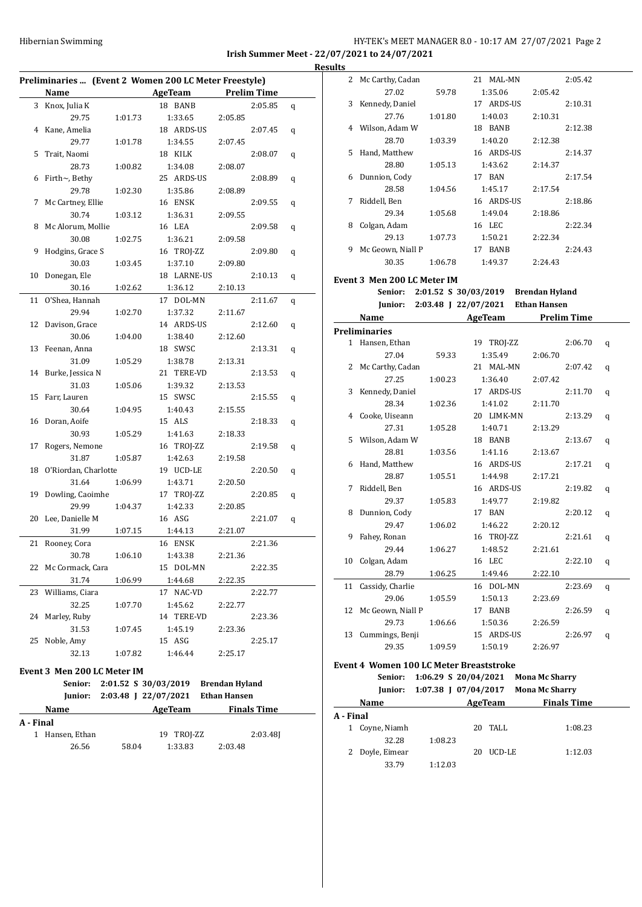# HY-TEK's MEET MANAGER 8.0 - 10:17 AM 27/07/2021 Page 2 **Irish Summer Meet - 22/07/2021 to 24/07/2021**

| Preliminaries  (Event 2 Women 200 LC Meter Freestyle) |                             |         |                                     |         |                    |   |  |
|-------------------------------------------------------|-----------------------------|---------|-------------------------------------|---------|--------------------|---|--|
|                                                       | Name                        |         | AgeTeam                             |         | <b>Prelim Time</b> |   |  |
|                                                       | 3 Knox, Julia K             |         | 18 BANB                             |         | 2:05.85            | q |  |
|                                                       | 29.75                       | 1:01.73 | 1:33.65                             | 2:05.85 |                    |   |  |
| 4                                                     | Kane, Amelia                |         | 18 ARDS-US                          |         | 2:07.45            | q |  |
|                                                       | 29.77                       | 1:01.78 | 1:34.55                             | 2:07.45 |                    |   |  |
| 5                                                     | Trait, Naomi                |         | 18 KILK                             |         | 2:08.07            | q |  |
|                                                       | 28.73                       | 1:00.82 | 1:34.08                             | 2:08.07 |                    |   |  |
| 6                                                     | Firth $\sim$ , Bethy        |         | 25 ARDS-US                          |         | 2:08.89            | q |  |
|                                                       | 29.78                       | 1:02.30 | 1:35.86                             | 2:08.89 |                    |   |  |
| 7                                                     | Mc Cartney, Ellie           |         | 16 ENSK                             |         | 2:09.55            | q |  |
|                                                       | 30.74                       | 1:03.12 | 1:36.31                             | 2:09.55 |                    |   |  |
| 8                                                     | Mc Alorum, Mollie           |         | 16 LEA                              |         | 2:09.58            | q |  |
|                                                       | 30.08                       | 1:02.75 | 1:36.21                             | 2:09.58 |                    |   |  |
| 9                                                     | Hodgins, Grace S            |         | 16 TROJ-ZZ                          |         | 2:09.80            | q |  |
|                                                       | 30.03                       | 1:03.45 | 1:37.10                             | 2:09.80 |                    |   |  |
| 10                                                    | Donegan, Ele                |         | 18 LARNE-US                         |         | 2:10.13            | q |  |
|                                                       | 30.16                       | 1:02.62 | 1:36.12                             | 2:10.13 |                    |   |  |
| 11                                                    | O'Shea, Hannah              |         | 17 DOL-MN                           |         | 2:11.67            | q |  |
|                                                       | 29.94                       | 1:02.70 | 1:37.32                             | 2:11.67 |                    |   |  |
| 12                                                    | Davison, Grace              |         | 14 ARDS-US                          |         | 2:12.60            | q |  |
|                                                       | 30.06                       | 1:04.00 | 1:38.40                             | 2:12.60 |                    |   |  |
| 13                                                    | Feenan, Anna                |         | 18 SWSC                             |         | 2:13.31            | q |  |
|                                                       | 31.09                       | 1:05.29 | 1:38.78                             | 2:13.31 |                    |   |  |
| 14                                                    | Burke, Jessica N            |         | 21 TERE-VD                          |         | 2:13.53            | q |  |
|                                                       | 31.03                       | 1:05.06 | 1:39.32                             | 2:13.53 |                    |   |  |
| 15                                                    | Farr, Lauren                |         | 15 SWSC                             |         | 2:15.55            | q |  |
|                                                       | 30.64                       | 1:04.95 | 1:40.43                             | 2:15.55 |                    |   |  |
| 16                                                    | Doran, Aoife                |         | 15 ALS                              |         | 2:18.33            | q |  |
|                                                       | 30.93                       | 1:05.29 | 1:41.63                             | 2:18.33 |                    |   |  |
| 17                                                    | Rogers, Nemone              |         | 16 TROJ-ZZ                          |         | 2:19.58            | q |  |
|                                                       | 31.87                       | 1:05.87 | 1:42.63                             | 2:19.58 |                    |   |  |
| 18                                                    | O'Riordan, Charlotte        |         | 19 UCD-LE                           |         | 2:20.50            | q |  |
|                                                       | 31.64                       | 1:06.99 | 1:43.71                             | 2:20.50 |                    |   |  |
| 19                                                    | Dowling, Caoimhe            |         | 17 TROJ-ZZ                          |         | 2:20.85            | q |  |
|                                                       | 29.99                       | 1:04.37 | 1:42.33                             | 2:20.85 |                    |   |  |
| 20                                                    | Lee, Danielle M             |         | 16 ASG                              |         | 2:21.07            | q |  |
|                                                       | 31.99                       | 1:07.15 | 1:44.13                             | 2:21.07 |                    |   |  |
| 21                                                    | Rooney, Cora                |         | 16 ENSK                             |         | 2:21.36            |   |  |
|                                                       | 30.78                       | 1:06.10 | 1:43.38                             | 2:21.36 |                    |   |  |
| 22                                                    | Mc Cormack, Cara            |         | 15 DOL-MN                           |         | 2:22.35            |   |  |
|                                                       | 31.74                       | 1:06.99 | 1:44.68                             | 2:22.35 |                    |   |  |
| 23                                                    | Williams, Ciara             |         | 17 NAC-VD                           |         | 2:22.77            |   |  |
|                                                       | 32.25                       | 1:07.70 | 1:45.62                             | 2:22.77 |                    |   |  |
| 24                                                    | Marley, Ruby                |         | 14 TERE-VD                          |         | 2:23.36            |   |  |
|                                                       | 31.53                       | 1:07.45 | 1:45.19                             | 2:23.36 |                    |   |  |
| 25                                                    | Noble, Amy                  |         | 15 ASG                              |         | 2:25.17            |   |  |
|                                                       | 32.13                       | 1:07.82 | 1:46.44                             | 2:25.17 |                    |   |  |
|                                                       | Event 3 Men 200 LC Meter IM |         |                                     |         |                    |   |  |
|                                                       | Senior:                     |         | 2:01.52 S 30/03/2019 Brendan Hyland |         |                    |   |  |
|                                                       |                             |         |                                     |         |                    |   |  |

|                               | $\frac{1}{2}$                    |            | <b>DI enuan rivianu</b> |  |
|-------------------------------|----------------------------------|------------|-------------------------|--|
|                               | Junior: $2:03.48$ J $22/07/2021$ |            | <b>Ethan Hansen</b>     |  |
| <b>Name</b>                   |                                  | AgeTeam    | <b>Finals Time</b>      |  |
| A - Final                     |                                  |            |                         |  |
| Hansen, Ethan<br>$\mathbf{1}$ |                                  | 19 TROJ-ZZ | 2:03.481                |  |
| 26.56                         | 58.04                            | 1:33.83    | 2:03.48                 |  |
|                               |                                  |            |                         |  |

| <b>Results</b> |                             |         |                                             |         |         |   |
|----------------|-----------------------------|---------|---------------------------------------------|---------|---------|---|
|                | 2 Mc Carthy, Cadan          |         | 21 MAL-MN                                   |         | 2:05.42 |   |
|                | 27.02                       | 59.78   | 1:35.06                                     | 2:05.42 |         |   |
|                | 3 Kennedy, Daniel           |         | 17 ARDS-US                                  |         | 2:10.31 |   |
|                | 27.76                       | 1:01.80 | 1:40.03                                     | 2:10.31 |         |   |
|                | 4 Wilson, Adam W            |         | 18 BANB                                     |         | 2:12.38 |   |
|                | 28.70                       | 1:03.39 | 1:40.20                                     | 2:12.38 |         |   |
|                | 5 Hand, Matthew             |         | 16 ARDS-US                                  |         | 2:14.37 |   |
|                | 28.80                       | 1:05.13 | 1:43.62                                     | 2:14.37 |         |   |
|                | 6 Dunnion, Cody             |         | 17 BAN                                      |         | 2:17.54 |   |
|                | 28.58                       | 1:04.56 | 1:45.17                                     | 2:17.54 |         |   |
| 7              | Riddell, Ben                |         | 16 ARDS-US                                  |         | 2:18.86 |   |
|                | 29.34                       | 1:05.68 | 1:49.04                                     | 2:18.86 |         |   |
|                | 8 Colgan, Adam              |         | 16 LEC                                      |         | 2:22.34 |   |
|                | 29.13                       | 1:07.73 | 1:50.21                                     | 2:22.34 |         |   |
|                | 9 Mc Geown, Niall P         |         | 17 BANB                                     |         | 2:24.43 |   |
|                | 30.35                       | 1:06.78 | 1:49.37                                     | 2:24.43 |         |   |
|                |                             |         |                                             |         |         |   |
|                | Event 3 Men 200 LC Meter IM |         |                                             |         |         |   |
|                |                             |         | Senior: 2:01.52 S 30/03/2019 Brendan Hyland |         |         |   |
|                | Junior:                     |         | 2:03.48 J 22/07/2021 Ethan Hansen           |         |         |   |
|                | Name                        |         | AgeTeam Prelim Time                         |         |         |   |
|                | Preliminaries               |         |                                             |         |         |   |
|                | 1 Hansen, Ethan             |         | 19 TROJ-ZZ                                  |         | 2:06.70 | q |
|                | 27.04                       | 59.33   | 1:35.49                                     | 2:06.70 |         |   |
|                | 2 Mc Carthy, Cadan          |         | 21 MAL-MN                                   |         | 2:07.42 | q |
|                | 27.25                       | 1:00.23 | 1:36.40                                     | 2:07.42 |         |   |
|                | 3 Kennedy, Daniel           |         | 17 ARDS-US                                  |         | 2:11.70 | q |
|                | 28.34                       | 1:02.36 | 1:41.02                                     | 2:11.70 |         |   |
|                | 4 Cooke, Uiseann            |         | 20 LIMK-MN                                  |         | 2:13.29 | q |
|                | 27.31                       | 1:05.28 | 1:40.71                                     | 2:13.29 |         |   |
|                | 5 Wilson, Adam W            |         | 18 BANB                                     |         | 2:13.67 | q |
|                | 28.81                       | 1:03.56 | 1:41.16                                     | 2:13.67 |         |   |
|                | 6 Hand, Matthew             |         | 16 ARDS-US                                  |         | 2:17.21 | q |
|                | 28.87                       | 1:05.51 | 1:44.98                                     | 2:17.21 |         |   |
| 7              | Riddell, Ben                |         | 16 ARDS-US                                  |         | 2:19.82 | q |
|                | 29.37                       | 1:05.83 | 1:49.77                                     | 2:19.82 |         |   |
|                | 8 Dunnion, Cody             |         | 17 BAN                                      |         | 2:20.12 | q |
|                | 29.47                       | 1:06.02 | 1:46.22                                     | 2:20.12 |         |   |
|                | 9 Fahey, Ronan              |         | 16 TROJ-ZZ                                  |         | 2:21.61 | q |
|                | 29.44                       | 1:06.27 | 1:48.52                                     | 2:21.61 |         |   |
| 10             | Colgan, Adam                |         | 16 LEC                                      |         | 2:22.10 | q |
|                | 28.79                       | 1:06.25 | 1:49.46                                     | 2:22.10 |         |   |
| 11             | Cassidy, Charlie            |         | 16 DOL-MN                                   |         | 2:23.69 | q |
|                | 29.06                       | 1:05.59 | 1:50.13                                     | 2:23.69 |         |   |
| 12             | Mc Geown, Niall P           |         | 17 BANB                                     |         | 2:26.59 | q |
|                | 29.73                       | 1:06.66 | 1:50.36                                     | 2:26.59 |         |   |
| 13             | Cummings, Benji             |         | 15 ARDS-US                                  |         | 2:26.97 | q |
|                | 29.35                       | 1:09.59 | 1:50.19                                     | 2:26.97 |         |   |

# **Event 4 Women 100 LC Meter Breaststroke**

| Senior:         |                      | 1:06.29 S 20/04/2021 | <b>Mona Mc Sharry</b> |  |
|-----------------|----------------------|----------------------|-----------------------|--|
| Junior:         | 1:07.38 J 07/04/2017 |                      | <b>Mona Mc Sharry</b> |  |
| <b>Name</b>     |                      | AgeTeam              | <b>Finals Time</b>    |  |
| A - Final       |                      |                      |                       |  |
| 1 Coyne, Niamh  |                      | TALL<br>20           | 1:08.23               |  |
| 32.28           | 1:08.23              |                      |                       |  |
| 2 Doyle, Eimear |                      | UCD-LE<br>20         | 1:12.03               |  |
| 33.79           | 1:12.03              |                      |                       |  |
|                 |                      |                      |                       |  |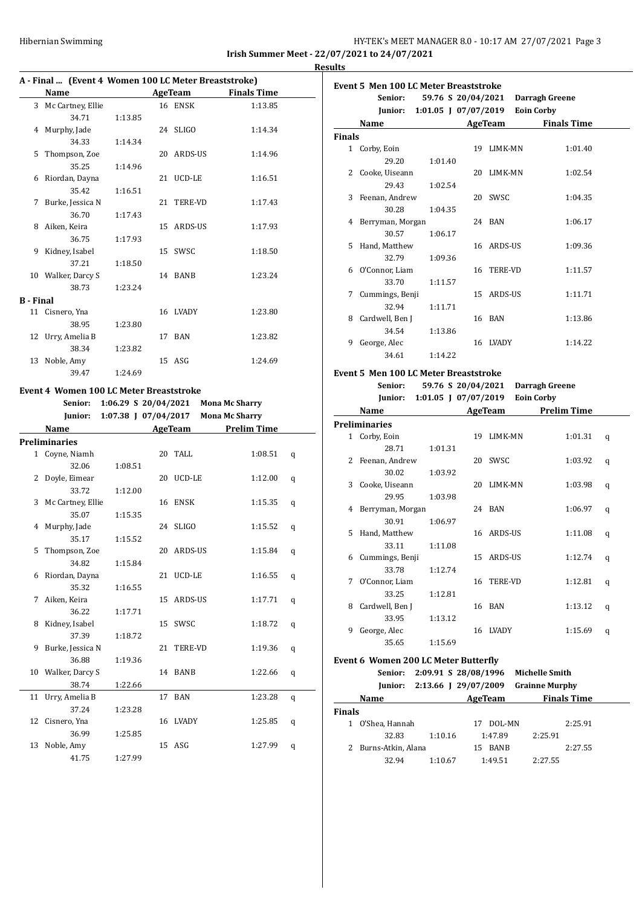## Hibernian Swimming **HY-TEK's MEET MANAGER 8.0 - 10:17 AM 27/07/2021** Page 3 **Irish Summer Meet - 22/07/2021 to 24/07/2021**

**Results**

## **A - Final ... (Event 4 Women 100 LC Meter Breaststroke)**

|                  | Thin the prent I women for Beneter Breaststrone |         |            |                    |
|------------------|-------------------------------------------------|---------|------------|--------------------|
|                  | Name                                            |         | AgeTeam    | <b>Finals Time</b> |
|                  | 3 Mc Cartney, Ellie                             |         | 16 ENSK    | 1:13.85            |
|                  | 34.71                                           | 1:13.85 |            |                    |
| 4                | Murphy, Jade                                    |         | 24 SLIGO   | 1:14.34            |
|                  | 34.33                                           | 1:14.34 |            |                    |
| 5                | Thompson, Zoe                                   |         | 20 ARDS-US | 1:14.96            |
|                  | 35.25                                           | 1:14.96 |            |                    |
| 6                | Riordan, Dayna                                  |         | 21 UCD-LE  | 1:16.51            |
|                  | 35.42                                           | 1:16.51 |            |                    |
| 7                | Burke, Jessica N                                |         | 21 TERE-VD | 1:17.43            |
|                  | 36.70                                           | 1:17.43 |            |                    |
| 8                | Aiken, Keira                                    |         | 15 ARDS-US | 1:17.93            |
|                  | 36.75                                           | 1:17.93 |            |                    |
| 9                | Kidney, Isabel                                  |         | 15 SWSC    | 1:18.50            |
|                  | 37.21                                           | 1:18.50 |            |                    |
|                  | 10 Walker, Darcy S                              |         | 14 BANB    | 1:23.24            |
|                  | 38.73                                           | 1:23.24 |            |                    |
| <b>B</b> - Final |                                                 |         |            |                    |
|                  | 11 Cisnero, Yna                                 |         | 16 LVADY   | 1:23.80            |
|                  | 38.95                                           | 1:23.80 |            |                    |
|                  | 12 Urry, Amelia B                               |         | 17 BAN     | 1:23.82            |
|                  | 38.34                                           | 1:23.82 |            |                    |
| 13               | Noble, Amy                                      |         | 15 ASG     | 1:24.69            |
|                  | 39.47                                           | 1:24.69 |            |                    |

## **Event 4 Women 100 LC Meter Breaststroke**

|    | Senior:              | 1:06.29 S 20/04/2021 |            | <b>Mona Mc Sharry</b> |   |
|----|----------------------|----------------------|------------|-----------------------|---|
|    | Junior:              | 1:07.38 J 07/04/2017 |            | <b>Mona Mc Sharry</b> |   |
|    | Name                 |                      | AgeTeam    | <b>Prelim Time</b>    |   |
|    | <b>Preliminaries</b> |                      |            |                       |   |
|    | 1 Coyne, Niamh       |                      | 20 TALL    | 1:08.51               | q |
|    | 32.06                | 1:08.51              |            |                       |   |
| 2  | Doyle, Eimear        |                      | 20 UCD-LE  | 1:12.00               | q |
|    | 33.72                | 1:12.00              |            |                       |   |
| 3  | Mc Cartney, Ellie    |                      | 16 ENSK    | 1:15.35               | q |
|    | 35.07                | 1:15.35              |            |                       |   |
| 4  | Murphy, Jade         |                      | 24 SLIGO   | 1:15.52               | q |
|    | 35.17                | 1:15.52              |            |                       |   |
| 5  | Thompson, Zoe        |                      | 20 ARDS-US | 1:15.84               | q |
|    | 34.82                | 1:15.84              |            |                       |   |
| 6  | Riordan, Dayna       |                      | 21 UCD-LE  | 1:16.55               | q |
|    | 35.32                | 1:16.55              |            |                       |   |
| 7  | Aiken, Keira         |                      | 15 ARDS-US | 1:17.71               | q |
|    | 36.22                | 1:17.71              |            |                       |   |
| 8  | Kidney, Isabel       |                      | 15 SWSC    | 1:18.72               | q |
|    | 37.39                | 1:18.72              |            |                       |   |
| 9  | Burke, Jessica N     |                      | 21 TERE-VD | 1:19.36               | q |
|    | 36.88                | 1:19.36              |            |                       |   |
|    | 10 Walker, Darcy S   |                      | 14 BANB    | 1:22.66               | q |
|    | 38.74                | 1:22.66              |            |                       |   |
| 11 | Urry, Amelia B       |                      | 17 BAN     | 1:23.28               | q |
|    | 37.24                | 1:23.28              |            |                       |   |
| 12 | Cisnero, Yna         |                      | 16 LVADY   | 1:25.85               | q |
|    | 36.99                | 1:25.85              |            |                       |   |
| 13 | Noble, Amy           |                      | 15 ASG     | 1:27.99               | q |
|    | 41.75                | 1:27.99              |            |                       |   |

|               | <b>Event 5 Men 100 LC Meter Breaststroke</b>                                                                |                                   |            |                   |                    |
|---------------|-------------------------------------------------------------------------------------------------------------|-----------------------------------|------------|-------------------|--------------------|
|               | Senior:                                                                                                     | 59.76 S 20/04/2021 Darragh Greene |            |                   |                    |
|               |                                                                                                             | Junior: 1:01.05 J 07/07/2019      |            | <b>Eoin Corby</b> |                    |
|               | Name                                                                                                        |                                   | AgeTeam    |                   | <b>Finals Time</b> |
| <b>Finals</b> |                                                                                                             |                                   |            |                   |                    |
|               | 1 Corby, Eoin                                                                                               |                                   | 19 LIMK-MN |                   | 1:01.40            |
|               | 29.20                                                                                                       | 1:01.40                           |            |                   |                    |
|               | 2 Cooke, Uiseann                                                                                            |                                   | 20 LIMK-MN |                   | 1:02.54            |
|               | 29.43                                                                                                       | 1:02.54                           |            |                   |                    |
|               | 3 Feenan, Andrew                                                                                            |                                   | 20 SWSC    |                   | 1:04.35            |
|               | 30.28                                                                                                       | 1:04.35                           |            |                   |                    |
|               | 4 Berryman, Morgan                                                                                          |                                   | 24 BAN     |                   | 1:06.17            |
|               | 30.57                                                                                                       | 1:06.17                           |            |                   |                    |
|               | 5 Hand, Matthew                                                                                             |                                   | 16 ARDS-US |                   | 1:09.36            |
|               | 32.79                                                                                                       | 1:09.36                           |            |                   |                    |
|               | 6 O'Connor, Liam                                                                                            |                                   | 16 TERE-VD |                   | 1:11.57            |
|               | 33.70                                                                                                       | 1:11.57                           |            |                   |                    |
|               | 7 Cummings, Benji                                                                                           |                                   | 15 ARDS-US |                   | 1:11.71            |
|               | 32.94                                                                                                       | 1:11.71                           |            |                   |                    |
|               | 8 Cardwell, Ben J                                                                                           |                                   | 16 BAN     |                   | 1:13.86            |
|               | 34.54                                                                                                       | 1:13.86                           |            |                   |                    |
| 9             | George, Alec                                                                                                |                                   | 16 LVADY   |                   | 1:14.22            |
|               | 34.61                                                                                                       | 1:14.22                           |            |                   |                    |
|               | $\mathbf{r} = \mathbf{r} \mathbf{r}$ and $\mathbf{r} \cdot \mathbf{r} \mathbf{r}$ . The set of $\mathbf{r}$ |                                   |            |                   |                    |

#### **Event 5 Men 100 LC Meter Breaststroke**

|   | Senior:          |         | 59.76 S 20/04/2021       |                | <b>Darragh Greene</b> |   |
|---|------------------|---------|--------------------------|----------------|-----------------------|---|
|   | Junior:          |         | $1:01.05$ J $07/07/2019$ |                | <b>Eoin Corby</b>     |   |
|   | Name             |         |                          | AgeTeam        | <b>Prelim Time</b>    |   |
|   | Preliminaries    |         |                          |                |                       |   |
|   | 1 Corby, Eoin    |         |                          | 19 LIMK-MN     | 1:01.31               | q |
|   | 28.71            | 1:01.31 |                          |                |                       |   |
| 2 | Feenan, Andrew   |         | 20                       | SWSC           | 1:03.92               | q |
|   | 30.02            | 1:03.92 |                          |                |                       |   |
| 3 | Cooke, Uiseann   |         | 20                       | LIMK-MN        | 1:03.98               | q |
|   | 29.95            | 1:03.98 |                          |                |                       |   |
| 4 | Berryman, Morgan |         |                          | 24 BAN         | 1:06.97               | q |
|   | 30.91            | 1:06.97 |                          |                |                       |   |
| 5 | Hand, Matthew    |         |                          | 16 ARDS-US     | 1:11.08               | q |
|   | 33.11            | 1:11.08 |                          |                |                       |   |
| 6 | Cummings, Benji  |         |                          | 15 ARDS-US     | 1:12.74               | q |
|   | 33.78            | 1:12.74 |                          |                |                       |   |
| 7 | O'Connor, Liam   |         | 16                       | <b>TERE-VD</b> | 1:12.81               | q |
|   | 33.25            | 1:12.81 |                          |                |                       |   |
| 8 | Cardwell, Ben J  |         |                          | 16 BAN         | 1:13.12               | q |
|   | 33.95            | 1:13.12 |                          |                |                       |   |
| 9 | George, Alec     |         |                          | 16 LVADY       | 1:15.69               | q |
|   | 35.65            | 1:15.69 |                          |                |                       |   |

# **Event 6 Women 200 LC Meter Butterfly**

|               | Senior:            | 2:09.91 S 28/08/1996 |              | <b>Michelle Smith</b> |  |
|---------------|--------------------|----------------------|--------------|-----------------------|--|
|               | Junior:            | 2:13.66   29/07/2009 |              | <b>Grainne Murphy</b> |  |
|               | Name               |                      | AgeTeam      | <b>Finals Time</b>    |  |
| <b>Finals</b> |                    |                      |              |                       |  |
|               | O'Shea, Hannah     |                      | DOL-MN<br>17 | 2:25.91               |  |
|               | 32.83              | 1:10.16              | 1:47.89      | 2:25.91               |  |
|               | Burns-Atkin, Alana |                      | BANB<br>15   | 2:27.55               |  |
|               | 32.94              | 1:10.67              | 1:49.51      | 2:27.55               |  |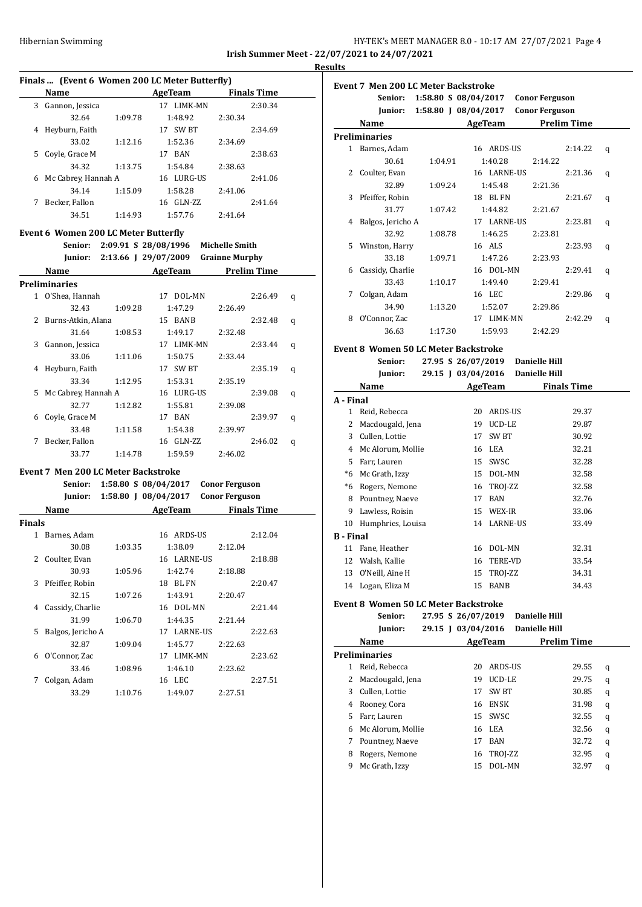## Hibernian Swimming **HY-TEK's MEET MANAGER 8.0 - 10:17 AM 27/07/2021** Page 4 **Irish Summer Meet - 22/07/2021 to 24/07/2021**

**Results**

## **Finals ... (Event 6 Women 200 LC Meter Butterfly)**

|    | Name                |         | AgeTeam     |         | <b>Finals Time</b> |
|----|---------------------|---------|-------------|---------|--------------------|
| 3  | Gannon, Jessica     |         | 17 LIMK-MN  |         | 2:30.34            |
|    | 32.64               | 1:09.78 | 1:48.92     | 2:30.34 |                    |
| 4  | Heyburn, Faith      |         | SW BT<br>17 |         | 2:34.69            |
|    | 33.02               | 1:12.16 | 1:52.36     | 2:34.69 |                    |
| 5. | Covle, Grace M      |         | 17 BAN      |         | 2:38.63            |
|    | 34.32               | 1:13.75 | 1:54.84     | 2:38.63 |                    |
| 6  | Mc Cabrey, Hannah A |         | 16 LURG-US  |         | 2:41.06            |
|    | 34.14               | 1:15.09 | 1:58.28     | 2:41.06 |                    |
| 7  | Becker, Fallon      |         | 16 GLN-ZZ   |         | 2:41.64            |
|    | 34.51               | 1:14.93 | 1:57.76     | 2:41.64 |                    |

#### **Event 6 Women 200 LC Meter Butterfly**

|    | Senior:             |         | 2:09.91 S 28/08/1996 | <b>Michelle Smith</b> |   |
|----|---------------------|---------|----------------------|-----------------------|---|
|    | Junior:             |         | 2:13.66   29/07/2009 | <b>Grainne Murphy</b> |   |
|    | Name                |         | AgeTeam              | <b>Prelim Time</b>    |   |
|    | Preliminaries       |         |                      |                       |   |
| 1. | O'Shea, Hannah      |         | DOL-MN<br>17         | 2:26.49               | q |
|    | 32.43               | 1:09.28 | 1:47.29              | 2:26.49               |   |
| 2  | Burns-Atkin, Alana  |         | 15 BANB              | 2:32.48               | q |
|    | 31.64               | 1:08.53 | 1:49.17              | 2:32.48               |   |
| 3  | Gannon, Jessica     |         | 17 LIMK-MN           | 2:33.44               | q |
|    | 33.06               | 1:11.06 | 1:50.75              | 2:33.44               |   |
| 4  | Heyburn, Faith      |         | 17 SW BT             | 2:35.19               | q |
|    | 33.34               | 1:12.95 | 1:53.31              | 2:35.19               |   |
| 5. | Mc Cabrey, Hannah A |         | 16 LURG-US           | 2:39.08               | q |
|    | 32.77               | 1:12.82 | 1:55.81              | 2:39.08               |   |
| 6  | Coyle, Grace M      |         | <b>BAN</b><br>17     | 2:39.97               | q |
|    | 33.48               | 1:11.58 | 1:54.38              | 2:39.97               |   |
| 7  | Becker, Fallon      |         | 16 GLN-ZZ            | 2:46.02               | q |
|    | 33.77               | 1:14.78 | 1:59.59              | 2:46.02               |   |

#### **Event 7 Men 200 LC Meter Backstroke Senior: 1:58.80 S 08/04/2017 Conor Ferguson**

|               | Jemui .           |         | $1.50.00$ 3 00/07/401/ | <b>CONOL LET ENSUR</b> |         |
|---------------|-------------------|---------|------------------------|------------------------|---------|
|               | Junior:           |         | 1:58.80 J 08/04/2017   | <b>Conor Ferguson</b>  |         |
|               | Name              |         | AgeTeam                | <b>Finals Time</b>     |         |
| Finals        |                   |         |                        |                        |         |
| 1             | Barnes, Adam      |         | 16 ARDS-US             |                        | 2:12.04 |
|               | 30.08             | 1:03.35 | 1:38.09                | 2:12.04                |         |
| $\mathcal{L}$ | Coulter, Evan     |         | 16 LARNE-US            |                        | 2:18.88 |
|               | 30.93             | 1:05.96 | 1:42.74                | 2:18.88                |         |
| 3             | Pfeiffer, Robin   |         | BL FN<br>18            |                        | 2:20.47 |
|               | 32.15             | 1:07.26 | 1:43.91                | 2:20.47                |         |
| 4             | Cassidy, Charlie  |         | 16 DOL-MN              |                        | 2:21.44 |
|               | 31.99             | 1:06.70 | 1:44.35                | 2:21.44                |         |
| 5             | Balgos, Jericho A |         | 17 LARNE-US            |                        | 2:22.63 |
|               | 32.87             | 1:09.04 | 1:45.77                | 2:22.63                |         |
| 6             | O'Connor, Zac     |         | 17 LIMK-MN             |                        | 2:23.62 |
|               | 33.46             | 1:08.96 | 1:46.10                | 2:23.62                |         |
| 7             | Colgan, Adam      |         | 16 LEC                 |                        | 2:27.51 |
|               | 33.29             | 1:10.76 | 1:49.07                | 2:27.51                |         |

## **Event 7 Men 200 LC Meter Backstroke Senior: 1:58.80 S 08/04/2017 Conor Ferguson Junior: 1:58.80 J 08/04/2017 Conor Ferguson Name Age Team Prelim Time Preliminaries** 1 Barnes, Adam 16 ARDS-US 2:14.22 q 30.61 1:04.91 1:40.28 2:14.22 2 Coulter, Evan 16 LARNE-US 2:21.36 q 32.89 1:09.24 1:45.48 2:21.36 3 Pfeiffer, Robin 18 BL FN 2:21.67 q 31.77 1:07.42 1:44.82 2:21.67 4 Balgos, Jericho A 17 LARNE-US 2:23.81 q 32.92 1:08.78 1:46.25 2:23.81 5 Winston, Harry 16 ALS 2:23.93 q 33.18 1:09.71 1:47.26 2:23.93 6 Cassidy, Charlie 16 DOL-MN 2:29.41 q 33.43 1:10.17 1:49.40 2:29.41 7 Colgan, Adam 16 LEC 2:29.86 q 34.90 1:13.20 1:52.07 2:29.86 8 O'Connor, Zac 17 LIMK-MN 2:42.29 q 36.63 1:17.30 1:59.93 2:42.29 **Event 8 Women 50 LC Meter Backstroke Senior: 27.95 S 26/07/2019 Danielle Hill Junior: 29.15 J 03/04/2016 Danielle Hill Name Age Team Finals Time A - Final** 1 Reid, Rebecca 20 ARDS-US 29.37

| 2         | Macdougald, Jena   | 19 | UCD-LE         | 29.87 |
|-----------|--------------------|----|----------------|-------|
| 3         | Cullen, Lottie     | 17 | SW BT          | 30.92 |
| 4         | Mc Alorum, Mollie  |    | 16 LEA         | 32.21 |
| 5.        | Farr, Lauren       | 15 | SWSC           | 32.28 |
| *6        | Mc Grath, Izzy     |    | 15 DOL-MN      | 32.58 |
| *6        | Rogers, Nemone     |    | 16 TROJ-ZZ     | 32.58 |
| 8         | Pountney, Naeve    | 17 | BAN            | 32.76 |
| 9         | Lawless, Roisin    | 15 | WEX-IR         | 33.06 |
| 10        | Humphries, Louisa  |    | 14 LARNE-US    | 33.49 |
| B - Final |                    |    |                |       |
| 11        | Fane, Heather      | 16 | DOL-MN         | 32.31 |
| 12        | Walsh, Kallie      | 16 | <b>TERE-VD</b> | 33.54 |
|           | 13 O'Neill, Aine H |    | 15 TROJ-ZZ     | 34.31 |
|           | 14 Logan, Eliza M  | 15 | BANB           | 34.43 |

#### **Event 8 Women 50 LC Meter Backstroke Senior: 27.95 S 26/07/2019 Danielle Hill**

|    | эепіог:           | 27.95 S 20/U7/2019 |                   | Danielle Hill        |                    |   |
|----|-------------------|--------------------|-------------------|----------------------|--------------------|---|
|    | Junior:           | 29.15   03/04/2016 |                   | <b>Danielle Hill</b> |                    |   |
|    | Name              |                    | AgeTeam           |                      | <b>Prelim Time</b> |   |
|    | Preliminaries     |                    |                   |                      |                    |   |
| 1  | Reid, Rebecca     | 20                 | ARDS-US           |                      | 29.55              | q |
|    | Macdougald, Jena  | 19                 | <b>UCD-LE</b>     |                      | 29.75              | q |
| 3  | Cullen, Lottie    | 17                 | SW <sub>B</sub> T |                      | 30.85              | q |
| 4  | Rooney, Cora      |                    | 16 ENSK           |                      | 31.98              | q |
| 5. | Farr, Lauren      |                    | 15 SWSC           |                      | 32.55              | q |
| 6  | Mc Alorum, Mollie |                    | 16 LEA            |                      | 32.56              | q |
| 7  | Pountney, Naeve   | 17                 | <b>BAN</b>        |                      | 32.72              | q |
| 8  | Rogers, Nemone    |                    | 16 TROJ-ZZ        |                      | 32.95              | q |
| 9  | Mc Grath, Izzy    | 15                 | DOL-MN            |                      | 32.97              | q |
|    |                   |                    |                   |                      |                    |   |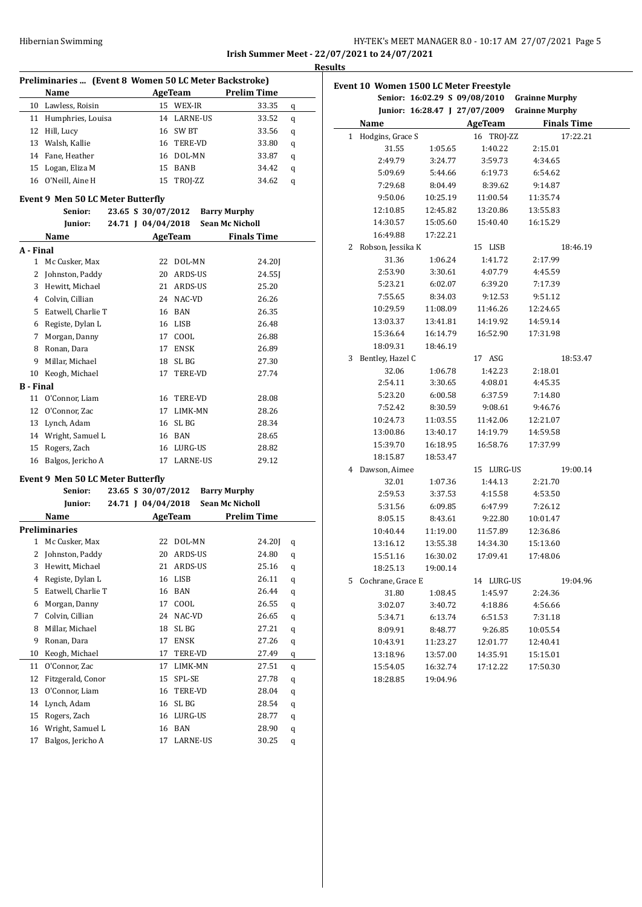# HY-TEK's MEET MANAGER 8.0 - 10:17 AM 27/07/2021 Page 5 **Irish Summer Meet - 22/07/2021 to 24/07/2021**

**Results**

|                  | Preliminaries  (Event 8 Women 50 LC Meter Backstroke) |                    |                |                        |
|------------------|-------------------------------------------------------|--------------------|----------------|------------------------|
|                  | Name                                                  |                    | AgeTeam        | <b>Prelim Time</b>     |
|                  | 10 Lawless, Roisin                                    |                    | 15 WEX-IR      | 33.35<br>q             |
|                  | 11 Humphries, Louisa                                  |                    | 14 LARNE-US    | 33.52<br>q             |
|                  | 12 Hill, Lucy                                         |                    | 16 SW BT       | 33.56<br>q             |
|                  | 13 Walsh, Kallie                                      |                    | 16 TERE-VD     | 33.80<br>q             |
|                  | 14 Fane, Heather                                      |                    | 16 DOL-MN      | 33.87<br>q             |
|                  | 15 Logan, Eliza M                                     |                    | 15 BANB        | 34.42<br>q             |
|                  | 16 O'Neill, Aine H                                    |                    | 15 TROJ-ZZ     | 34.62<br>q             |
|                  | Event 9 Men 50 LC Meter Butterfly                     |                    |                |                        |
|                  | Senior:                                               | 23.65 S 30/07/2012 |                | <b>Barry Murphy</b>    |
|                  | Junior:                                               | 24.71 J 04/04/2018 |                | <b>Sean Mc Nicholl</b> |
|                  | Name                                                  |                    | <b>AgeTeam</b> | <b>Finals Time</b>     |
| A - Final        |                                                       |                    |                |                        |
| 1                | Mc Cusker, Max                                        | 22                 | DOL-MN         | 24.20]                 |
| 2                | Johnston, Paddy                                       |                    | 20 ARDS-US     | 24.55]                 |
|                  | 3 Hewitt, Michael                                     |                    | 21 ARDS-US     | 25.20                  |
|                  | 4 Colvin, Cillian                                     |                    | 24 NAC-VD      | 26.26                  |
|                  | 5 Eatwell, Charlie T                                  |                    | 16 BAN         | 26.35                  |
|                  | 6 Registe, Dylan L                                    |                    | 16 LISB        | 26.48                  |
|                  | 7 Morgan, Danny                                       |                    | 17 COOL        | 26.88                  |
|                  | 8 Ronan, Dara                                         | 17                 | ENSK           | 26.89                  |
| 9                | Millar, Michael                                       | 18                 | SL BG          | 27.30                  |
|                  | 10 Keogh, Michael                                     | 17                 | TERE-VD        | 27.74                  |
| <b>B</b> - Final |                                                       |                    |                |                        |
| 11               | O'Connor, Liam                                        |                    | 16 TERE-VD     | 28.08                  |
| 12               | O'Connor, Zac                                         |                    | 17 LIMK-MN     | 28.26                  |
|                  | 13 Lynch, Adam                                        |                    | 16 SL BG       | 28.34                  |
|                  | 14 Wright, Samuel L                                   |                    | 16 BAN         | 28.65                  |
|                  | 15 Rogers, Zach                                       |                    | 16 LURG-US     | 28.82                  |
|                  | 16 Balgos, Jericho A                                  |                    | 17 LARNE-US    | 29.12                  |
|                  | Event 9 Men 50 LC Meter Butterfly                     |                    |                |                        |
|                  | Senior:                                               | 23.65 S 30/07/2012 |                | <b>Barry Murphy</b>    |
|                  | Junior:                                               | 24.71 J 04/04/2018 |                | <b>Sean Mc Nicholl</b> |
|                  | Name                                                  |                    | AgeTeam        | <b>Prelim Time</b>     |
|                  | <b>Preliminaries</b>                                  |                    |                |                        |
| 1                | Mc Cusker, Max                                        | 22                 | DOL-MN         | 24.20]<br>q            |
|                  | 2 Johnston, Paddy                                     |                    | 20 ARDS-US     | 24.80<br>q             |
| 3                | Hewitt, Michael                                       | 21                 | ARDS-US        | 25.16<br>q             |
| 4                | Registe, Dylan L                                      | 16                 | LISB           | 26.11<br>q             |
| 5                | Eatwell, Charlie T                                    | 16                 | BAN            | 26.44<br>q             |
| 6                | Morgan, Danny                                         | 17                 | COOL           | 26.55<br>q             |
| 7                | Colvin, Cillian                                       | 24                 | NAC-VD         | 26.65<br>q             |
| 8                | Millar, Michael                                       | 18                 | SL BG          | 27.21<br>q             |
| 9                | Ronan, Dara                                           | 17                 | ENSK           | 27.26<br>q             |
| 10               | Keogh, Michael                                        | 17                 | TERE-VD        | 27.49<br>q             |
| 11               | O'Connor, Zac                                         | 17                 | LIMK-MN        | 27.51<br>$\bf q$       |
| 12               | Fitzgerald, Conor                                     | 15                 | SPL-SE         | 27.78<br>q             |
| 13               | O'Connor, Liam                                        | 16                 | TERE-VD        | 28.04<br>q             |
| 14               | Lynch, Adam                                           | 16                 | SL BG          | 28.54<br>q             |
| 15               | Rogers, Zach                                          | 16                 | LURG-US        | 28.77<br>q             |
| 16               | Wright, Samuel L                                      | 16                 | BAN            | 28.90<br>q             |
| 17               | Balgos, Jericho A                                     | 17                 | LARNE-US       | 30.25<br>q             |

|   |                     |          | Event 10 Women 1500 LC Meter Freestyle |                       |
|---|---------------------|----------|----------------------------------------|-----------------------|
|   |                     |          | Senior: 16:02.29 S 09/08/2010          | <b>Grainne Murphy</b> |
|   |                     |          | Junior: 16:28.47 J 27/07/2009          | <b>Grainne Murphy</b> |
|   | Name                |          | <b>AgeTeam</b>                         | <b>Finals Time</b>    |
|   | 1 Hodgins, Grace S  |          | 16 TROJ-ZZ                             | 17:22.21              |
|   | 31.55               | 1:05.65  | 1:40.22                                | 2:15.01               |
|   | 2:49.79             | 3:24.77  | 3:59.73                                | 4:34.65               |
|   | 5:09.69             | 5:44.66  | 6:19.73                                | 6:54.62               |
|   | 7:29.68             | 8:04.49  | 8:39.62                                | 9:14.87               |
|   | 9:50.06             | 10:25.19 | 11:00.54                               | 11:35.74              |
|   | 12:10.85            | 12:45.82 | 13:20.86                               | 13:55.83              |
|   | 14:30.57            | 15:05.60 | 15:40.40                               | 16:15.29              |
|   | 16:49.88            | 17:22.21 |                                        |                       |
|   | 2 Robson, Jessika K |          | 15 LISB                                | 18:46.19              |
|   | 31.36               | 1:06.24  | 1:41.72                                | 2:17.99               |
|   | 2:53.90             | 3:30.61  | 4:07.79                                | 4:45.59               |
|   | 5:23.21             | 6:02.07  | 6:39.20                                | 7:17.39               |
|   | 7:55.65             | 8:34.03  | 9:12.53                                | 9:51.12               |
|   | 10:29.59            | 11:08.09 | 11:46.26                               | 12:24.65              |
|   | 13:03.37            | 13:41.81 | 14:19.92                               | 14:59.14              |
|   | 15:36.64            | 16:14.79 | 16:52.90                               | 17:31.98              |
|   | 18:09.31            | 18:46.19 |                                        |                       |
| 3 | Bentley, Hazel C    |          | 17 ASG                                 | 18:53.47              |
|   | 32.06               | 1:06.78  | 1:42.23                                | 2:18.01               |
|   | 2:54.11             | 3:30.65  | 4:08.01                                | 4:45.35               |
|   | 5:23.20             | 6:00.58  | 6:37.59                                | 7:14.80               |
|   | 7:52.42             | 8:30.59  | 9:08.61                                | 9:46.76               |
|   | 10:24.73            | 11:03.55 | 11:42.06                               | 12:21.07              |
|   | 13:00.86            | 13:40.17 | 14:19.79                               | 14:59.58              |
|   | 15:39.70            | 16:18.95 | 16:58.76                               | 17:37.99              |
|   | 18:15.87            | 18:53.47 |                                        |                       |
|   | 4 Dawson, Aimee     |          | 15 LURG-US                             | 19:00.14              |
|   | 32.01               | 1:07.36  | 1:44.13                                | 2:21.70               |
|   | 2:59.53             | 3:37.53  | 4:15.58                                | 4:53.50               |
|   | 5:31.56             | 6:09.85  | 6:47.99                                | 7:26.12               |
|   | 8:05.15             | 8:43.61  | 9:22.80                                | 10:01.47              |
|   | 10:40.44            | 11:19.00 | 11:57.89                               | 12:36.86              |
|   | 13:16.12            | 13:55.38 | 14:34.30                               | 15:13.60              |
|   | 15:51.16            | 16:30.02 | 17:09.41                               | 17:48.06              |
|   | 18:25.13            | 19:00.14 |                                        |                       |
|   | 5 Cochrane, Grace E |          | 14 LURG-US                             | 19:04.96              |
|   | 31.80               | 1:08.45  | 1:45.97                                | 2:24.36               |
|   | 3:02.07             | 3:40.72  | 4:18.86                                | 4:56.66               |
|   | 5:34.71             | 6:13.74  | 6:51.53                                | 7:31.18               |
|   | 8:09.91             | 8:48.77  | 9:26.85                                | 10:05.54              |
|   | 10:43.91            | 11:23.27 | 12:01.77                               | 12:40.41              |
|   | 13:18.96            | 13:57.00 | 14:35.91                               | 15:15.01              |
|   | 15:54.05            | 16:32.74 | 17:12.22                               | 17:50.30              |
|   | 18:28.85            | 19:04.96 |                                        |                       |
|   |                     |          |                                        |                       |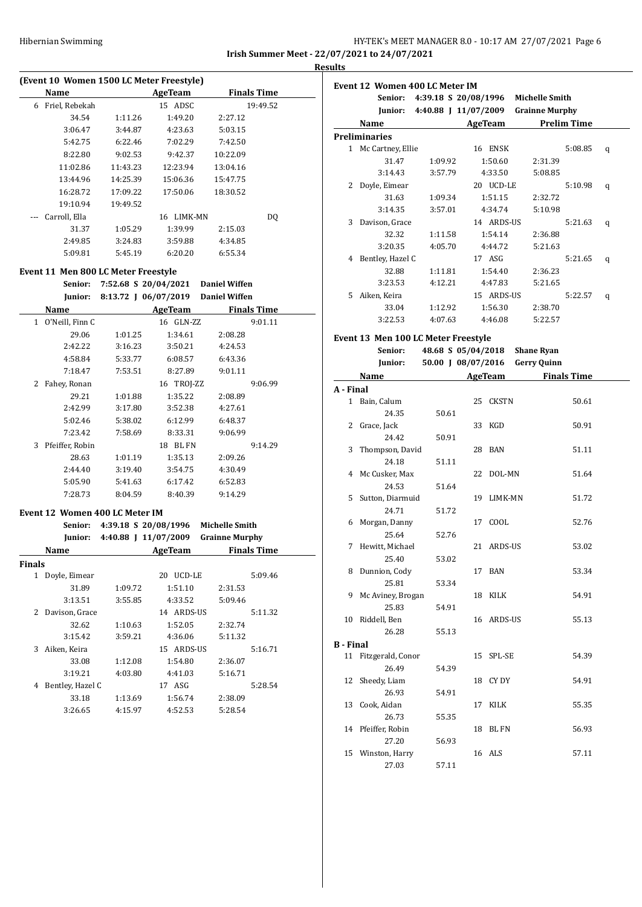## HY-TEK's MEET MANAGER 8.0 - 10:17 AM 27/07/2021 Page 6 **Irish Summer Meet - 22/07/2021 to 24/07/2021**

**Results**

| (Event 10 Women 1500 LC Meter Freestyle) |                |          |                               |          |          |  |  |
|------------------------------------------|----------------|----------|-------------------------------|----------|----------|--|--|
|                                          | Name           |          | <b>Finals Time</b><br>AgeTeam |          |          |  |  |
| 6                                        | Friel, Rebekah |          | 15 ADSC                       |          | 19:49.52 |  |  |
|                                          | 34.54          | 1:11.26  | 1:49.20                       | 2:27.12  |          |  |  |
|                                          | 3:06.47        | 3:44.87  | 4:23.63                       | 5:03.15  |          |  |  |
|                                          | 5:42.75        | 6:22.46  | 7:02.29                       | 7:42.50  |          |  |  |
|                                          | 8:22.80        | 9:02.53  | 9:42.37                       | 10:22.09 |          |  |  |
|                                          | 11:02.86       | 11:43.23 | 12:23.94                      | 13:04.16 |          |  |  |
|                                          | 13:44.96       | 14:25.39 | 15:06.36                      | 15:47.75 |          |  |  |
|                                          | 16:28.72       | 17:09.22 | 17:50.06                      | 18:30.52 |          |  |  |
|                                          | 19:10.94       | 19:49.52 |                               |          |          |  |  |
|                                          | Carroll, Ella  |          | LIMK-MN<br>16                 |          | DO.      |  |  |
|                                          | 31.37          | 1:05.29  | 1:39.99                       | 2:15.03  |          |  |  |
|                                          | 2:49.85        | 3:24.83  | 3:59.88                       | 4:34.85  |          |  |  |
|                                          | 5:09.81        | 5:45.19  | 6:20.20                       | 6:55.34  |          |  |  |
|                                          |                |          |                               |          |          |  |  |

## **Event 11 Men 800 LC Meter Freestyle**

|    | Senior:         |         | 7:52.68 S 20/04/2021 Daniel Wiffen |                      |         |
|----|-----------------|---------|------------------------------------|----------------------|---------|
|    | Junior:         |         | 8:13.72   06/07/2019               | <b>Daniel Wiffen</b> |         |
|    | Name            |         | AgeTeam                            | <b>Finals Time</b>   |         |
| 1. | O'Neill, Finn C |         | 16 GLN-ZZ                          |                      | 9:01.11 |
|    | 29.06           | 1:01.25 | 1:34.61                            | 2:08.28              |         |
|    | 2:42.22         | 3:16.23 | 3:50.21                            | 4:24.53              |         |
|    | 4:58.84         | 5:33.77 | 6:08.57                            | 6:43.36              |         |
|    | 7:18.47         | 7:53.51 | 8:27.89                            | 9:01.11              |         |
| 2  | Fahey, Ronan    |         | 16 TROJ-ZZ                         |                      | 9:06.99 |
|    | 29.21           | 1:01.88 | 1:35.22                            | 2:08.89              |         |
|    | 2:42.99         | 3:17.80 | 3:52.38                            | 4:27.61              |         |
|    | 5:02.46         | 5:38.02 | 6:12.99                            | 6:48.37              |         |
|    | 7:23.42         | 7:58.69 | 8:33.31                            | 9:06.99              |         |
| 3  | Pfeiffer, Robin |         | 18 BL FN                           |                      | 9:14.29 |
|    | 28.63           | 1:01.19 | 1:35.13                            | 2:09.26              |         |
|    | 2:44.40         | 3:19.40 | 3:54.75                            | 4:30.49              |         |
|    | 5:05.90         | 5:41.63 | 6:17.42                            | 6:52.83              |         |
|    | 7:28.73         | 8:04.59 | 8:40.39                            | 9:14.29              |         |

# **Event 12 Women 400 LC Meter IM**

|        | Senior:          |         | 4:39.18 S 20/08/1996 | <b>Michelle Smith</b> |                    |
|--------|------------------|---------|----------------------|-----------------------|--------------------|
|        | Junior:          |         | 4:40.88   11/07/2009 | <b>Grainne Murphy</b> |                    |
|        | Name             |         | AgeTeam              |                       | <b>Finals Time</b> |
| Finals |                  |         |                      |                       |                    |
| 1      | Doyle, Eimear    |         | UCD-LE<br>20         |                       | 5:09.46            |
|        | 31.89            | 1:09.72 | 1:51.10              | 2:31.53               |                    |
|        | 3:13.51          | 3:55.85 | 4:33.52              | 5:09.46               |                    |
| 2      | Davison, Grace   |         | 14 ARDS-US           |                       | 5:11.32            |
|        | 32.62            | 1:10.63 | 1:52.05              | 2:32.74               |                    |
|        | 3:15.42          | 3:59.21 | 4:36.06              | 5:11.32               |                    |
| 3      | Aiken, Keira     |         | 15 ARDS-US           |                       | 5:16.71            |
|        | 33.08            | 1:12.08 | 1:54.80              | 2:36.07               |                    |
|        | 3:19.21          | 4:03.80 | 4:41.03              | 5:16.71               |                    |
| 4      | Bentley, Hazel C |         | 17 ASG               |                       | 5:28.54            |
|        | 33.18            | 1:13.69 | 1:56.74              | 2:38.09               |                    |
|        | 3:26.65          | 4:15.97 | 4:52.53              | 5:28.54               |                    |

|              | Event 12 Women 400 LC Meter IM      |                            |                    |                                             |   |
|--------------|-------------------------------------|----------------------------|--------------------|---------------------------------------------|---|
|              | Senior:                             |                            |                    | 4:39.18 S 20/08/1996 Michelle Smith         |   |
|              |                                     |                            |                    | Junior: 4:40.88 J 11/07/2009 Grainne Murphy |   |
|              | Name                                | <b>Example 2.1 AgeTeam</b> |                    | <b>Prelim Time</b>                          |   |
|              | <b>Preliminaries</b>                |                            |                    |                                             |   |
|              | 1 Mc Cartney, Ellie                 |                            | 16 ENSK            | 5:08.85                                     | q |
|              | 31.47                               | 1:09.92                    | 1:50.60            | 2:31.39                                     |   |
|              | 3:14.43                             | 3:57.79                    | 4:33.50            | 5:08.85                                     |   |
|              | 2 Doyle, Eimear                     |                            | 20 UCD-LE          | 5:10.98                                     | q |
|              | 31.63                               | 1:09.34                    | 1:51.15            | 2:32.72                                     |   |
|              | 3:14.35                             | 3:57.01                    | 4:34.74            | 5:10.98                                     |   |
|              | 3 Davison, Grace                    |                            | 14 ARDS-US         | 5:21.63                                     | q |
|              | 32.32                               | 1:11.58                    | 1:54.14            | 2:36.88                                     |   |
|              | 3:20.35                             | 4:05.70                    | 4:44.72            | 5:21.63                                     |   |
|              | 4 Bentley, Hazel C                  |                            | 17 ASG             | 5:21.65                                     | q |
|              | 32.88                               | 1:11.81                    | 1:54.40            | 2:36.23                                     |   |
|              | 3:23.53                             | 4:12.21                    | 4:47.83            | 5:21.65                                     |   |
| 5            | Aiken, Keira                        |                            | 15 ARDS-US         | 5:22.57                                     | q |
|              | 33.04                               | 1:12.92                    | 1:56.30            | 2:38.70                                     |   |
|              | 3:22.53                             | 4:07.63                    | 4:46.08            | 5:22.57                                     |   |
|              | Event 13 Men 100 LC Meter Freestyle |                            |                    |                                             |   |
|              | Senior:                             |                            | 48.68 S 05/04/2018 | <b>Shane Ryan</b>                           |   |
|              | Junior:                             |                            |                    | 50.00 J 08/07/2016 Gerry Quinn              |   |
|              | Name                                |                            |                    | <b>Example 2</b> AgeTeam <b>Finals</b> Time |   |
| A - Final    |                                     |                            |                    |                                             |   |
| $\mathbf{1}$ | Bain. Calum                         |                            | <b>CKSTN</b><br>25 | 50.61                                       |   |
|              | 24.35                               | 50.61                      |                    |                                             |   |
|              | 2 Grace, Jack                       |                            | 33 KGD             | 50.91                                       |   |
|              | 24.42                               | 50.91                      |                    |                                             |   |
|              | 3 Thompson, David                   |                            | 28 BAN             | 51.11                                       |   |
|              | 24.18                               | 51.11                      |                    |                                             |   |
|              | 4 Mc Cusker, Max                    |                            | DOL-MN<br>22       | 51.64                                       |   |
|              | 24.53                               | 51.64                      |                    |                                             |   |
|              | 5 Sutton, Diarmuid                  |                            | 19<br>LIMK-MN      | 51.72                                       |   |
|              | 24.71                               | 51.72                      |                    |                                             |   |
|              | 6 Morgan, Danny                     |                            | COOL<br>17         | 52.76                                       |   |
|              | 25.64                               | 52.76                      |                    |                                             |   |
|              | 7 Hewitt, Michael                   |                            | 21 ARDS-US         | 53.02                                       |   |
|              | 25.40                               | 53.02                      |                    |                                             |   |
|              | $P_1$ $P_2$                         |                            | 47.011             | $F \cap R$                                  |   |

|                  | 25.40             | 53.02 |    |              |       |
|------------------|-------------------|-------|----|--------------|-------|
| 8                | Dunnion, Cody     |       | 17 | <b>BAN</b>   | 53.34 |
|                  | 25.81             | 53.34 |    |              |       |
| 9                | Mc Aviney, Brogan |       | 18 | KILK         | 54.91 |
|                  | 25.83             | 54.91 |    |              |       |
| 10               | Riddell, Ben      |       | 16 | ARDS-US      | 55.13 |
|                  | 26.28             | 55.13 |    |              |       |
| <b>B</b> - Final |                   |       |    |              |       |
| 11               | Fitzgerald, Conor |       |    | 15 SPL-SE    | 54.39 |
|                  | 26.49             | 54.39 |    |              |       |
|                  | 12 Sheedy, Liam   |       | 18 | CY DY        | 54.91 |
|                  | 26.93             | 54.91 |    |              |       |
| 13               | Cook, Aidan       |       | 17 | <b>KILK</b>  | 55.35 |
|                  | 26.73             | 55.35 |    |              |       |
| 14               | Pfeiffer, Robin   |       | 18 | <b>BL FN</b> | 56.93 |
|                  | 27.20             | 56.93 |    |              |       |
|                  | 15 Winston, Harry |       |    | 16 ALS       | 57.11 |

27.03 57.11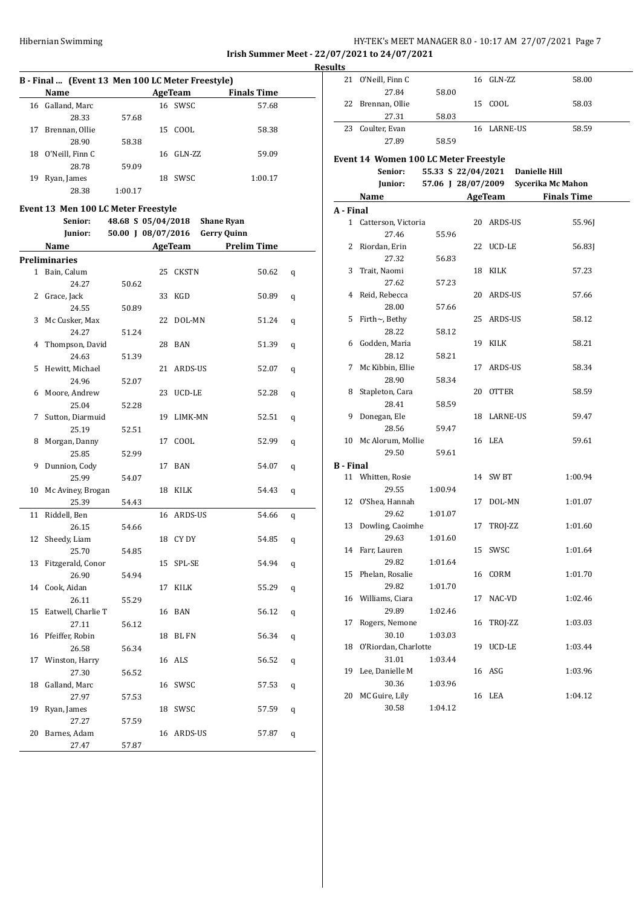## Hibernian Swimming **HY-TEK's MEET MANAGER 8.0 - 10:17 AM 27/07/2021** Page 7 **Irish Summer Meet - 22/07/2021 to 24/07/2021**

**Results**

## **B - Final ... (Event 13 Men 100 LC Meter Freestyle)**

|    | Name            |         |    | AgeTeam | <b>Finals Time</b> |
|----|-----------------|---------|----|---------|--------------------|
| 16 | Galland, Marc   |         |    | 16 SWSC | 57.68              |
|    | 28.33           | 57.68   |    |         |                    |
| 17 | Brennan, Ollie  |         | 15 | COOL    | 58.38              |
|    | 28.90           | 58.38   |    |         |                    |
| 18 | O'Neill, Finn C |         | 16 | GLN-ZZ  | 59.09              |
|    | 28.78           | 59.09   |    |         |                    |
| 19 | Ryan, James     |         | 18 | SWSC    | 1:00.17            |
|    | 28.38           | 1:00.17 |    |         |                    |

## **Event 13 Men 100 LC Meter Freestyle**

|                | Senior:            | 48.68 S 05/04/2018 |    |              | <b>Shane Ryan</b>  |   |
|----------------|--------------------|--------------------|----|--------------|--------------------|---|
|                | Junior:            | 50.00 J 08/07/2016 |    |              | <b>Gerry Quinn</b> |   |
|                | Name               |                    |    | AgeTeam      | <b>Prelim Time</b> |   |
|                | Preliminaries      |                    |    |              |                    |   |
| $\mathbf{1}$   | Bain, Calum        |                    | 25 | <b>CKSTN</b> | 50.62              | q |
|                | 24.27              | 50.62              |    |              |                    |   |
| $\overline{2}$ | Grace, Jack        |                    |    | 33 KGD       | 50.89              | q |
|                | 24.55              | 50.89              |    |              |                    |   |
| 3              | Mc Cusker, Max     |                    |    | 22 DOL-MN    | 51.24              | q |
|                | 24.27              | 51.24              |    |              |                    |   |
| 4              | Thompson, David    |                    |    | 28 BAN       | 51.39              | q |
|                | 24.63              | 51.39              |    |              |                    |   |
| 5              | Hewitt, Michael    |                    |    | 21 ARDS-US   | 52.07              | q |
|                | 24.96              | 52.07              |    |              |                    |   |
| 6              | Moore, Andrew      |                    |    | 23 UCD-LE    | 52.28              | q |
|                | 25.04              | 52.28              |    |              |                    |   |
| 7              | Sutton, Diarmuid   |                    | 19 | LIMK-MN      | 52.51              | q |
|                | 25.19              | 52.51              |    |              |                    |   |
| 8              | Morgan, Danny      |                    |    | 17 COOL      | 52.99              | q |
|                | 25.85              | 52.99              |    |              |                    |   |
| 9              | Dunnion, Cody      |                    |    | 17 BAN       | 54.07              | q |
|                | 25.99              | 54.07              |    |              |                    |   |
| 10             | Mc Aviney, Brogan  |                    |    | 18 KILK      | 54.43              | q |
|                | 25.39              | 54.43              |    |              |                    |   |
| 11             | Riddell, Ben       |                    |    | 16 ARDS-US   | 54.66              | q |
|                | 26.15              | 54.66              |    |              |                    |   |
| 12             | Sheedy, Liam       |                    |    | 18 CY DY     | 54.85              | q |
|                | 25.70              | 54.85              |    |              |                    |   |
| 13             | Fitzgerald, Conor  |                    | 15 | SPL-SE       | 54.94              | q |
|                | 26.90              | 54.94              |    |              |                    |   |
| 14             | Cook, Aidan        |                    | 17 | KILK         | 55.29              | q |
|                | 26.11              | 55.29              |    |              |                    |   |
| 15             | Eatwell, Charlie T |                    |    | 16 BAN       | 56.12              | q |
|                | 27.11              | 56.12              |    |              |                    |   |
| 16             | Pfeiffer, Robin    |                    |    | 18 BL FN     | 56.34              | q |
|                | 26.58              | 56.34              |    |              |                    |   |
| 17             | Winston, Harry     |                    |    | 16 ALS       | 56.52              | q |
|                | 27.30              | 56.52              |    |              |                    |   |
| 18             | Galland, Marc      |                    |    | 16 SWSC      | 57.53              | q |
|                | 27.97              | 57.53              |    |              |                    |   |
| 19             | Ryan, James        |                    |    | 18 SWSC      | 57.59              | q |
|                | 27.27              | 57.59              |    |              |                    |   |
| 20             | Barnes, Adam       |                    | 16 | ARDS-US      | 57.87              | q |
|                | 27.47              | 57.87              |    |              |                    |   |

| <u>suits</u>     |                                       |                    |    |                |                      |
|------------------|---------------------------------------|--------------------|----|----------------|----------------------|
|                  | 21 O'Neill, Finn C                    |                    |    | 16 GLN-ZZ      | 58.00                |
|                  | 27.84                                 | 58.00              |    |                |                      |
|                  | 22 Brennan, Ollie                     |                    |    | 15 COOL        | 58.03                |
|                  | 27.31                                 | 58.03              |    |                |                      |
|                  | 23 Coulter, Evan                      |                    |    | 16 LARNE-US    | 58.59                |
|                  | 27.89                                 | 58.59              |    |                |                      |
|                  | Event 14 Women 100 LC Meter Freestyle |                    |    |                |                      |
|                  | Senior:                               | 55.33 S 22/04/2021 |    |                | <b>Danielle Hill</b> |
|                  | Junior:                               | 57.06 J 28/07/2009 |    |                | Sycerika Mc Mahon    |
|                  | Name                                  |                    |    | <b>AgeTeam</b> | <b>Finals Time</b>   |
| A - Final        |                                       |                    |    |                |                      |
|                  | 1 Catterson, Victoria                 |                    |    | 20 ARDS-US     | 55.96J               |
|                  | 27.46                                 | 55.96              |    |                |                      |
| 2                | Riordan, Erin                         |                    |    | 22 UCD-LE      | 56.83J               |
|                  | 27.32                                 | 56.83              |    |                |                      |
| 3                | Trait, Naomi                          |                    |    | 18 KILK        | 57.23                |
|                  | 27.62                                 | 57.23              |    |                |                      |
|                  | 4 Reid, Rebecca                       |                    |    | 20 ARDS-US     | 57.66                |
|                  | 28.00                                 | 57.66              |    |                |                      |
| 5                | Firth~, Bethy                         |                    |    | 25 ARDS-US     | 58.12                |
|                  | 28.22                                 | 58.12              |    |                |                      |
|                  | 6 Godden, Maria                       |                    |    | 19 KILK        | 58.21                |
|                  | 28.12                                 | 58.21              |    |                |                      |
| 7                | Mc Kibbin, Ellie                      |                    |    | 17 ARDS-US     | 58.34                |
|                  | 28.90                                 | 58.34              |    |                |                      |
|                  | 8 Stapleton, Cara                     |                    |    | 20 OTTER       | 58.59                |
|                  | 28.41                                 | 58.59              |    |                |                      |
|                  | 9 Donegan, Ele                        |                    |    | 18 LARNE-US    | 59.47                |
|                  | 28.56                                 | 59.47              |    |                |                      |
|                  | 10 Mc Alorum, Mollie                  |                    |    | 16 LEA         | 59.61                |
|                  | 29.50                                 | 59.61              |    |                |                      |
| <b>B</b> - Final |                                       |                    |    |                |                      |
|                  | 11 Whitten, Rosie                     |                    |    | 14 SW BT       | 1:00.94              |
|                  | 29.55                                 | 1:00.94            |    |                |                      |
|                  | 12 O'Shea, Hannah                     |                    |    | 17 DOL-MN      | 1:01.07              |
|                  | 29.62                                 | 1:01.07            |    |                |                      |
|                  | 13 Dowling, Caoimhe                   |                    |    | 17 TROJ-ZZ     | 1:01.60              |
|                  | 29.63                                 | 1:01.60            |    |                |                      |
|                  | 14 Farr, Lauren                       |                    |    | 15 SWSC        | 1:01.64              |
|                  | 29.82                                 | 1:01.64            |    |                |                      |
| 15               | Phelan, Rosalie                       |                    |    | 16 CORM        | 1:01.70              |
|                  | 29.82                                 | 1:01.70            |    |                |                      |
| 16               | Williams, Ciara                       |                    | 17 | NAC-VD         | 1:02.46              |
|                  | 29.89                                 | 1:02.46            |    |                |                      |
| 17               | Rogers, Nemone                        |                    | 16 | TROJ-ZZ        | 1:03.03              |
|                  | 30.10                                 | 1:03.03            |    |                |                      |
| 18               | O'Riordan, Charlotte                  |                    | 19 | UCD-LE         | 1:03.44              |
|                  | 31.01                                 | 1:03.44            |    |                |                      |
| 19               | Lee, Danielle M                       |                    |    | 16 ASG         | 1:03.96              |
|                  | 30.36                                 | 1:03.96            |    |                |                      |
| 20               | MC Guire, Lily                        |                    |    | 16 LEA         | 1:04.12              |
|                  | 30.58                                 | 1:04.12            |    |                |                      |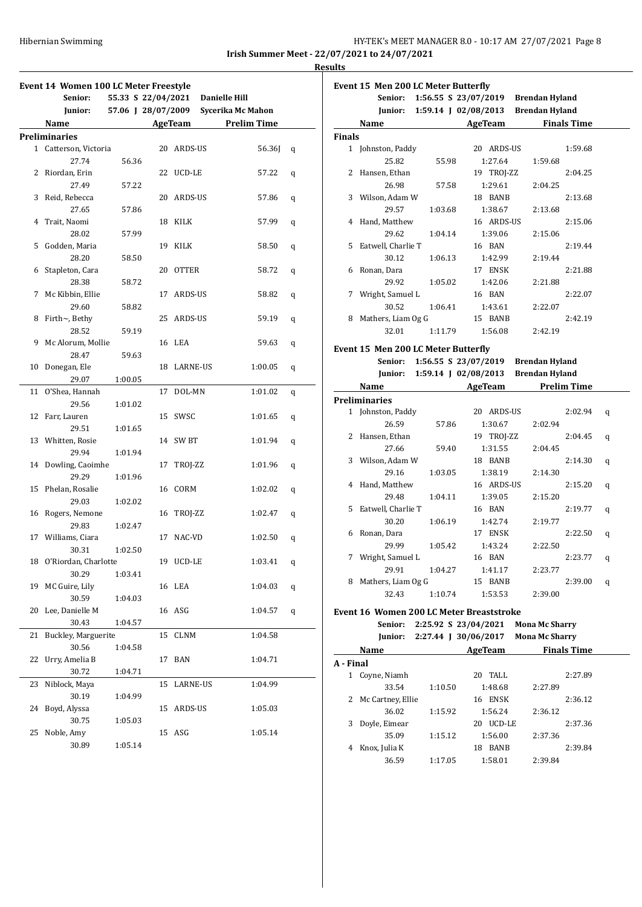**Irish Summer Meet - 22/07/2021 to 24/07/2021 Results**

|              | Event 14 Women 100 LC Meter Freestyle |         |                                  |              |                    |   |
|--------------|---------------------------------------|---------|----------------------------------|--------------|--------------------|---|
|              | Senior:                               |         | 55.33 S 22/04/2021 Danielle Hill |              |                    |   |
|              | Junior:                               |         | 57.06 J 28/07/2009               |              | Sycerika Mc Mahon  |   |
|              | Name                                  |         |                                  | AgeTeam      | <b>Prelim Time</b> |   |
|              | <b>Preliminaries</b>                  |         |                                  |              |                    |   |
| $\mathbf{1}$ | Catterson, Victoria                   |         | 20                               | ARDS-US      | 56.36J             | q |
|              | 27.74                                 | 56.36   |                                  |              |                    |   |
| 2            | Riordan, Erin                         |         | 22                               | UCD-LE       | 57.22              | q |
|              | 27.49                                 | 57.22   |                                  |              |                    |   |
| 3            | Reid, Rebecca                         |         | 20                               | ARDS-US      | 57.86              | q |
|              | 27.65                                 | 57.86   |                                  |              |                    |   |
| 4            | Trait, Naomi                          |         | 18                               | KILK         | 57.99              | q |
|              | 28.02                                 | 57.99   |                                  |              |                    |   |
| 5            | Godden, Maria                         |         | 19                               | KILK         | 58.50              |   |
|              |                                       |         |                                  |              |                    | q |
|              | 28.20                                 | 58.50   |                                  |              |                    |   |
| 6            | Stapleton, Cara                       |         | 20                               | <b>OTTER</b> | 58.72              | q |
|              | 28.38                                 | 58.72   |                                  |              |                    |   |
| 7            | Mc Kibbin, Ellie                      |         | 17                               | ARDS-US      | 58.82              | q |
|              | 29.60                                 | 58.82   |                                  |              |                    |   |
| 8            | Firth~, Bethy                         |         | 25                               | ARDS-US      | 59.19              | q |
|              | 28.52                                 | 59.19   |                                  |              |                    |   |
| 9            | Mc Alorum, Mollie                     |         | 16                               | LEA          | 59.63              | q |
|              | 28.47                                 | 59.63   |                                  |              |                    |   |
| 10           | Donegan, Ele                          |         | 18                               | LARNE-US     | 1:00.05            | q |
|              | 29.07                                 | 1:00.05 |                                  |              |                    |   |
| 11           | O'Shea, Hannah                        |         | 17                               | DOL-MN       | 1:01.02            | q |
|              | 29.56                                 | 1:01.02 |                                  |              |                    |   |
| 12           | Farr, Lauren                          |         | 15                               | SWSC         | 1:01.65            | q |
|              | 29.51                                 | 1:01.65 |                                  |              |                    |   |
| 13           | Whitten, Rosie                        |         | 14                               | SW BT        | 1:01.94            | q |
|              | 29.94                                 | 1:01.94 |                                  |              |                    |   |
| 14           | Dowling, Caoimhe                      |         | 17                               | TROJ-ZZ      | 1:01.96            | q |
|              | 29.29                                 | 1:01.96 |                                  |              |                    |   |
| 15           | Phelan, Rosalie                       |         | 16                               | CORM         | 1:02.02            | q |
|              | 29.03                                 | 1:02.02 |                                  |              |                    |   |
| 16           | Rogers, Nemone                        |         | 16                               | TROJ-ZZ      | 1:02.47            | q |
|              | 29.83                                 | 1:02.47 |                                  |              |                    |   |
|              | 17 Williams, Ciara                    |         | 17                               | NAC-VD       | 1:02.50            | q |
|              | 30.31                                 | 1:02.50 |                                  |              |                    |   |
|              | 18 O'Riordan, Charlotte               |         |                                  | 19 UCD-LE    | 1:03.41            | q |
|              | 30.29                                 | 1:03.41 |                                  |              |                    |   |
| 19           | MC Guire, Lily                        |         |                                  | 16 LEA       | 1:04.03            | q |
|              | 30.59                                 | 1:04.03 |                                  |              |                    |   |
| 20           | Lee, Danielle M                       |         |                                  | 16 ASG       | 1:04.57            | q |
|              | 30.43                                 | 1:04.57 |                                  |              |                    |   |
| 21           | Buckley, Marguerite                   |         | 15                               | <b>CLNM</b>  | 1:04.58            |   |
|              | 30.56                                 | 1:04.58 |                                  |              |                    |   |
| 22           | Urry, Amelia B                        |         | 17                               | BAN          | 1:04.71            |   |
|              | 30.72                                 | 1:04.71 |                                  |              |                    |   |
| 23           | Niblock, Maya                         |         | 15                               | LARNE-US     | 1:04.99            |   |
|              |                                       |         |                                  |              |                    |   |
|              | 30.19                                 | 1:04.99 |                                  |              |                    |   |
| 24           | Boyd, Alyssa                          |         | 15                               | ARDS-US      | 1:05.03            |   |
|              | 30.75                                 | 1:05.03 |                                  |              |                    |   |
| 25           | Noble, Amy                            |         |                                  | 15 ASG       | 1:05.14            |   |
|              | 30.89                                 | 1:05.14 |                                  |              |                    |   |

|                | Event 15 Men 200 LC Meter Butterfly             |         |                      |                                     |                    |   |  |  |  |  |
|----------------|-------------------------------------------------|---------|----------------------|-------------------------------------|--------------------|---|--|--|--|--|
|                | Senior:                                         |         |                      | 1:56.55 S 23/07/2019 Brendan Hyland |                    |   |  |  |  |  |
|                | Junior:                                         |         |                      | 1:59.14 J 02/08/2013 Brendan Hyland |                    |   |  |  |  |  |
|                | Name                                            |         | AgeTeam              |                                     | <b>Finals Time</b> |   |  |  |  |  |
| <b>Finals</b>  |                                                 |         |                      |                                     |                    |   |  |  |  |  |
|                | 1 Johnston, Paddy                               |         | 20 ARDS-US           |                                     | 1:59.68            |   |  |  |  |  |
|                | 25.82                                           | 55.98   | 1:27.64              | 1:59.68                             |                    |   |  |  |  |  |
| $\overline{2}$ | Hansen, Ethan                                   |         | 19 TROJ-ZZ           |                                     | 2:04.25            |   |  |  |  |  |
|                | 26.98                                           | 57.58   | 1:29.61              | 2:04.25                             |                    |   |  |  |  |  |
|                | 3 Wilson, Adam W                                |         | 18 BANB              |                                     | 2:13.68            |   |  |  |  |  |
|                | 29.57                                           | 1:03.68 | 1:38.67              | 2:13.68                             |                    |   |  |  |  |  |
|                | 4 Hand, Matthew                                 |         | 16 ARDS-US           |                                     | 2:15.06            |   |  |  |  |  |
|                | 29.62                                           | 1:04.14 | 1:39.06              | 2:15.06                             |                    |   |  |  |  |  |
|                | 5 Eatwell, Charlie T                            |         | 16 BAN               |                                     | 2:19.44            |   |  |  |  |  |
|                | 30.12                                           | 1:06.13 | 1:42.99              | 2:19.44                             |                    |   |  |  |  |  |
|                | 6 Ronan, Dara                                   |         | 17 ENSK              |                                     | 2:21.88            |   |  |  |  |  |
|                | 29.92                                           | 1:05.02 | 1:42.06              | 2:21.88                             |                    |   |  |  |  |  |
| 7              | Wright, Samuel L                                |         | 16 BAN               |                                     | 2:22.07            |   |  |  |  |  |
|                | 30.52                                           | 1:06.41 | 1:43.61              | 2:22.07                             |                    |   |  |  |  |  |
|                | 8 Mathers, Liam Og G                            |         | 15 BANB              |                                     | 2:42.19            |   |  |  |  |  |
|                | 32.01                                           | 1:11.79 | 1:56.08              | 2:42.19                             |                    |   |  |  |  |  |
|                |                                                 |         |                      |                                     |                    |   |  |  |  |  |
|                | Event 15 Men 200 LC Meter Butterfly             |         |                      |                                     |                    |   |  |  |  |  |
|                | Senior:                                         |         |                      | 1:56.55 S 23/07/2019 Brendan Hyland |                    |   |  |  |  |  |
|                | Junior:                                         |         |                      | 1:59.14 J 02/08/2013 Brendan Hyland |                    |   |  |  |  |  |
|                | Name                                            |         |                      | AgeTeam Prelim Time                 |                    |   |  |  |  |  |
|                | <b>Preliminaries</b>                            |         |                      |                                     |                    |   |  |  |  |  |
|                | 1 Johnston, Paddy                               |         | 20 ARDS-US           |                                     | 2:02.94            | q |  |  |  |  |
|                | 26.59                                           | 57.86   | 1:30.67              | 2:02.94                             |                    |   |  |  |  |  |
|                | 2 Hansen, Ethan                                 |         | 19 TROJ-ZZ           |                                     | 2:04.45            | q |  |  |  |  |
|                | 27.66                                           | 59.40   | 1:31.55              | 2:04.45                             |                    |   |  |  |  |  |
| 3              | Wilson, Adam W                                  |         | 18 BANB              |                                     | 2:14.30            | q |  |  |  |  |
|                | 29.16                                           | 1:03.05 | 1:38.19              | 2:14.30                             |                    |   |  |  |  |  |
|                | 4 Hand, Matthew                                 |         | 16 ARDS-US           |                                     | 2:15.20            | q |  |  |  |  |
|                | 29.48                                           | 1:04.11 | 1:39.05              | 2:15.20                             |                    |   |  |  |  |  |
| 5              | Eatwell, Charlie T                              |         | 16 BAN               |                                     | 2:19.77            | q |  |  |  |  |
|                | 30.20                                           | 1:06.19 | 1:42.74              | 2:19.77                             |                    |   |  |  |  |  |
|                | 6 Ronan, Dara                                   |         | 17 ENSK              |                                     | 2:22.50            | q |  |  |  |  |
|                | 29.99                                           | 1:05.42 | 1:43.24              | 2:22.50                             |                    |   |  |  |  |  |
|                | 7 Wright, Samuel L                              |         | 16 BAN               |                                     | 2:23.77            | q |  |  |  |  |
|                | 29.91                                           | 1:04.27 | 1:41.17              | 2:23.77                             |                    |   |  |  |  |  |
|                | 8 Mathers, Liam Og G                            |         | 15 BANB              |                                     | 2:39.00            | q |  |  |  |  |
|                | 32.43                                           | 1:10.74 | 1:53.53              | 2:39.00                             |                    |   |  |  |  |  |
|                | <b>Event 16 Women 200 LC Meter Breaststroke</b> |         |                      |                                     |                    |   |  |  |  |  |
|                | Senior:                                         |         | 2:25.92 S 23/04/2021 | <b>Mona Mc Sharry</b>               |                    |   |  |  |  |  |
|                | Junior:                                         |         | 2:27.44 J 30/06/2017 | <b>Mona Mc Sharry</b>               |                    |   |  |  |  |  |
|                | Name                                            |         | AgeTeam              |                                     | <b>Finals Time</b> |   |  |  |  |  |
| A - Final      |                                                 |         |                      |                                     |                    |   |  |  |  |  |
|                |                                                 |         |                      |                                     |                    |   |  |  |  |  |
|                | 1 Coyne, Niamh                                  |         | 20 TALL              |                                     | 2:27.89            |   |  |  |  |  |
| 2              | 33.54<br>Mc Cartney, Ellie                      | 1:10.50 | 1:48.68              | 2:27.89                             | 2:36.12            |   |  |  |  |  |
|                |                                                 |         | 16 ENSK              |                                     |                    |   |  |  |  |  |

36.02 1:15.92 1:56.24 2:36.12 3 Doyle, Eimear 20 UCD-LE 2:37.36 35.09 1:15.12 1:56.00 2:37.36 4 Knox, Julia K 18 BANB 2:39.84 36.59 1:17.05 1:58.01 2:39.84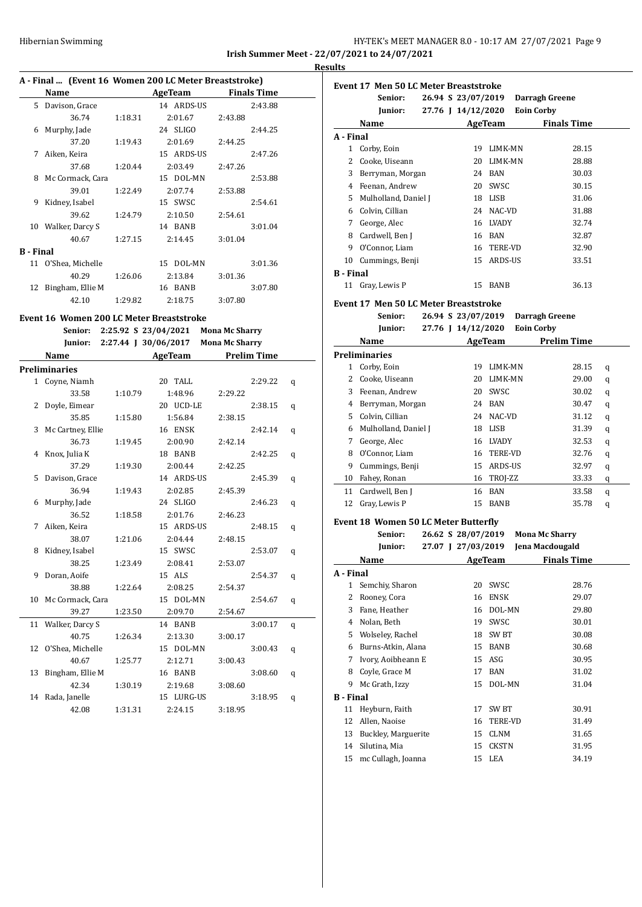## Hibernian Swimming HY-TEK's MEET MANAGER 8.0 - 10:17 AM 27/07/2021 Page 9 **Irish Summer Meet - 22/07/2021 to 24/07/2021**

**Results**

## **A - Final ... (Event 16 Women 200 LC Meter Breaststroke)**

|                  | $A$ - Final  Tevent to women 200 EG Meter Dreaststroke) |         |            |                    |  |  |  |  |  |
|------------------|---------------------------------------------------------|---------|------------|--------------------|--|--|--|--|--|
|                  | Name                                                    |         | AgeTeam    | <b>Finals Time</b> |  |  |  |  |  |
| 5                | Davison, Grace                                          |         | 14 ARDS-US | 2:43.88            |  |  |  |  |  |
|                  | 36.74                                                   | 1:18.31 | 2:01.67    | 2:43.88            |  |  |  |  |  |
| 6                | Murphy, Jade                                            |         | 24 SLIGO   | 2:44.25            |  |  |  |  |  |
|                  | 37.20                                                   | 1:19.43 | 2:01.69    | 2:44.25            |  |  |  |  |  |
| 7                | Aiken, Keira                                            |         | 15 ARDS-US | 2:47.26            |  |  |  |  |  |
|                  | 37.68                                                   | 1:20.44 | 2:03.49    | 2:47.26            |  |  |  |  |  |
| 8                | Mc Cormack, Cara                                        |         | 15 DOL-MN  | 2:53.88            |  |  |  |  |  |
|                  | 39.01                                                   | 1:22.49 | 2:07.74    | 2:53.88            |  |  |  |  |  |
| 9                | Kidney, Isabel                                          |         | 15 SWSC    | 2:54.61            |  |  |  |  |  |
|                  | 39.62                                                   | 1:24.79 | 2:10.50    | 2:54.61            |  |  |  |  |  |
| 10               | Walker, Darcy S                                         |         | 14 BANB    | 3:01.04            |  |  |  |  |  |
|                  | 40.67                                                   | 1:27.15 | 2:14.45    | 3:01.04            |  |  |  |  |  |
| <b>B</b> - Final |                                                         |         |            |                    |  |  |  |  |  |
|                  | 11 O'Shea, Michelle                                     |         | 15 DOL-MN  | 3:01.36            |  |  |  |  |  |
|                  | 40.29                                                   | 1:26.06 | 2:13.84    | 3:01.36            |  |  |  |  |  |
| 12               | Bingham, Ellie M                                        |         | 16 BANB    | 3:07.80            |  |  |  |  |  |
|                  | 42.10                                                   | 1:29.82 | 2:18.75    | 3:07.80            |  |  |  |  |  |
|                  |                                                         |         |            |                    |  |  |  |  |  |

## **Event 16 Women 200 LC Meter Breaststroke**

**Senior: 2:25.92 S 23/04/2021 Mona Mc Sharry**

|    |                      |         | Junior: 2:27.44 J 30/06/2017 Mona Mc Sharry |                     |   |
|----|----------------------|---------|---------------------------------------------|---------------------|---|
|    | Name                 |         |                                             | AgeTeam Prelim Time |   |
|    | <b>Preliminaries</b> |         |                                             |                     |   |
|    | 1 Coyne, Niamh       |         | 20 TALL                                     | 2:29.22             | q |
|    | 33.58                | 1:10.79 | 1:48.96                                     | 2:29.22             |   |
| 2  | Doyle, Eimear        |         | 20 UCD-LE                                   | 2:38.15             | q |
|    | 35.85                | 1:15.80 | 1:56.84                                     | 2:38.15             |   |
| 3  | Mc Cartney, Ellie    |         | 16 ENSK                                     | 2:42.14             | q |
|    | 36.73                | 1:19.45 | 2:00.90                                     | 2:42.14             |   |
| 4  | Knox, Julia K        |         | 18 BANB                                     | 2:42.25             | q |
|    | 37.29                | 1:19.30 | 2:00.44                                     | 2:42.25             |   |
| 5  | Davison, Grace       |         | 14 ARDS-US                                  | 2:45.39             | q |
|    | 36.94                | 1:19.43 | 2:02.85                                     | 2:45.39             |   |
| 6  | Murphy, Jade         |         | 24 SLIGO                                    | 2:46.23             | q |
|    | 36.52                | 1:18.58 | 2:01.76                                     | 2:46.23             |   |
| 7  | Aiken, Keira         |         | 15 ARDS-US                                  | 2:48.15             | q |
|    | 38.07                | 1:21.06 | 2:04.44                                     | 2:48.15             |   |
| 8  | Kidney, Isabel       |         | 15 SWSC                                     | 2:53.07             | q |
|    | 38.25                | 1:23.49 | 2:08.41                                     | 2:53.07             |   |
| 9  | Doran, Aoife         |         | 15 ALS                                      | 2:54.37             | q |
|    | 38.88                | 1:22.64 | 2:08.25                                     | 2:54.37             |   |
|    | 10 Mc Cormack, Cara  |         | 15 DOL-MN                                   | 2:54.67             | q |
|    | 39.27                | 1:23.50 | 2:09.70                                     | 2:54.67             |   |
|    | 11 Walker, Darcy S   |         | 14 BANB                                     | 3:00.17             | q |
|    | 40.75                | 1:26.34 | 2:13.30                                     | 3:00.17             |   |
|    | 12 O'Shea, Michelle  |         | 15 DOL-MN                                   | 3:00.43             | q |
|    | 40.67                | 1:25.77 | 2:12.71                                     | 3:00.43             |   |
| 13 | Bingham, Ellie M     |         | 16 BANB                                     | 3:08.60             | q |
|    | 42.34                | 1:30.19 | 2:19.68                                     | 3:08.60             |   |
|    | 14 Rada, Janelle     |         | 15 LURG-US                                  | 3:18.95             | q |
|    | 42.08                | 1:31.31 | 2:24.15                                     | 3:18.95             |   |

| Event 17 Men 50 LC Meter Breaststroke |                      |  |                    |                |                   |                    |  |
|---------------------------------------|----------------------|--|--------------------|----------------|-------------------|--------------------|--|
|                                       | Senior:              |  | 26.94 S 23/07/2019 |                |                   | Darragh Greene     |  |
|                                       | Junior:              |  | 27.76 J 14/12/2020 |                | <b>Eoin Corby</b> |                    |  |
|                                       | Name                 |  |                    | AgeTeam        |                   | <b>Finals Time</b> |  |
| A - Final                             |                      |  |                    |                |                   |                    |  |
|                                       | Corby, Eoin          |  | 19                 | LIMK-MN        |                   | 28.15              |  |
| 2                                     | Cooke, Uiseann       |  | 20                 | <b>LIMK-MN</b> |                   | 28.88              |  |
| 3                                     | Berryman, Morgan     |  | 24                 | <b>BAN</b>     |                   | 30.03              |  |
| 4                                     | Feenan, Andrew       |  | 20                 | SWSC           |                   | 30.15              |  |
| 5.                                    | Mulholland, Daniel J |  | 18                 | <b>LISB</b>    |                   | 31.06              |  |
| 6                                     | Colvin, Cillian      |  | 24                 | NAC-VD         |                   | 31.88              |  |
| 7                                     | George, Alec         |  | 16                 | LVADY          |                   | 32.74              |  |
| 8                                     | Cardwell, Ben J      |  | 16                 | BAN            |                   | 32.87              |  |
| 9                                     | O'Connor, Liam       |  | 16                 | <b>TERE-VD</b> |                   | 32.90              |  |
| 10                                    | Cummings, Benji      |  | 15                 | ARDS-US        |                   | 33.51              |  |
| <b>B</b> - Final                      |                      |  |                    |                |                   |                    |  |
| 11                                    | Gray, Lewis P        |  | 15                 | <b>BANB</b>    |                   | 36.13              |  |

## **Event 17 Men 50 LC Meter Breaststroke**

**Senior: 26.94 S 23/07/2019 Darragh Greene**

| Junior:              |    |            | <b>Eoin Corby</b>             |                                                                                      |
|----------------------|----|------------|-------------------------------|--------------------------------------------------------------------------------------|
| Name                 |    |            | <b>Prelim Time</b>            |                                                                                      |
| <b>Preliminaries</b> |    |            |                               |                                                                                      |
| Corby, Eoin          | 19 |            | 28.15                         | q                                                                                    |
| Cooke, Uiseann       | 20 |            | 29.00                         | q                                                                                    |
| Feenan, Andrew       | 20 | SWSC       | 30.02                         | q                                                                                    |
| Berryman, Morgan     | 24 | <b>BAN</b> | 30.47                         | q                                                                                    |
| Colvin, Cillian      | 24 |            | 31.12                         | q                                                                                    |
| Mulholland, Daniel J | 18 | LISB       | 31.39                         | q                                                                                    |
| George, Alec         | 16 |            | 32.53                         | q                                                                                    |
| O'Connor, Liam       | 16 |            | 32.76                         | q                                                                                    |
| Cummings, Benji      | 15 |            | 32.97                         | q                                                                                    |
| Fahey, Ronan         | 16 |            | 33.33                         | q                                                                                    |
| Cardwell, Ben J      | 16 | BAN        | 33.58                         | q                                                                                    |
| Gray, Lewis P        | 15 | BANB       | 35.78                         | q                                                                                    |
|                      |    |            | 27.76 J 14/12/2020<br>AgeTeam | LIMK-MN<br>LIMK-MN<br>NAC-VD<br><b>LVADY</b><br><b>TERE-VD</b><br>ARDS-US<br>TROJ-ZZ |

## **Event 18 Women 50 LC Meter Butterfly**

|                  | Senior:             |  | 26.62 S 28/07/2019 |                  | <b>Mona Mc Sharry</b> |
|------------------|---------------------|--|--------------------|------------------|-----------------------|
|                  | Junior:             |  | 27.07 J 27/03/2019 |                  | Jena Macdougald       |
|                  | Name                |  |                    | <b>AgeTeam</b>   | <b>Finals Time</b>    |
| A - Final        |                     |  |                    |                  |                       |
| 1                | Semchiy, Sharon     |  | 20                 | SWSC             | 28.76                 |
| 2                | Rooney, Cora        |  | 16                 | <b>ENSK</b>      | 29.07                 |
| 3                | Fane, Heather       |  | 16                 | DOL-MN           | 29.80                 |
| 4                | Nolan, Beth         |  | 19                 | SWSC             | 30.01                 |
| 5                | Wolseley, Rachel    |  | 18                 | SW <sub>BT</sub> | 30.08                 |
| 6                | Burns-Atkin, Alana  |  | 15                 | <b>BANB</b>      | 30.68                 |
| 7                | Ivory, Aoibheann E  |  | 15                 | ASG              | 30.95                 |
| 8                | Coyle, Grace M      |  | 17                 | <b>BAN</b>       | 31.02                 |
| 9                | Mc Grath, Izzy      |  | 15                 | DOL-MN           | 31.04                 |
| <b>B</b> - Final |                     |  |                    |                  |                       |
| 11               | Heyburn, Faith      |  | 17                 | SW <sub>BT</sub> | 30.91                 |
| 12               | Allen, Naoise       |  | 16                 | TERE-VD          | 31.49                 |
| 13               | Buckley, Marguerite |  | 15                 | <b>CLNM</b>      | 31.65                 |
| 14               | Silutina, Mia       |  | 15                 | <b>CKSTN</b>     | 31.95                 |
| 15               | mc Cullagh, Joanna  |  | 15                 | LEA              | 34.19                 |
|                  |                     |  |                    |                  |                       |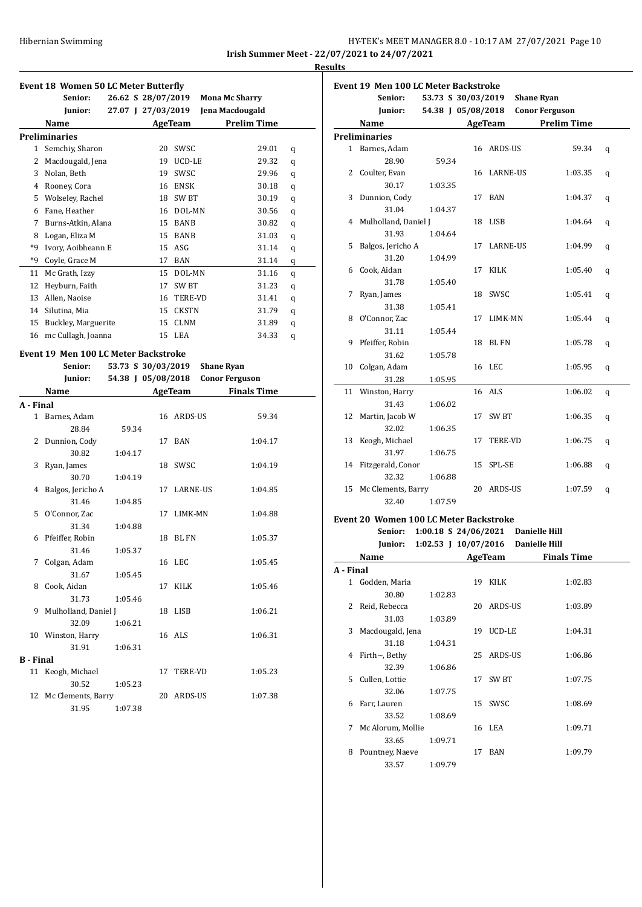## HY-TEK's MEET MANAGER 8.0 - 10:17 AM 27/07/2021 Page 10 **Irish Summer Meet - 22/07/2021 to 24/07/2021**

**Results**

#### **Event 18 Women 50 LC Meter Butterfly**

|      | Event to women so it meter butterily |                    |                |                |                       |                    |   |
|------|--------------------------------------|--------------------|----------------|----------------|-----------------------|--------------------|---|
|      | Senior:                              | 26.62 S 28/07/2019 |                |                | <b>Mona Mc Sharry</b> |                    |   |
|      | Junior:                              | 27.07 J 27/03/2019 |                |                | Jena Macdougald       |                    |   |
|      | Name                                 |                    | <b>AgeTeam</b> |                |                       | <b>Prelim Time</b> |   |
|      | Preliminaries                        |                    |                |                |                       |                    |   |
| 1    | Semchiy, Sharon                      |                    | 20             | SWSC.          |                       | 29.01              | q |
| 2    | Macdougald, Jena                     |                    | 19             | UCD-LE         |                       | 29.32              | q |
| 3    | Nolan, Beth                          |                    | 19             | SWSC           |                       | 29.96              | q |
| 4    | Rooney, Cora                         |                    | 16             | <b>ENSK</b>    |                       | 30.18              | q |
| 5    | Wolseley, Rachel                     |                    | 18             | SW BT          |                       | 30.19              | q |
| 6    | Fane, Heather                        |                    | 16             | DOL-MN         |                       | 30.56              | q |
| 7    | Burns-Atkin, Alana                   |                    | 15             | <b>BANB</b>    |                       | 30.82              | q |
| 8    | Logan, Eliza M                       |                    | 15             | <b>BANB</b>    |                       | 31.03              | q |
| *9   | Ivory, Aoibheann E                   |                    | 15             | ASG            |                       | 31.14              | q |
| $*q$ | Coyle, Grace M                       |                    | 17             | <b>BAN</b>     |                       | 31.14              | q |
| 11   | Mc Grath, Izzy                       |                    | 15             | DOL-MN         |                       | 31.16              | q |
| 12   | Heyburn, Faith                       |                    | 17             | SW BT          |                       | 31.23              | q |
| 13   | Allen, Naoise                        |                    | 16             | <b>TERE-VD</b> |                       | 31.41              | q |
| 14   | Silutina, Mia                        |                    | 15             | <b>CKSTN</b>   |                       | 31.79              | q |
| 15   | Buckley, Marguerite                  |                    | 15             | <b>CLNM</b>    |                       | 31.89              | q |
| 16   | mc Cullagh, Joanna                   |                    | 15             | LEA            |                       | 34.33              | q |
|      |                                      |                    |                |                |                       |                    |   |

## **Event 19 Men 100 LC Meter Backstroke**

|                  | Senior:                | 53.73 S 30/03/2019 |    |                | <b>Shane Ryan</b>     |       |
|------------------|------------------------|--------------------|----|----------------|-----------------------|-------|
|                  | Junior:                | 54.38 J 05/08/2018 |    |                | <b>Conor Ferguson</b> |       |
|                  | Name                   |                    |    | AgeTeam        | <b>Finals Time</b>    |       |
| A - Final        |                        |                    |    |                |                       |       |
|                  | 1 Barnes, Adam         |                    |    | 16 ARDS-US     |                       | 59.34 |
|                  | 28.84                  | 59.34              |    |                |                       |       |
| 2                | Dunnion, Cody          |                    |    | 17 BAN         | 1:04.17               |       |
|                  | 30.82                  | 1:04.17            |    |                |                       |       |
| 3                | Ryan, James            |                    |    | 18 SWSC        | 1:04.19               |       |
|                  | 30.70                  | 1:04.19            |    |                |                       |       |
| 4                | Balgos, Jericho A      |                    |    | 17 LARNE-US    | 1:04.85               |       |
|                  | 31.46                  | 1:04.85            |    |                |                       |       |
|                  | 5 O'Connor, Zac        |                    |    | 17 LIMK-MN     | 1:04.88               |       |
|                  | 31.34                  | 1:04.88            |    |                |                       |       |
|                  | 6 Pfeiffer, Robin      |                    |    | 18 BL FN       | 1:05.37               |       |
|                  | 31.46                  | 1:05.37            |    |                |                       |       |
| 7                | Colgan, Adam           |                    |    | 16 LEC         | 1:05.45               |       |
|                  | 31.67                  | 1:05.45            |    |                |                       |       |
|                  | 8 Cook, Aidan          |                    |    | 17 KILK        | 1:05.46               |       |
|                  | 31.73                  | 1:05.46            |    |                |                       |       |
|                  | 9 Mulholland, Daniel J |                    |    | 18 LISB        | 1:06.21               |       |
|                  | 32.09                  | 1:06.21            |    |                |                       |       |
|                  | 10 Winston, Harry      |                    |    | 16 ALS         | 1:06.31               |       |
|                  | 31.91                  | 1:06.31            |    |                |                       |       |
| <b>B</b> - Final |                        |                    |    |                |                       |       |
|                  | 11 Keogh, Michael      |                    | 17 | <b>TERE-VD</b> | 1:05.23               |       |
|                  | 30.52                  | 1:05.23            |    |                |                       |       |
| 12               | Mc Clements, Barry     |                    | 20 | ARDS-US        | 1:07.38               |       |
|                  | 31.95                  | 1:07.38            |    |                |                       |       |

|    | <b>Event 19 Men 100 LC Meter Backstroke</b> |                    |    |                |                       |   |  |
|----|---------------------------------------------|--------------------|----|----------------|-----------------------|---|--|
|    | Senior:                                     | 53.73 S 30/03/2019 |    |                | <b>Shane Ryan</b>     |   |  |
|    | Junior:                                     | 54.38 J 05/08/2018 |    |                | <b>Conor Ferguson</b> |   |  |
|    | Name                                        |                    |    | AgeTeam        | <b>Prelim Time</b>    |   |  |
|    | <b>Preliminaries</b>                        |                    |    |                |                       |   |  |
|    | 1 Barnes, Adam                              |                    |    | 16 ARDS-US     | 59.34                 | q |  |
|    | 28.90                                       | 59.34              |    |                |                       |   |  |
|    | 2 Coulter, Evan                             |                    |    | 16 LARNE-US    | 1:03.35               | q |  |
|    | 30.17                                       | 1:03.35            |    |                |                       |   |  |
| 3  | Dunnion, Cody                               |                    |    | 17 BAN         | 1:04.37               | q |  |
|    | 31.04                                       | 1:04.37            |    |                |                       |   |  |
| 4  | Mulholland, Daniel J                        |                    |    | 18 LISB        | 1:04.64               | q |  |
|    | 31.93                                       | 1:04.64            |    |                |                       |   |  |
| 5  | Balgos, Jericho A                           |                    |    | 17 LARNE-US    | 1:04.99               | q |  |
|    | 31.20                                       | 1:04.99            |    |                |                       |   |  |
| 6  | Cook, Aidan                                 |                    | 17 | KILK           | 1:05.40               | q |  |
|    | 31.78                                       | 1:05.40            |    |                |                       |   |  |
| 7  | Ryan, James                                 |                    |    | 18 SWSC        | 1:05.41               | q |  |
|    | 31.38                                       | 1:05.41            |    |                |                       |   |  |
| 8  | O'Connor, Zac                               |                    | 17 | LIMK-MN        | 1:05.44               | q |  |
|    | 31.11                                       | 1:05.44            |    |                |                       |   |  |
| 9  | Pfeiffer, Robin                             |                    |    | 18 BLFN        | 1:05.78               | q |  |
|    | 31.62                                       | 1:05.78            |    |                |                       |   |  |
| 10 | Colgan, Adam                                |                    |    | 16 LEC         | 1:05.95               | q |  |
|    | 31.28                                       | 1:05.95            |    |                |                       |   |  |
| 11 | Winston, Harry                              |                    |    | 16 ALS         | 1:06.02               | q |  |
|    | 31.43                                       | 1:06.02            |    |                |                       |   |  |
| 12 | Martin, Jacob W                             |                    | 17 | <b>SW BT</b>   | 1:06.35               | q |  |
|    | 32.02                                       | 1:06.35            |    |                |                       |   |  |
| 13 | Keogh, Michael                              |                    | 17 | <b>TERE-VD</b> | 1:06.75               | q |  |
|    | 31.97                                       | 1:06.75            |    |                |                       |   |  |
| 14 | Fitzgerald, Conor                           |                    |    | 15 SPL-SE      | 1:06.88               | q |  |
|    | 32.32                                       | 1:06.88            |    |                |                       |   |  |
| 15 | Mc Clements, Barry                          |                    |    | 20 ARDS-US     | 1:07.59               | q |  |
|    | 32.40                                       | 1:07.59            |    |                |                       |   |  |
|    |                                             |                    |    |                |                       |   |  |

## **Event 20 Women 100 LC Meter Backstroke**

**Senior: 1:00.18 S 24/06/2021 Danielle Hill Junior: 1:02.53 J 10/07/2016 Danielle Hill**

|           | Name              |         |    | AgeTeam           | <b>Finals Time</b> |  |
|-----------|-------------------|---------|----|-------------------|--------------------|--|
| A - Final |                   |         |    |                   |                    |  |
| 1         | Godden, Maria     |         | 19 | KILK              | 1:02.83            |  |
|           | 30.80             | 1:02.83 |    |                   |                    |  |
| 2         | Reid, Rebecca     |         | 20 | ARDS-US           | 1:03.89            |  |
|           | 31.03             | 1:03.89 |    |                   |                    |  |
| 3         | Macdougald, Jena  |         | 19 | UCD-LE            | 1:04.31            |  |
|           | 31.18             | 1:04.31 |    |                   |                    |  |
| 4         | Firth~, Bethy     |         | 25 | ARDS-US           | 1:06.86            |  |
|           | 32.39             | 1:06.86 |    |                   |                    |  |
| 5.        | Cullen, Lottie    |         | 17 | SW <sub>B</sub> T | 1:07.75            |  |
|           | 32.06             | 1:07.75 |    |                   |                    |  |
| 6         | Farr, Lauren      |         | 15 | SWSC              | 1:08.69            |  |
|           | 33.52             | 1:08.69 |    |                   |                    |  |
| 7         | Mc Alorum, Mollie |         |    | 16 LEA            | 1:09.71            |  |
|           | 33.65             | 1:09.71 |    |                   |                    |  |
| 8         | Pountney, Naeve   |         | 17 | BAN               | 1:09.79            |  |
|           | 33.57             | 1:09.79 |    |                   |                    |  |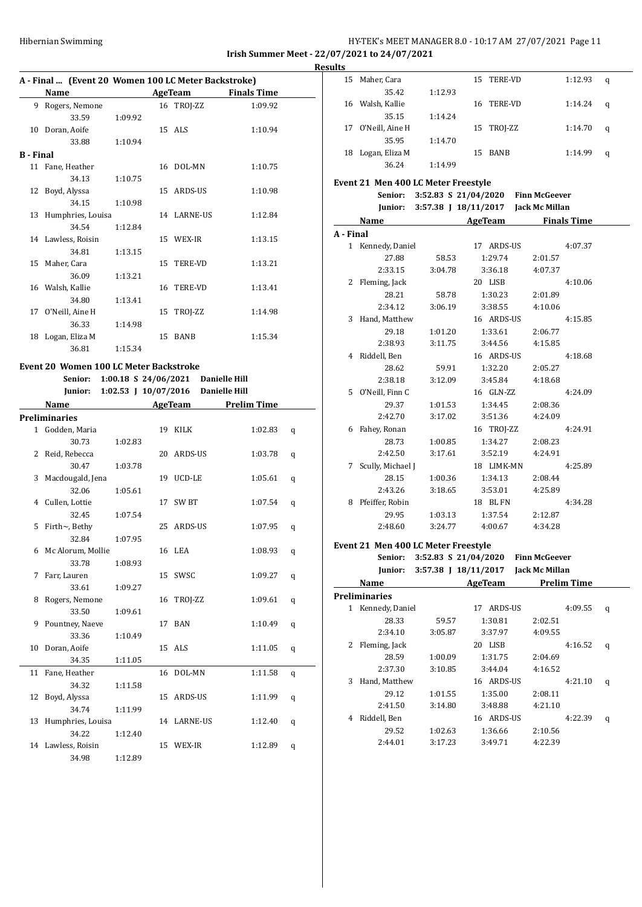## Hibernian Swimming HY-TEK's MEET MANAGER 8.0 - 10:17 AM 27/07/2021 Page 11 **Irish Summer Meet - 22/07/2021 to 24/07/2021**

**A - Final ... (Event 20 Women 100 LC Meter Backstroke) Name AgeTeam Finals Time** 9 Rogers, Nemone 16 TROJ-ZZ 1:09.92 33.59 1:09.92 10 Doran, Aoife 15 ALS 1:10.94 33.88 1:10.94 **B - Final** 11 Fane, Heather 16 DOL-MN 1:10.75 34.13 1:10.75 12 Boyd, Alyssa 15 ARDS-US 1:10.98 34.15 1:10.98 13 Humphries, Louisa 14 LARNE-US 1:12.84 34.54 1:12.84 14 Lawless, Roisin 15 WEX-IR 1:13.15 34.81 1:13.15 15 Maher, Cara 15 TERE-VD 1:13.21 36.09 1:13.21 16 Walsh, Kallie 16 TERE-VD 1:13.41 34.80 1:13.41 17 O'Neill, Aine H 15 TROJ-ZZ 1:14.98 36.33 1:14.98 18 Logan, Eliza M 15 BANB 1:15.34 36.81 1:15.34

## **Event 20 Women 100 LC Meter Backstroke Senior: 1:00.18 S 24/06/2021 Danielle Hill**

|    |                    |         | Junior: 1:02.53 J 10/07/2016 Danielle Hill |                    |   |
|----|--------------------|---------|--------------------------------------------|--------------------|---|
|    | Name               |         | AgeTeam                                    | <b>Prelim Time</b> |   |
|    | Preliminaries      |         |                                            |                    |   |
|    | 1 Godden, Maria    |         | 19 KILK                                    | 1:02.83            | q |
|    | 30.73              | 1:02.83 |                                            |                    |   |
|    | 2 Reid, Rebecca    |         | 20 ARDS-US                                 | 1:03.78            | q |
|    | 30.47              | 1:03.78 |                                            |                    |   |
| 3  | Macdougald, Jena   |         | 19 UCD-LE                                  | 1:05.61            | q |
|    | 32.06              | 1:05.61 |                                            |                    |   |
|    | 4 Cullen, Lottie   |         | 17 SW BT                                   | 1:07.54            | q |
|    | 32.45              | 1:07.54 |                                            |                    |   |
| 5  | Firth~, Bethy      |         | 25 ARDS-US                                 | 1:07.95            | q |
|    | 32.84              | 1:07.95 |                                            |                    |   |
| 6  | Mc Alorum, Mollie  |         | 16 LEA                                     | 1:08.93            | q |
|    | 33.78              | 1:08.93 |                                            |                    |   |
| 7  | Farr, Lauren       |         | 15 SWSC                                    | 1:09.27            | q |
|    | 33.61              | 1:09.27 |                                            |                    |   |
| 8  | Rogers, Nemone     |         | 16 TROJ-ZZ                                 | 1:09.61            | q |
|    | 33.50              | 1:09.61 |                                            |                    |   |
| 9  | Pountney, Naeve    |         | 17 BAN                                     | 1:10.49            | q |
|    | 33.36              | 1:10.49 |                                            |                    |   |
| 10 | Doran, Aoife       |         | 15 ALS                                     | 1:11.05            | q |
|    | 34.35              | 1:11.05 |                                            |                    |   |
|    | 11 Fane, Heather   |         | 16 DOL-MN                                  | 1:11.58            | q |
|    | 34.32              | 1:11.58 |                                            |                    |   |
| 12 | Boyd, Alyssa       |         | 15 ARDS-US                                 | 1:11.99            | q |
|    | 34.74              | 1:11.99 |                                            |                    |   |
| 13 | Humphries, Louisa  |         | 14 LARNE-US                                | 1:12.40            | q |
|    | 34.22              | 1:12.40 |                                            |                    |   |
|    | 14 Lawless, Roisin |         | 15 WEX-IR                                  | 1:12.89            | q |
|    | 34.98              | 1:12.89 |                                            |                    |   |

| <b>Results</b> |                                     |         |                                             |                     |   |
|----------------|-------------------------------------|---------|---------------------------------------------|---------------------|---|
|                | 15 Maher, Cara                      |         | 15 TERE-VD                                  | 1:12.93             | q |
|                | 35.42                               | 1:12.93 |                                             |                     |   |
|                | 16 Walsh, Kallie                    |         | 16 TERE-VD                                  | 1:14.24             | q |
|                | 35.15                               | 1:14.24 |                                             |                     |   |
|                | 17 O'Neill, Aine H                  |         | 15 TROJ-ZZ                                  | 1:14.70             | q |
|                | 35.95                               | 1:14.70 |                                             |                     |   |
|                | 18 Logan, Eliza M                   |         | 15 BANB                                     | 1:14.99             | q |
|                | 36.24                               | 1:14.99 |                                             |                     |   |
|                | Event 21 Men 400 LC Meter Freestyle |         |                                             |                     |   |
|                | Senior:                             |         | 3:52.83 S 21/04/2020 Finn McGeever          |                     |   |
|                |                                     |         | Junior: 3:57.38 J 18/11/2017 Jack Mc Millan |                     |   |
|                | Name                                |         |                                             | AgeTeam Finals Time |   |
| A - Final      |                                     |         |                                             |                     |   |
|                | 1 Kennedy, Daniel                   |         | 17 ARDS-US                                  | 4:07.37             |   |
|                | 27.88                               | 58.53   | 1:29.74                                     | 2:01.57             |   |
|                | 2:33.15                             | 3:04.78 | 3:36.18                                     | 4:07.37             |   |
|                | 2 Fleming, Jack                     |         | 20 LISB                                     | 4:10.06             |   |
|                | 28.21                               | 58.78   | 1:30.23                                     | 2:01.89             |   |
|                | 2:34.12                             | 3:06.19 | 3:38.55                                     | 4:10.06             |   |
|                | 3 Hand, Matthew                     |         | 16 ARDS-US                                  | 4:15.85             |   |
|                | 29.18                               | 1:01.20 | 1:33.61                                     | 2:06.77             |   |
|                | 2:38.93                             | 3:11.75 | 3:44.56                                     | 4:15.85             |   |
|                | 4 Riddell, Ben                      |         | 16 ARDS-US                                  | 4:18.68             |   |
|                | 28.62                               | 59.91   | 1:32.20                                     | 2:05.27             |   |
|                | 2:38.18                             | 3:12.09 | 3:45.84                                     | 4:18.68             |   |
|                | 5 O'Neill, Finn C                   |         | 16 GLN-ZZ                                   | 4:24.09             |   |
|                | 29.37                               | 1:01.53 | 1:34.45                                     | 2:08.36             |   |
|                | 2:42.70                             | 3:17.02 | 3:51.36                                     | 4:24.09             |   |
|                | 6 Fahey, Ronan                      |         | 16 TROJ-ZZ                                  | 4:24.91             |   |
|                | 28.73                               | 1:00.85 | 1:34.27                                     | 2:08.23             |   |
|                | 2:42.50                             | 3:17.61 | 3:52.19                                     | 4:24.91             |   |
|                | 7 Scully, Michael J                 |         | 18 LIMK-MN                                  | 4:25.89             |   |
|                | 28.15                               | 1:00.36 | 1:34.13                                     | 2:08.44             |   |
|                | 2:43.26                             | 3:18.65 | 3:53.01                                     | 4:25.89             |   |
|                | 8 Pfeiffer, Robin                   |         | 18 BLFN                                     | 4:34.28             |   |
|                | 29.95                               | 1:03.13 | 1:37.54                                     | 2:12.87             |   |
|                | 2:48.60                             | 3:24.77 | 4:00.67                                     | 4:34.28             |   |
|                | Event 21 Men 400 LC Meter Freestyle |         |                                             |                     |   |
|                |                                     |         | Senior: 3:52.83 S 21/04/2020 Finn McGeever  |                     |   |

|   | JUMUL.               |         | $J_{1}J_{2}J_{3}J_{4}J_{5}J_{6}J_{7}J_{8}J_{8}J_{1}J_{1}J_{2}J_{2}J_{3}J_{1}J_{2}J_{2}J_{3}J_{1}J_{2}J_{2}J_{3}J_{3}J_{4}J_{5}J_{6}J_{7}J_{8}J_{8}J_{9}J_{1}J_{1}J_{2}J_{2}J_{3}J_{1}J_{2}J_{2}J_{3}J_{1}J_{2}J_{2}J_{3}J_{3}J_{4}J_{5}J_{6}J_{7}J_{8}J_{8}J_{1}J_{1}J_{2}J_{2}J_{2}$ | r mm mcuccvci  |                    |   |
|---|----------------------|---------|---------------------------------------------------------------------------------------------------------------------------------------------------------------------------------------------------------------------------------------------------------------------------------------|----------------|--------------------|---|
|   | Junior:              |         | 3:57.38 J 18/11/2017                                                                                                                                                                                                                                                                  | Jack Mc Millan |                    |   |
|   | Name                 |         | AgeTeam                                                                                                                                                                                                                                                                               |                | <b>Prelim Time</b> |   |
|   | <b>Preliminaries</b> |         |                                                                                                                                                                                                                                                                                       |                |                    |   |
| 1 | Kennedy, Daniel      |         | ARDS-US<br>17                                                                                                                                                                                                                                                                         |                | 4:09.55            | q |
|   | 28.33                | 59.57   | 1:30.81                                                                                                                                                                                                                                                                               | 2:02.51        |                    |   |
|   | 2:34.10              | 3:05.87 | 3:37.97                                                                                                                                                                                                                                                                               | 4:09.55        |                    |   |
| 2 | Fleming, Jack        |         | 20 LISB                                                                                                                                                                                                                                                                               |                | 4:16.52            | q |
|   | 28.59                | 1:00.09 | 1:31.75                                                                                                                                                                                                                                                                               | 2:04.69        |                    |   |
|   | 2:37.30              | 3:10.85 | 3:44.04                                                                                                                                                                                                                                                                               | 4:16.52        |                    |   |
| 3 | Hand, Matthew        |         | 16 ARDS-US                                                                                                                                                                                                                                                                            |                | 4:21.10            | q |
|   | 29.12                | 1:01.55 | 1:35.00                                                                                                                                                                                                                                                                               | 2:08.11        |                    |   |
|   | 2:41.50              | 3:14.80 | 3:48.88                                                                                                                                                                                                                                                                               | 4:21.10        |                    |   |
| 4 | Riddell, Ben         |         | 16 ARDS-US                                                                                                                                                                                                                                                                            |                | 4:22.39            | q |
|   | 29.52                | 1:02.63 | 1:36.66                                                                                                                                                                                                                                                                               | 2:10.56        |                    |   |
|   | 2:44.01              | 3:17.23 | 3:49.71                                                                                                                                                                                                                                                                               | 4:22.39        |                    |   |
|   |                      |         |                                                                                                                                                                                                                                                                                       |                |                    |   |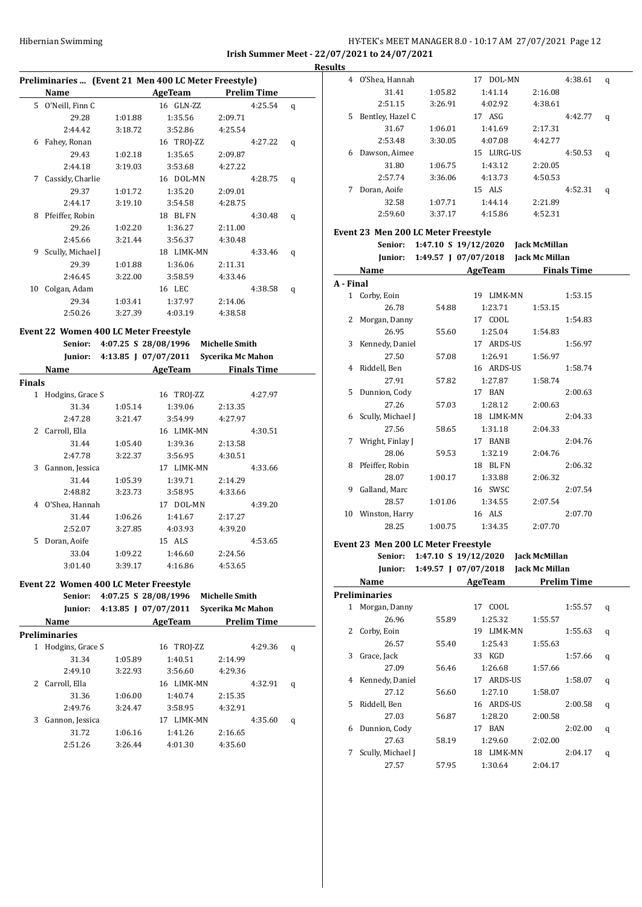## Hibernian Swimming HY-TEK's MEET MANAGER 8.0 - 10:17 AM 27/07/2021 Page 12 **Irish Summer Meet - 22/07/2021 to 24/07/2021**

**Results Preliminaries ... (Event 21 Men 400 LC Meter Freestyle) Name Age Team Prelim Time** 5 O'Neill, Finn C 16 GLN-ZZ 4:25.54 q 29.28 1:01.88 1:35.56 2:09.71 2:44.42 3:18.72 3:52.86 4:25.54 6 Fahey, Ronan 16 TROJ-ZZ 4:27.22 q 29.43 1:02.18 1:35.65 2:09.87 2:44.18 3:19.03 3:53.68 4:27.22 7 Cassidy, Charlie 16 DOL-MN 4:28.75 q 29.37 1:01.72 1:35.20 2:09.01 2:44.17 3:19.10 3:54.58 4:28.75 8 Pfeiffer, Robin 18 BL FN 4:30.48 q 29.26 1:02.20 1:36.27 2:11.00 2:45.66 3:21.44 3:56.37 4:30.48 9 Scully, Michael J 18 LIMK-MN 4:33.46 q 29.39 1:01.88 1:36.06 2:11.31 2:46.45 3:22.00 3:58.59 4:33.46 10 Colgan, Adam 16 LEC 4:38.58 q 29.34 1:03.41 1:37.97 2:14.06 2:50.26 3:27.39 4:03.19 4:38.58

#### **Event 22 Women 400 LC Meter Freestyle**

|               | Senior:<br>Junior: |         | 4:07.25 S 28/08/1996<br>4:13.85   07/07/2011 | <b>Michelle Smith</b><br>Sycerika Mc Mahon |                    |
|---------------|--------------------|---------|----------------------------------------------|--------------------------------------------|--------------------|
|               | Name               |         | AgeTeam                                      |                                            | <b>Finals Time</b> |
| <b>Finals</b> |                    |         |                                              |                                            |                    |
| $\mathbf{1}$  | Hodgins, Grace S   |         | 16 TROJ-ZZ                                   |                                            | 4:27.97            |
|               | 31.34              | 1:05.14 | 1:39.06                                      | 2:13.35                                    |                    |
|               | 2:47.28            | 3:21.47 | 3:54.99                                      | 4:27.97                                    |                    |
| $\mathcal{L}$ | Carroll, Ella      |         | 16 LIMK-MN                                   |                                            | 4:30.51            |
|               | 31.44              | 1:05.40 | 1:39.36                                      | 2:13.58                                    |                    |
|               | 2:47.78            | 3:22.37 | 3:56.95                                      | 4:30.51                                    |                    |
| 3             | Gannon, Jessica    |         | 17 LIMK-MN                                   |                                            | 4:33.66            |
|               | 31.44              | 1:05.39 | 1:39.71                                      | 2:14.29                                    |                    |
|               | 2:48.82            | 3:23.73 | 3:58.95                                      | 4:33.66                                    |                    |
| 4             | O'Shea, Hannah     |         | 17 DOL-MN                                    |                                            | 4:39.20            |
|               | 31.44              | 1:06.26 | 1:41.67                                      | 2:17.27                                    |                    |
|               | 2:52.07            | 3:27.85 | 4:03.93                                      | 4:39.20                                    |                    |
| 5             | Doran, Aoife       |         | 15 ALS                                       |                                            | 4:53.65            |
|               | 33.04              | 1:09.22 | 1:46.60                                      | 2:24.56                                    |                    |
|               | 3:01.40            | 3:39.17 | 4:16.86                                      | 4:53.65                                    |                    |

**Event 22 Women 400 LC Meter Freestyle Senior: 4:07.25 S 28/08/1996 Michelle Smith Junior: 4:13.85 J 07/07/2011 Sycerika Mc Mahon Name AgeTeam Prelim Time Preliminaries** 1 Hodgins, Grace S 16 TROJ-ZZ 4:29.36 q 31.34 1:05.89 1:40.51 2:14.99 2:49.10 3:22.93 3:56.60 4:29.36 2 Carroll, Ella 16 LIMK-MN 4:32.91 q 31.36 1:06.00 1:40.74 2:15.35 2:49.76 3:24.47 3:58.95 4:32.91 3 Gannon, Jessica 17 LIMK-MN 4:35.60 q 31.72 1:06.16 1:41.26 2:16.65 2:51.26 3:26.44 4:01.30 4:35.60

| 4  | O'Shea, Hannah   |         | DOL-MN<br>17   |         | 4:38.61 | q |
|----|------------------|---------|----------------|---------|---------|---|
|    | 31.41            | 1:05.82 | 1:41.14        | 2:16.08 |         |   |
|    | 2:51.15          | 3:26.91 | 4:02.92        | 4:38.61 |         |   |
| 5. | Bentley, Hazel C |         | ASG<br>17      |         | 4:42.77 | q |
|    | 31.67            | 1:06.01 | 1:41.69        | 2:17.31 |         |   |
|    | 2:53.48          | 3:30.05 | 4:07.08        | 4:42.77 |         |   |
| 6  | Dawson, Aimee    |         | LURG-US<br>15. |         | 4:50.53 | q |
|    | 31.80            | 1:06.75 | 1:43.12        | 2:20.05 |         |   |
|    | 2:57.74          | 3:36.06 | 4:13.73        | 4:50.53 |         |   |
|    | Doran, Aoife     |         | 15 ALS         |         | 4:52.31 | q |
|    | 32.58            | 1:07.71 | 1:44.14        | 2:21.89 |         |   |
|    | 2:59.60          | 3:37.17 | 4:15.86        | 4:52.31 |         |   |
|    |                  |         |                |         |         |   |

#### **Event 23 Men 200 LC Meter Freestyle**

|           | Senior:                             |         |            | 1:47.10 S 19/12/2020 Jack McMillan  |   |
|-----------|-------------------------------------|---------|------------|-------------------------------------|---|
|           | Junior:                             |         |            | 1:49.57 J 07/07/2018 Jack Mc Millan |   |
|           | Name                                |         | AgeTeam    | <b>Finals Time</b>                  |   |
| A - Final |                                     |         |            |                                     |   |
|           | 1 Corby, Eoin                       |         | 19 LIMK-MN | 1:53.15                             |   |
|           | 26.78                               | 54.88   | 1:23.71    | 1:53.15                             |   |
| 2         | Morgan, Danny                       |         | 17 COOL    | 1:54.83                             |   |
|           | 26.95                               | 55.60   | 1:25.04    | 1:54.83                             |   |
| 3         | Kennedy, Daniel                     |         | 17 ARDS-US | 1:56.97                             |   |
|           | 27.50                               | 57.08   | 1:26.91    | 1:56.97                             |   |
| 4         | Riddell, Ben                        |         | 16 ARDS-US | 1:58.74                             |   |
|           | 27.91                               | 57.82   | 1:27.87    | 1:58.74                             |   |
| 5.        | Dunnion, Cody                       |         | 17 BAN     | 2:00.63                             |   |
|           | 27.26                               | 57.03   | 1:28.12    | 2:00.63                             |   |
|           | 6 Scully, Michael J                 |         | 18 LIMK-MN | 2:04.33                             |   |
|           | 27.56                               | 58.65   | 1:31.18    | 2:04.33                             |   |
| 7         | Wright, Finlay J                    |         | 17 BANB    | 2:04.76                             |   |
|           | 28.06                               | 59.53   | 1:32.19    | 2:04.76                             |   |
| 8         | Pfeiffer, Robin                     |         | 18 BLFN    | 2:06.32                             |   |
|           | 28.07                               | 1:00.17 | 1:33.88    | 2:06.32                             |   |
| 9         | Galland, Marc                       |         | 16 SWSC    | 2:07.54                             |   |
|           | 28.57                               | 1:01.06 | 1:34.55    | 2:07.54                             |   |
|           | 10 Winston, Harry                   |         | 16 ALS     | 2:07.70                             |   |
|           | 28.25                               | 1:00.75 | 1:34.35    | 2:07.70                             |   |
|           | Event 23 Men 200 LC Meter Freestyle |         |            |                                     |   |
|           | Senior:                             |         |            | 1:47.10 S 19/12/2020 Jack McMillan  |   |
|           | Junior:                             |         |            | 1:49.57 J 07/07/2018 Jack Mc Millan |   |
|           | Name                                |         |            | AgeTeam Prelim Time                 |   |
|           | <b>Preliminaries</b>                |         |            |                                     |   |
|           | 1 Morgan, Danny                     |         | 17 COOL    | 1:55.57                             | q |
|           | 26.96                               | 55.89   | 1:25.32    | 1:55.57                             |   |
|           |                                     |         |            |                                     |   |

|    | 26.96             | 55.89 | 1:25.32              | 1:55.57 |         |   |
|----|-------------------|-------|----------------------|---------|---------|---|
| 2  | Corby, Eoin       |       | <b>LIMK-MN</b><br>19 |         | 1:55.63 | q |
|    | 26.57             | 55.40 | 1:25.43              | 1:55.63 |         |   |
| 3  | Grace, Jack       |       | KGD<br>33            |         | 1:57.66 | q |
|    | 27.09             | 56.46 | 1:26.68              | 1:57.66 |         |   |
| 4  | Kennedy, Daniel   |       | ARDS-US<br>17        |         | 1:58.07 | q |
|    | 27.12             | 56.60 | 1:27.10              | 1:58.07 |         |   |
| 5. | Riddell, Ben      |       | ARDS-US<br>16        |         | 2:00.58 | q |
|    | 27.03             | 56.87 | 1:28.20              | 2:00.58 |         |   |
| 6  | Dunnion, Cody     |       | <b>BAN</b><br>17     |         | 2:02.00 | q |
|    | 27.63             | 58.19 | 1:29.60              | 2:02.00 |         |   |
| 7  | Scully, Michael J |       | <b>LIMK-MN</b><br>18 |         | 2:04.17 | q |
|    | 27.57             | 57.95 | 1:30.64              | 2:04.17 |         |   |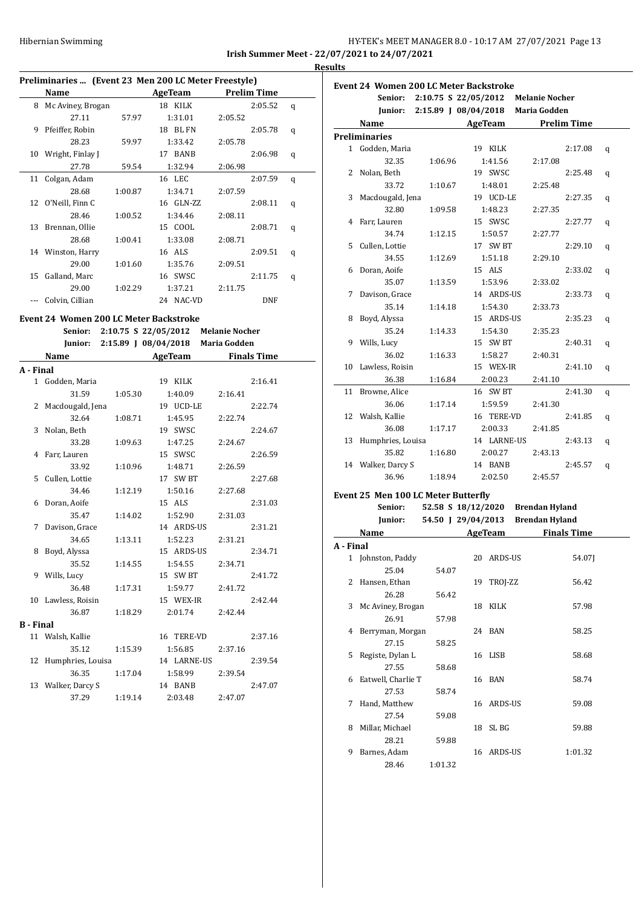|                                              | HY-TEK's MEET MANAGER 8.0 - 10:17 AM 27/07/2021 Page 13 |  |  |
|----------------------------------------------|---------------------------------------------------------|--|--|
| Irish Summer Meet - 22/07/2021 to 24/07/2021 |                                                         |  |  |

**Results**

## **Preliminaries ... (Event 23 Men 200 LC Meter Freestyle)**

|     | 1 Tenninghes  [Brent Bo Then Boo Be Meter Heestyle] |         |           |                    |   |
|-----|-----------------------------------------------------|---------|-----------|--------------------|---|
|     | Name                                                |         | AgeTeam   | <b>Prelim Time</b> |   |
| 8   | Mc Aviney, Brogan                                   |         | 18 KILK   | 2:05.52            | q |
|     | 27.11                                               | 57.97   | 1:31.01   | 2:05.52            |   |
| 9   | Pfeiffer, Robin                                     |         | 18 BL FN  | 2:05.78            | q |
|     | 28.23                                               | 59.97   | 1:33.42   | 2:05.78            |   |
| 10  | Wright, Finlay J                                    |         | 17 BANB   | 2:06.98            | q |
|     | 27.78                                               | 59.54   | 1:32.94   | 2:06.98            |   |
| 11  | Colgan, Adam                                        |         | 16 LEC    | 2:07.59            | q |
|     | 28.68                                               | 1:00.87 | 1:34.71   | 2:07.59            |   |
|     | 12 O'Neill, Finn C                                  |         | 16 GLN-ZZ | 2:08.11            | q |
|     | 28.46                                               | 1:00.52 | 1:34.46   | 2:08.11            |   |
| 13  | Brennan, Ollie                                      |         | 15 COOL   | 2:08.71            | q |
|     | 28.68                                               | 1:00.41 | 1:33.08   | 2:08.71            |   |
|     | 14 Winston, Harry                                   |         | 16 ALS    | 2:09.51            | q |
|     | 29.00                                               | 1:01.60 | 1:35.76   | 2:09.51            |   |
| 15  | Galland, Marc                                       |         | 16 SWSC   | 2:11.75            | q |
|     | 29.00                                               | 1:02.29 | 1:37.21   | 2:11.75            |   |
| --- | Colvin, Cillian                                     |         | 24 NAC-VD | <b>DNF</b>         |   |

#### **Event 24 Women 200 LC Meter Backstroke**

**Senior: 2:10.75 S 22/05/2012 Melanie Nocher**

|                  |                      |         | Junior: 2:15.89 J 08/04/2018 Maria Godden |         |                    |
|------------------|----------------------|---------|-------------------------------------------|---------|--------------------|
|                  | Name                 |         | AgeTeam                                   |         | <b>Finals Time</b> |
| A - Final        |                      |         |                                           |         |                    |
|                  | 1 Godden, Maria      |         | 19 KILK                                   |         | 2:16.41            |
|                  | 31.59                | 1:05.30 | 1:40.09                                   | 2:16.41 |                    |
|                  | 2 Macdougald, Jena   |         | 19 UCD-LE                                 |         | 2:22.74            |
|                  | 32.64                | 1:08.71 | 1:45.95                                   | 2:22.74 |                    |
| 3                | Nolan, Beth          |         | 19 SWSC                                   |         | 2:24.67            |
|                  | 33.28                | 1:09.63 | 1:47.25                                   | 2:24.67 |                    |
|                  | 4 Farr, Lauren       |         | 15 SWSC                                   |         | 2:26.59            |
|                  | 33.92                | 1:10.96 | 1:48.71                                   | 2:26.59 |                    |
|                  | 5 Cullen, Lottie     |         | 17 SW BT                                  |         | 2:27.68            |
|                  | 34.46                | 1:12.19 | 1:50.16                                   | 2:27.68 |                    |
| 6                | Doran, Aoife         |         | 15 ALS                                    |         | 2:31.03            |
|                  | 35.47                | 1:14.02 | 1:52.90                                   | 2:31.03 |                    |
|                  | 7 Davison, Grace     |         | 14 ARDS-US                                |         | 2:31.21            |
|                  | 34.65                | 1:13.11 | 1:52.23                                   | 2:31.21 |                    |
|                  | 8 Boyd, Alyssa       |         | 15 ARDS-US                                |         | 2:34.71            |
|                  | 35.52                | 1:14.55 | 1:54.55                                   | 2:34.71 |                    |
|                  | 9 Wills, Lucy        |         | 15 SW BT                                  |         | 2:41.72            |
|                  | 36.48                | 1:17.31 | 1:59.77                                   | 2:41.72 |                    |
|                  | 10 Lawless, Roisin   |         | 15 WEX-IR                                 |         | 2:42.44            |
|                  | 36.87                | 1:18.29 | 2:01.74                                   | 2:42.44 |                    |
| <b>B</b> - Final |                      |         |                                           |         |                    |
|                  | 11 Walsh, Kallie     |         | 16 TERE-VD                                |         | 2:37.16            |
|                  | 35.12                | 1:15.39 | 1:56.85                                   | 2:37.16 |                    |
|                  | 12 Humphries, Louisa |         | 14 LARNE-US                               |         | 2:39.54            |
|                  | 36.35                | 1:17.04 | 1:58.99                                   | 2:39.54 |                    |
|                  | 13 Walker, Darcy S   |         | 14 BANB                                   |         | 2:47.07            |
|                  | 37.29                | 1:19.14 | 2:03.48                                   | 2:47.07 |                    |

|   | Senior:              |         | 2:10.75 S 22/05/2012 Melanie Nocher       |         |   |
|---|----------------------|---------|-------------------------------------------|---------|---|
|   |                      |         | Junior: 2:15.89 J 08/04/2018 Maria Godden |         |   |
|   | Name                 |         | AgeTeam Prelim Time                       |         |   |
|   | <b>Preliminaries</b> |         |                                           |         |   |
|   | 1 Godden, Maria      |         | 19 KILK                                   | 2:17.08 | q |
|   | 32.35                | 1:06.96 | 1:41.56                                   | 2:17.08 |   |
| 2 | Nolan, Beth          |         | 19 SWSC                                   | 2:25.48 | q |
|   | 33.72                | 1:10.67 | 1:48.01                                   | 2:25.48 |   |
| 3 | Macdougald, Jena     |         | 19 UCD-LE                                 | 2:27.35 | q |
|   | 32.80                | 1:09.58 | 1:48.23                                   | 2:27.35 |   |
|   | 4 Farr, Lauren       |         | 15 SWSC                                   | 2:27.77 | q |
|   | 34.74                | 1:12.15 | 1:50.57                                   | 2:27.77 |   |
| 5 | Cullen, Lottie       |         | 17 SW BT                                  | 2:29.10 | q |
|   | 34.55                | 1:12.69 | 1:51.18                                   | 2:29.10 |   |
| 6 | Doran, Aoife         |         | 15 ALS                                    | 2:33.02 | q |
|   | 35.07                | 1:13.59 | 1:53.96                                   | 2:33.02 |   |
| 7 | Davison, Grace       |         | 14 ARDS-US                                | 2:33.73 | q |
|   | 35.14                | 1:14.18 | 1:54.30                                   | 2:33.73 |   |
| 8 | Boyd, Alyssa         |         | 15 ARDS-US                                | 2:35.23 | q |
|   | 35.24                | 1:14.33 | 1:54.30                                   | 2:35.23 |   |
| 9 | Wills, Lucy          |         | 15 SW BT                                  | 2:40.31 | q |
|   | 36.02                | 1:16.33 | 1:58.27                                   | 2:40.31 |   |
|   | 10 Lawless, Roisin   |         | 15 WEX-IR                                 | 2:41.10 | q |
|   | 36.38                | 1:16.84 | 2:00.23                                   | 2:41.10 |   |
|   | 11 Browne, Alice     |         | 16 SW BT                                  | 2:41.30 | q |
|   | 36.06                | 1:17.14 | 1:59.59                                   | 2:41.30 |   |
|   | 12 Walsh, Kallie     |         | 16 TERE-VD                                | 2:41.85 | q |
|   | 36.08                | 1:17.17 | 2:00.33                                   | 2:41.85 |   |
|   | 13 Humphries, Louisa |         | 14 LARNE-US                               | 2:43.13 | q |
|   | 35.82                | 1:16.80 | 2:00.27                                   | 2:43.13 |   |
|   | 14 Walker, Darcy S   |         | 14 BANB                                   | 2:45.57 | q |
|   | 36.96                | 1:18.94 | 2:02.50                                   | 2:45.57 |   |

#### **Event 25 Men 100 LC Meter Butterfly**

|           | Senior:            | 52.58 S 18/12/2020 |    |            | <b>Brendan Hyland</b> |
|-----------|--------------------|--------------------|----|------------|-----------------------|
|           | Junior:            | 54.50 J 29/04/2013 |    |            | <b>Brendan Hyland</b> |
|           | Name               |                    |    | AgeTeam    | <b>Finals Time</b>    |
| A - Final |                    |                    |    |            |                       |
|           | 1 Johnston, Paddy  |                    |    | 20 ARDS-US | 54.071                |
|           | 25.04              | 54.07              |    |            |                       |
| 2         | Hansen, Ethan      |                    |    | 19 TROJ-ZZ | 56.42                 |
|           | 26.28              | 56.42              |    |            |                       |
| 3         | Mc Aviney, Brogan  |                    |    | 18 KILK    | 57.98                 |
|           | 26.91              | 57.98              |    |            |                       |
| 4         | Berryman, Morgan   |                    |    | 24 BAN     | 58.25                 |
|           | 27.15              | 58.25              |    |            |                       |
| 5         | Registe, Dylan L   |                    |    | 16 LISB    | 58.68                 |
|           | 27.55              | 58.68              |    |            |                       |
| 6         | Eatwell, Charlie T |                    |    | 16 BAN     | 58.74                 |
|           | 27.53              | 58.74              |    |            |                       |
| 7         | Hand, Matthew      |                    |    | 16 ARDS-US | 59.08                 |
|           | 27.54              | 59.08              |    |            |                       |
| 8         | Millar, Michael    |                    |    | 18 SLBG    | 59.88                 |
|           | 28.21              | 59.88              |    |            |                       |
| 9         | Barnes, Adam       |                    | 16 | ARDS-US    | 1:01.32               |
|           | 28.46              | 1:01.32            |    |            |                       |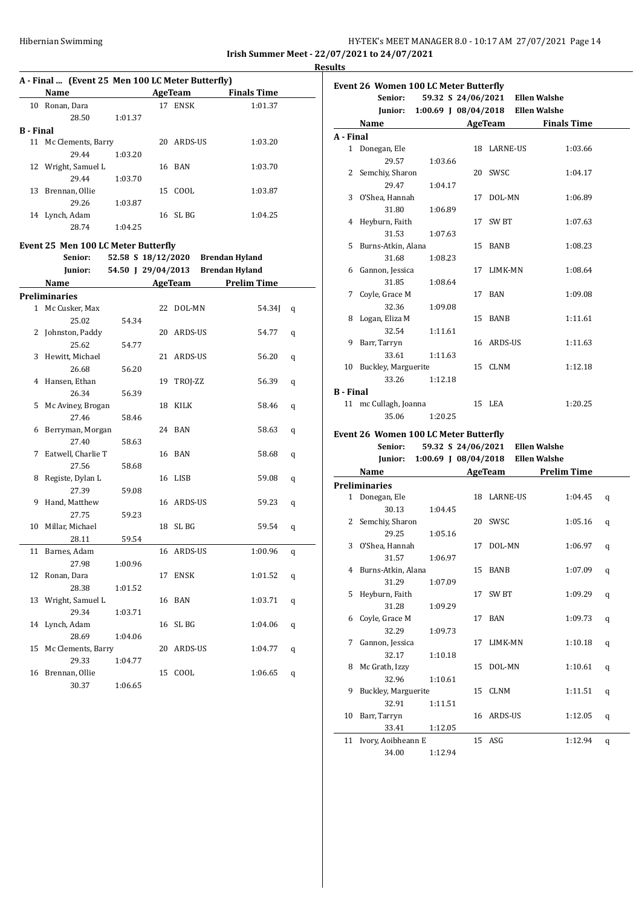| Hibernian Swimming | HY-TEK's MEET MANAGER 8.0 - 10:17 AM 27/07/2021 Page 14 |  |
|--------------------|---------------------------------------------------------|--|
|                    | Irish Summer Meet - 22/07/2021 to 24/07/2021            |  |

**Results**

|           | A - Final  (Event 25 Men 100 LC Meter Butterfly) |         |         |            |                                   |   |
|-----------|--------------------------------------------------|---------|---------|------------|-----------------------------------|---|
|           | Name                                             |         | AgeTeam |            | <b>Finals Time</b>                |   |
|           | 10 Ronan, Dara                                   |         |         | 17 ENSK    | 1:01.37                           |   |
|           | 28.50                                            | 1:01.37 |         |            |                                   |   |
| B - Final |                                                  |         |         |            |                                   |   |
| 11        | Mc Clements, Barry                               |         |         | 20 ARDS-US | 1:03.20                           |   |
|           | 29.44                                            | 1:03.20 |         |            |                                   |   |
|           | 12 Wright, Samuel L                              |         | 16      | BAN        | 1:03.70                           |   |
|           | 29.44                                            | 1:03.70 |         |            |                                   |   |
|           | 13 Brennan, Ollie                                |         |         | 15 COOL    | 1:03.87                           |   |
|           | 29.26                                            | 1:03.87 |         |            |                                   |   |
|           | 14 Lynch, Adam                                   |         |         | 16 SL BG   | 1:04.25                           |   |
|           | 28.74                                            | 1:04.25 |         |            |                                   |   |
|           | <b>Event 25 Men 100 LC Meter Butterfly</b>       |         |         |            |                                   |   |
|           | Senior:                                          |         |         |            | 52.58 S 18/12/2020 Brendan Hyland |   |
|           | Junior:                                          |         |         |            | 54.50 J 29/04/2013 Brendan Hyland |   |
|           |                                                  |         |         |            |                                   |   |
|           | Name                                             |         |         | AgeTeam    | <b>Prelim Time</b>                |   |
|           | <b>Preliminaries</b>                             |         |         |            |                                   |   |
|           | 1 Mc Cusker, Max                                 |         | 22      | DOL-MN     | 54.34J                            | q |
|           | 25.02                                            | 54.34   |         |            |                                   |   |
| 2         | Johnston, Paddy                                  |         |         | 20 ARDS-US | 54.77                             | q |
|           | 25.62                                            | 54.77   |         |            |                                   |   |
| 3         | Hewitt, Michael                                  |         | 21      | ARDS-US    | 56.20                             | q |
|           | 26.68                                            | 56.20   |         |            |                                   |   |
| 4         | Hansen, Ethan                                    |         | 19      | TROJ-ZZ    | 56.39                             | q |
|           | 26.34                                            | 56.39   |         |            |                                   |   |
| 5         | Mc Aviney, Brogan                                |         | 18      | KILK       | 58.46                             | q |
|           | 27.46                                            | 58.46   |         |            |                                   |   |
| 6         | Berryman, Morgan                                 |         |         | 24 BAN     | 58.63                             | q |
|           | 27.40                                            | 58.63   |         |            |                                   |   |
| 7         | Eatwell, Charlie T                               |         |         | 16 BAN     | 58.68                             | q |
|           | 27.56                                            | 58.68   |         |            |                                   |   |
| 8         | Registe, Dylan L                                 |         | 16      | LISB       | 59.08                             | q |
|           | 27.39                                            | 59.08   |         |            |                                   |   |
| 9         | Hand, Matthew                                    |         |         | 16 ARDS-US | 59.23                             | q |
|           | 27.75                                            | 59.23   |         |            |                                   |   |
| 10        | Millar, Michael                                  |         |         | 18 SL BG   | 59.54                             | q |
|           | 28.11                                            | 59.54   |         |            |                                   |   |
|           | 11 Barnes, Adam                                  |         |         | 16 ARDS-US | 1:00.96                           | q |
|           | 27.98                                            | 1:00.96 |         |            |                                   |   |
| 12        | Ronan, Dara                                      |         | 17      | ENSK       | 1:01.52                           | q |
|           | 28.38                                            | 1:01.52 |         |            |                                   |   |
| 13        | Wright, Samuel L                                 |         | 16      | BAN        | 1:03.71                           | q |
|           | 29.34                                            | 1:03.71 |         |            |                                   |   |
| 14        | Lynch, Adam                                      |         | 16      | SL BG      | 1:04.06                           | q |
|           | 28.69                                            | 1:04.06 |         |            |                                   |   |
| 15        | Mc Clements, Barry                               |         | 20      | ARDS-US    | 1:04.77                           | q |
|           | 29.33                                            | 1:04.77 |         |            |                                   |   |
| 16        | Brennan, Ollie                                   |         | 15      | COOL       | 1:06.65                           | q |
|           | 30.37                                            | 1:06.65 |         |            |                                   |   |

| Senior:                               |         | 59.32 S 24/06/2021 Ellen Walshe           |                    |
|---------------------------------------|---------|-------------------------------------------|--------------------|
|                                       |         | Junior: 1:00.69 J 08/04/2018 Ellen Walshe |                    |
| Name                                  |         | <b>AgeTeam</b>                            | <b>Finals Time</b> |
| A - Final                             |         |                                           |                    |
| 1 Donegan, Ele                        |         | 18 LARNE-US                               | 1:03.66            |
| 29.57                                 | 1:03.66 |                                           |                    |
| 2 Semchiy, Sharon                     |         | 20 SWSC                                   | 1:04.17            |
| 29.47                                 | 1:04.17 |                                           |                    |
| 3 O'Shea, Hannah                      |         | 17 DOL-MN                                 | 1:06.89            |
| 31.80                                 | 1:06.89 |                                           |                    |
| 4 Heyburn, Faith                      |         | 17 SW BT                                  | 1:07.63            |
| 31.53                                 | 1:07.63 |                                           |                    |
| 5 Burns-Atkin, Alana                  |         | 15 BANB                                   | 1:08.23            |
| 31.68                                 | 1:08.23 |                                           |                    |
| 6 Gannon, Jessica                     |         | 17 LIMK-MN                                | 1:08.64            |
| 31.85                                 | 1:08.64 |                                           |                    |
| 7 Coyle, Grace M                      |         | 17 BAN                                    | 1:09.08            |
| 32.36                                 | 1:09.08 |                                           |                    |
| 8 Logan, Eliza M                      |         | 15 BANB                                   | 1:11.61            |
| 32.54                                 | 1:11.61 |                                           |                    |
| 9 Barr, Tarryn                        |         | 16 ARDS-US                                | 1:11.63            |
| 33.61                                 | 1:11.63 |                                           |                    |
| 10 Buckley, Marguerite                |         | 15 CLNM                                   | 1:12.18            |
| 33.26                                 | 1:12.18 |                                           |                    |
| <b>B</b> - Final                      |         |                                           |                    |
| 11 mc Cullagh, Joanna                 |         | 15 LEA                                    | 1:20.25            |
| 35.06                                 | 1:20.25 |                                           |                    |
| Event 26 Women 100 LC Meter Butterfly |         |                                           |                    |

**Senior: 59.32 S 24/06/2021 Ellen Walshe Junior: 1:00.69 J 08/04/2018 Ellen Walshe**

|   | Name                  |         |    | AgeTeam     | <b>Prelim Time</b> |   |
|---|-----------------------|---------|----|-------------|--------------------|---|
|   | <b>Preliminaries</b>  |         |    |             |                    |   |
|   | 1 Donegan, Ele        |         |    | 18 LARNE-US | 1:04.45            | q |
|   | 30.13                 | 1:04.45 |    |             |                    |   |
|   | 2 Semchiy, Sharon     |         |    | 20 SWSC     | 1:05.16            | q |
|   | 29.25                 | 1:05.16 |    |             |                    |   |
|   | 3 O'Shea, Hannah      |         | 17 | DOL-MN      | 1:06.97            | q |
|   | 31.57                 | 1:06.97 |    |             |                    |   |
|   | 4 Burns-Atkin, Alana  |         |    | 15 BANB     | 1:07.09            | q |
|   | 31.29                 | 1:07.09 |    |             |                    |   |
|   | 5 Heyburn, Faith      |         |    | 17 SW BT    | 1:09.29            | q |
|   | 31.28                 | 1:09.29 |    |             |                    |   |
| 6 | Coyle, Grace M        |         |    | 17 BAN      | 1:09.73            | q |
|   | 32.29                 | 1:09.73 |    |             |                    |   |
| 7 | Gannon, Jessica       |         |    | 17 LIMK-MN  | 1:10.18            | q |
|   | 32.17                 | 1:10.18 |    |             |                    |   |
| 8 | Mc Grath, Izzy        |         |    | 15 DOL-MN   | 1:10.61            | q |
|   | 32.96                 | 1:10.61 |    |             |                    |   |
| 9 | Buckley, Marguerite   |         |    | 15 CLNM     | 1:11.51            | q |
|   | 32.91                 | 1:11.51 |    |             |                    |   |
|   | 10 Barr, Tarryn       |         |    | 16 ARDS-US  | 1:12.05            | q |
|   | 33.41                 | 1:12.05 |    |             |                    |   |
|   | 11 Ivory, Aoibheann E |         |    | $15$ ASG    | 1:12.94            | q |
|   | 34.00                 | 1:12.94 |    |             |                    |   |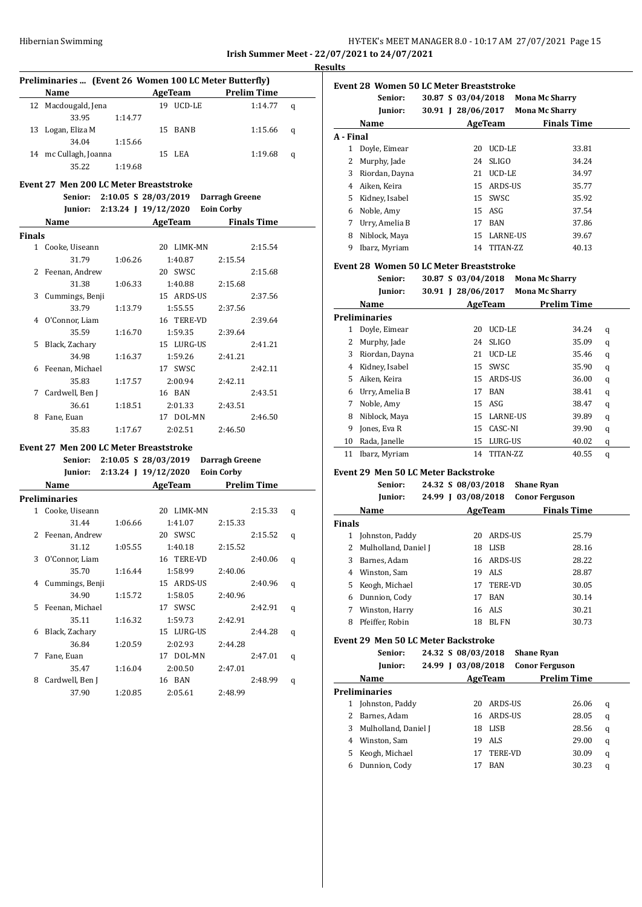## Hibernian Swimming HY-TEK's MEET MANAGER 8.0 - 10:17 AM 27/07/2021 Page 15 **Irish Summer Meet - 22/07/2021 to 24/07/2021**

**Event 28 Women 50 LC Meter Breaststroke**

**Preliminaries ... (Event 26 Women 100 LC Meter Butterfly) Name AgeTeam Prelim Time** 12 Macdougald, Jena 19 UCD-LE 1:14.77 q 33.95 1:14.77 13 Logan, Eliza M 15 BANB 1:15.66 q 34.04 1:15.66 14 mc Cullagh, Joanna 15 LEA 1:19.68 q 35.22 1:19.68 **Event 27 Men 200 LC Meter Breaststroke Senior: 2:10.05 S 28/03/2019 Darragh Greene Junior: 2:13.24 J 19/12/2020 Eoin Corby Name AgeTeam Finals Time Finals** 1 Cooke, Uiseann 20 LIMK-MN 2:15.54 31.79 1:06.26 1:40.87 2:15.54 2 Feenan, Andrew 20 SWSC 2:15.68 31.38 1:06.33 1:40.88 2:15.68 3 Cummings, Benji 15 ARDS-US 2:37.56 33.79 1:13.79 1:55.55 2:37.56 4 O'Connor, Liam 16 TERE-VD 2:39.64 35.59 1:16.70 1:59.35 2:39.64 5 Black, Zachary 15 LURG-US 2:41.21 34.98 1:16.37 1:59.26 2:41.21 6 Feenan, Michael 17 SWSC 2:42.11 35.83 1:17.57 2:00.94 2:42.11 7 Cardwell, Ben J 16 BAN 2:43.51 36.61 1:18.51 2:01.33 2:43.51 8 Fane, Euan 17 DOL-MN 2:46.50 35.83 1:17.67 2:02.51 2:46.50 **Event 27 Men 200 LC Meter Breaststroke Senior: 2:10.05 S 28/03/2019 Darragh Greene Junior: 2:13.24 J 19/12/2020 Eoin Corby Name Age Team Prelim Time Preliminaries** 1 Cooke, Uiseann 20 LIMK-MN 2:15.33 q 31.44 1:06.66 1:41.07 2:15.33 2 Feenan, Andrew 20 SWSC 2:15.52 q 31.12 1:05.55 1:40.18 2:15.52 3 O'Connor, Liam 16 TERE-VD 2:40.06 q 35.70 1:16.44 1:58.99 2:40.06 4 Cummings, Benji 15 ARDS-US 2:40.96 q 34.90 1:15.72 1:58.05 2:40.96 5 Feenan, Michael 17 SWSC 2:42.91 q 35.11 1:16.32 1:59.73 2:42.91

6 Black, Zachary 15 LURG-US 2:44.28 q 36.84 1:20.59 2:02.93 2:44.28 7 Fane, Euan 17 DOL-MN 2:47.01 q 35.47 1:16.04 2:00.50 2:47.01 8 Cardwell, Ben J 16 BAN 2:48.99 q 37.90 1:20.85 2:05.61 2:48.99

## **Junior: 30.91 J 28/06/2017 Mona Mc Sharry Name Age Team Finals Time A - Final** 1 Doyle, Eimear 20 UCD-LE 33.81 2 Murphy, Jade 24 SLIGO 34.24 3 Riordan, Dayna 21 UCD-LE 34.97 4 Aiken, Keira 15 ARDS-US 35.77

**Senior: 30.87 S 03/04/2018 Mona Mc Sharry**

| 5 Kidney, Isabel | 15 SWSC     | 35.92 |
|------------------|-------------|-------|
| 6 Noble, Amy     | 15 ASG      | 37.54 |
| 7 Urry, Amelia B | 17 BAN      | 37.86 |
| 8 Niblock, Maya  | 15 LARNE-US | 39.67 |
| Ibarz, Myriam    | 14 TITAN-ZZ | 40.13 |

#### **Event 28 Women 50 LC Meter Breaststroke**

**Senior: 30.87 S 03/04/2018 Mona Mc Sharry**

|    | Junior:        | 28/06/2017<br>30.91 I                      |              | <b>Mona Mc Sharry</b> |   |
|----|----------------|--------------------------------------------|--------------|-----------------------|---|
|    | Name           |                                            | AgeTeam      | <b>Prelim Time</b>    |   |
|    | Preliminaries  |                                            |              |                       |   |
| 1  | Doyle, Eimear  | 20                                         | UCD-LE       | 34.24                 | q |
| 2  | Murphy, Jade   | 24                                         | <b>SLIGO</b> | 35.09                 | q |
| 3  | Riordan, Dayna | 21                                         | UCD-LE       | 35.46                 | q |
| 4  | Kidney, Isabel | 15                                         | SWSC         | 35.90                 | q |
| 5  | Aiken, Keira   | 15                                         | ARDS-US      | 36.00                 | q |
| 6  | Urry, Amelia B | 17                                         | BAN          | 38.41                 | q |
| 7  | Noble, Amy     | 15                                         | ASG          | 38.47                 | q |
| 8  | Niblock, Maya  |                                            | 15 LARNE-US  | 39.89                 | q |
| 9  | Jones, Eva R   | 15                                         | CASC-NI      | 39.90                 | q |
| 10 | Rada, Janelle  | 15                                         | LURG-US      | 40.02                 | q |
| 11 | Ibarz, Myriam  | 14                                         | TITAN-ZZ     | 40.55                 | q |
|    |                | <b>Event 29 Men 50 LC Meter Backstroke</b> |              |                       |   |

|               | Senior:              |         | 24.32 S 08/03/2018 |                | <b>Shane Ryan</b> |                       |  |
|---------------|----------------------|---------|--------------------|----------------|-------------------|-----------------------|--|
|               | Junior:              | 24.99 I | 03/08/2018         |                |                   | <b>Conor Ferguson</b> |  |
|               | Name                 |         |                    | AgeTeam        |                   | <b>Finals Time</b>    |  |
| <b>Finals</b> |                      |         |                    |                |                   |                       |  |
| 1             | Johnston, Paddy      |         | 20                 | ARDS-US        |                   | 25.79                 |  |
| 2             | Mulholland, Daniel J |         | 18                 | LISB           |                   | 28.16                 |  |
| 3             | Barnes, Adam         |         |                    | 16 ARDS-US     |                   | 28.22                 |  |
| 4             | Winston, Sam         |         | 19                 | ALS            |                   | 28.87                 |  |
| 5             | Keogh, Michael       |         | 17                 | <b>TERE-VD</b> |                   | 30.05                 |  |
| 6             | Dunnion, Cody        |         | 17                 | <b>BAN</b>     |                   | 30.14                 |  |
| 7             | Winston, Harry       |         |                    | 16 ALS         |                   | 30.21                 |  |
| 8             | Pfeiffer, Robin      |         | 18                 | BL FN          |                   | 30.73                 |  |

## **Event 29 Men 50 LC Meter Backstroke**

|    | Senior:              |         | 24.32 S 08/03/2018 |                | <b>Shane Ryan</b>     |       |   |
|----|----------------------|---------|--------------------|----------------|-----------------------|-------|---|
|    | Junior:              | 24.99 I | 03/08/2018         |                | <b>Conor Ferguson</b> |       |   |
|    | Name                 |         |                    | AgeTeam        | <b>Prelim Time</b>    |       |   |
|    | <b>Preliminaries</b> |         |                    |                |                       |       |   |
|    | Johnston, Paddy      |         | 20                 | ARDS-US        |                       | 26.06 | q |
|    | Barnes, Adam         |         | 16                 | ARDS-US        |                       | 28.05 | q |
| 3  | Mulholland, Daniel J |         | 18                 | LISB           |                       | 28.56 | q |
| 4  | Winston, Sam         |         | 19                 | ALS            |                       | 29.00 | q |
| 5. | Keogh, Michael       |         |                    | <b>TERE-VD</b> |                       | 30.09 | q |
| 6  | Dunnion, Cody        |         | 17                 | <b>BAN</b>     |                       | 30.23 | q |

## **Results**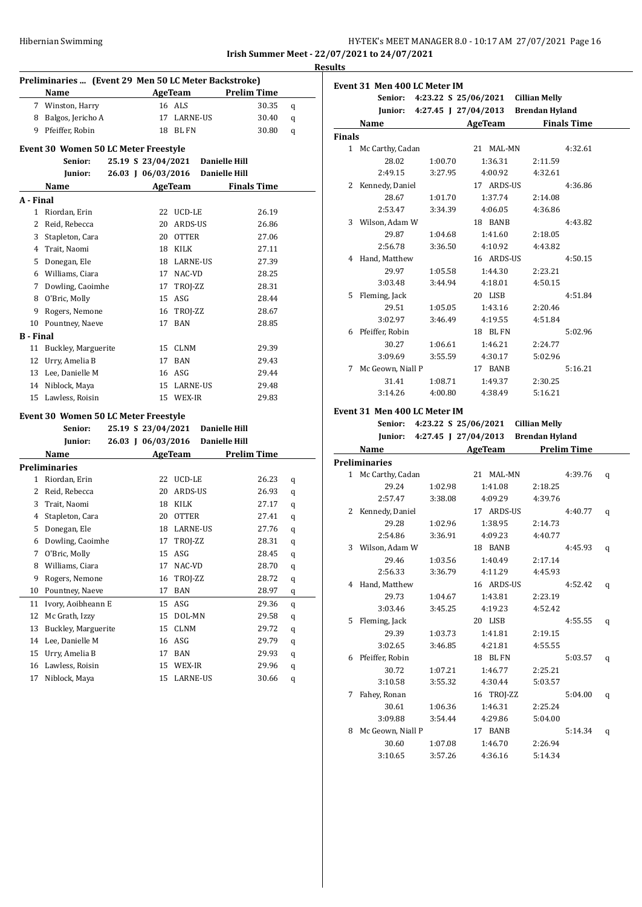|                           | HY-TEK's MEET MANAGER 8.0 - 10:17 AM 27/07/2021 Page 16<br>1.1.01.0 |
|---------------------------|---------------------------------------------------------------------|
| <b>Hibernian Swimming</b> |                                                                     |

**Senior: 4:23.22 S 25/06/2021 Cillian Melly**

**Event 31 Men 400 LC Meter IM**

**Irish Summer Meet - 22/07/2021 to 24/07/2021 Results**

| Preliminaries  (Event 29 Men 50 LC Meter Backstroke)  |                                             |  |                    |                       |                      |                    |   |
|-------------------------------------------------------|---------------------------------------------|--|--------------------|-----------------------|----------------------|--------------------|---|
|                                                       | Name                                        |  |                    | AgeTeam               |                      | <b>Prelim Time</b> |   |
|                                                       | 7 Winston, Harry                            |  |                    | 16 ALS                |                      | 30.35              | q |
| 8                                                     | Balgos, Jericho A                           |  | 17                 | <b>LARNE-US</b>       |                      | 30.40              | q |
|                                                       | 9 Pfeiffer, Robin                           |  |                    | 18 BL FN              |                      | 30.80              | q |
|                                                       | Event 30 Women 50 LC Meter Freestyle        |  |                    |                       |                      |                    |   |
| Senior:<br>25.19 S 23/04/2021<br><b>Danielle Hill</b> |                                             |  |                    |                       |                      |                    |   |
|                                                       | Junior:                                     |  | 26.03 J 06/03/2016 |                       | <b>Danielle Hill</b> |                    |   |
|                                                       | Name                                        |  |                    | AgeTeam               |                      | <b>Finals Time</b> |   |
| A - Final                                             |                                             |  |                    |                       |                      |                    |   |
| 1                                                     | Riordan, Erin                               |  | 22                 | UCD-LE                |                      | 26.19              |   |
| 2                                                     | Reid, Rebecca                               |  | 20                 | ARDS-US               |                      | 26.86              |   |
|                                                       | 3 Stapleton, Cara                           |  |                    | 20 OTTER              |                      | 27.06              |   |
|                                                       | 4 Trait, Naomi                              |  |                    | 18 KILK               |                      | 27.11              |   |
| 5                                                     | Donegan, Ele                                |  |                    | 18 LARNE-US           |                      | 27.39              |   |
|                                                       | 6 Williams, Ciara                           |  |                    | 17 NAC-VD             |                      | 28.25              |   |
|                                                       | 7 Dowling, Caoimhe                          |  | 17                 | TROJ-ZZ               |                      | 28.31              |   |
| 8                                                     | O'Bric, Molly                               |  | 15                 | ASG                   |                      | 28.44              |   |
| 9                                                     | Rogers, Nemone                              |  | 16                 | TROJ-ZZ               |                      | 28.67              |   |
| 10                                                    | Pountney, Naeve                             |  | 17                 | BAN                   |                      | 28.85              |   |
| <b>B</b> - Final                                      |                                             |  |                    |                       |                      |                    |   |
| 11                                                    | Buckley, Marguerite                         |  |                    | 15 CLNM               |                      | 29.39              |   |
| 12                                                    | Urry, Amelia B                              |  | 17                 | <b>BAN</b>            |                      | 29.43              |   |
| 13                                                    | Lee, Danielle M                             |  |                    | 16 ASG                |                      | 29.44              |   |
|                                                       | 14 Niblock, Maya                            |  |                    | 15 LARNE-US           |                      | 29.48              |   |
| 15                                                    | Lawless, Roisin                             |  |                    | 15 WEX-IR             |                      | 29.83              |   |
|                                                       | <b>Event 30 Women 50 LC Meter Freestyle</b> |  |                    |                       |                      |                    |   |
|                                                       | Senior:                                     |  | 25.19 S 23/04/2021 |                       | <b>Danielle Hill</b> |                    |   |
|                                                       | Junior:                                     |  | 26.03 J 06/03/2016 |                       | <b>Danielle Hill</b> |                    |   |
|                                                       | Name                                        |  |                    | AgeTeam               |                      | <b>Prelim Time</b> |   |
|                                                       | <b>Preliminaries</b>                        |  |                    |                       |                      |                    |   |
|                                                       | 1 Riordan, Erin                             |  | 22                 | UCD-LE                |                      | 26.23              | q |
|                                                       | 2 Reid, Rebecca                             |  | 20                 | ARDS-US               |                      | 26.93              | q |
|                                                       | 3 Trait, Naomi                              |  |                    | 18 KILK               |                      | 27.17              | q |
|                                                       | 4 Stapleton, Cara                           |  |                    | 20 OTTER              |                      | 27.41              | q |
|                                                       | 5 Donegan, Ele                              |  |                    | 18 LARNE-US           |                      | 27.76              | q |
| 6                                                     | Dowling, Caoimhe                            |  |                    | 17 TROJ-ZZ            |                      | 28.31              | q |
|                                                       | 7 O'Bric, Molly                             |  |                    | 15 ASG                |                      | 28.45              | q |
| 8                                                     | Williams, Ciara                             |  | 17                 | NAC-VD                |                      | 28.70              | q |
| 9                                                     | Rogers, Nemone                              |  | 16                 | TROJ-ZZ               |                      | 28.72              | q |
| 10                                                    | Pountney, Naeve                             |  | 17                 | BAN                   |                      | 28.97              | q |
| 11                                                    | Ivory, Aoibheann E                          |  | 15                 | $\mathsf{ASG}\xspace$ |                      | 29.36              | q |
| 12                                                    | Mc Grath, Izzy                              |  | 15                 | DOL-MN                |                      | 29.58              | q |
| 13                                                    | Buckley, Marguerite                         |  | 15                 | <b>CLNM</b>           |                      | 29.72              | q |
| 14                                                    | Lee, Danielle M                             |  | 16                 | ASG                   |                      | 29.79              | q |
| 15                                                    | Urry, Amelia B                              |  | 17                 | BAN                   |                      | 29.93              | q |
| 16                                                    | Lawless, Roisin                             |  | 15                 | WEX-IR                |                      | 29.96              | q |
| 17                                                    | Niblock, Maya                               |  | 15                 | LARNE-US              |                      | 30.66              | q |
|                                                       |                                             |  |                    |                       |                      |                    |   |

|               | Junior:                      |                    |                      | 4:27.45 J 27/04/2013 Brendan Hyland |                    |   |
|---------------|------------------------------|--------------------|----------------------|-------------------------------------|--------------------|---|
|               | Name                         |                    |                      | AgeTeam Finals Time                 |                    |   |
| <b>Finals</b> |                              |                    |                      |                                     |                    |   |
|               | 1 Mc Carthy, Cadan           |                    | 21 MAL-MN            |                                     | 4:32.61            |   |
|               | 28.02                        | 1:00.70            | 1:36.31              | 2:11.59                             |                    |   |
|               | 2:49.15                      | 3:27.95            | 4:00.92              | 4:32.61                             |                    |   |
|               | 2 Kennedy, Daniel            |                    | 17 ARDS-US           |                                     | 4:36.86            |   |
|               | 28.67                        | 1:01.70            | 1:37.74              | 2:14.08                             |                    |   |
|               | 2:53.47                      | 3:34.39            | 4:06.05              | 4:36.86                             |                    |   |
|               | 3 Wilson, Adam W             |                    | 18 BANB              |                                     | 4:43.82            |   |
|               | 29.87                        | 1:04.68            | 1:41.60              | 2:18.05                             |                    |   |
|               | 2:56.78                      | 3:36.50            | 4:10.92              | 4:43.82                             |                    |   |
|               | 4 Hand, Matthew              |                    | 16 ARDS-US           |                                     | 4:50.15            |   |
|               | 29.97                        | 1:05.58            | 1:44.30              | 2:23.21                             |                    |   |
|               | 3:03.48                      | 3:44.94            | 4:18.01              | 4:50.15                             |                    |   |
|               | 5 Fleming, Jack              |                    | 20 LISB              |                                     | 4:51.84            |   |
|               | 29.51                        | 1:05.05            | 1:43.16              | 2:20.46                             |                    |   |
|               | 3:02.97                      | 3:46.49            | 4:19.55              | 4:51.84                             |                    |   |
|               | 6 Pfeiffer, Robin            |                    | 18 BLFN              |                                     | 5:02.96            |   |
|               | 30.27                        | 1:06.61            | 1:46.21              | 2:24.77                             |                    |   |
|               | 3:09.69                      | 3:55.59            | 4:30.17              | 5:02.96                             |                    |   |
|               | 7 Mc Geown, Niall P          |                    | 17 BANB              |                                     | 5:16.21            |   |
|               | 31.41                        | 1:08.71            | 1:49.37              | 2:30.25                             |                    |   |
|               | 3:14.26                      | 4:00.80            | 4:38.49              | 5:16.21                             |                    |   |
|               |                              |                    |                      |                                     |                    |   |
|               | Event 31 Men 400 LC Meter IM |                    |                      |                                     |                    |   |
|               | Senior:                      |                    |                      | 4:23.22 S 25/06/2021 Cillian Melly  |                    |   |
|               |                              |                    |                      |                                     |                    |   |
|               | <b>Iunior:</b>               |                    | 4:27.45 J 27/04/2013 | <b>Brendan Hyland</b>               |                    |   |
|               | Name                         |                    | <b>AgeTeam</b>       |                                     | <b>Prelim Time</b> |   |
|               | <b>Preliminaries</b>         |                    |                      |                                     |                    |   |
|               | 1 Mc Carthy, Cadan           |                    | 21 MAL-MN            |                                     | 4:39.76            | q |
|               | 29.24                        | 1:02.98            | 1:41.08              | 2:18.25                             |                    |   |
|               | 2:57.47                      | 3:38.08            | 4:09.29              | 4:39.76                             |                    |   |
|               | 2 Kennedy, Daniel            |                    | 17 ARDS-US           |                                     | 4:40.77            | q |
|               | 29.28                        | 1:02.96            | 1:38.95              | 2:14.73                             |                    |   |
|               | 2:54.86                      | 3:36.91            | 4:09.23              | 4:40.77                             |                    |   |
|               | 3 Wilson, Adam W             |                    | 18 BANB              |                                     | 4:45.93            | q |
|               | 29.46                        | 1:03.56            | 1:40.49              | 2:17.14                             |                    |   |
|               | 2:56.33                      | 3:36.79            | 4:11.29              | 4:45.93                             |                    |   |
|               | 4 Hand, Matthew              |                    | 16 ARDS-US           |                                     | 4:52.42            | q |
|               | 29.73                        | 1:04.67            | 1:43.81              | 2:23.19                             |                    |   |
|               | 3:03.46                      | 3:45.25            | 4:19.23              | 4:52.42                             |                    |   |
| 5.            | Fleming, Jack                |                    | 20 LISB              |                                     | 4:55.55            | q |
|               | 29.39                        | 1:03.73            | 1:41.81              | 2:19.15                             |                    |   |
|               | 3:02.65                      | 3:46.85            | 4:21.81              | 4:55.55                             |                    |   |
|               | 6 Pfeiffer, Robin            |                    | 18 BLFN              |                                     | 5:03.57            | q |
|               | 30.72                        | 1:07.21            | 1:46.77              | 2:25.21                             |                    |   |
|               | 3:10.58                      | 3:55.32            | 4:30.44              | 5:03.57                             |                    |   |
| 7             | Fahey, Ronan                 |                    | 16 TROJ-ZZ           |                                     | 5:04.00            | q |
|               | 30.61                        | 1:06.36            | 1:46.31              | 2:25.24                             |                    |   |
|               | 3:09.88                      | 3:54.44            | 4:29.86              | 5:04.00                             |                    |   |
| 8             | Mc Geown, Niall P            |                    | 17 BANB              |                                     | 5:14.34            | q |
|               | 30.60<br>3:10.65             | 1:07.08<br>3:57.26 | 1:46.70<br>4:36.16   | 2:26.94<br>5:14.34                  |                    |   |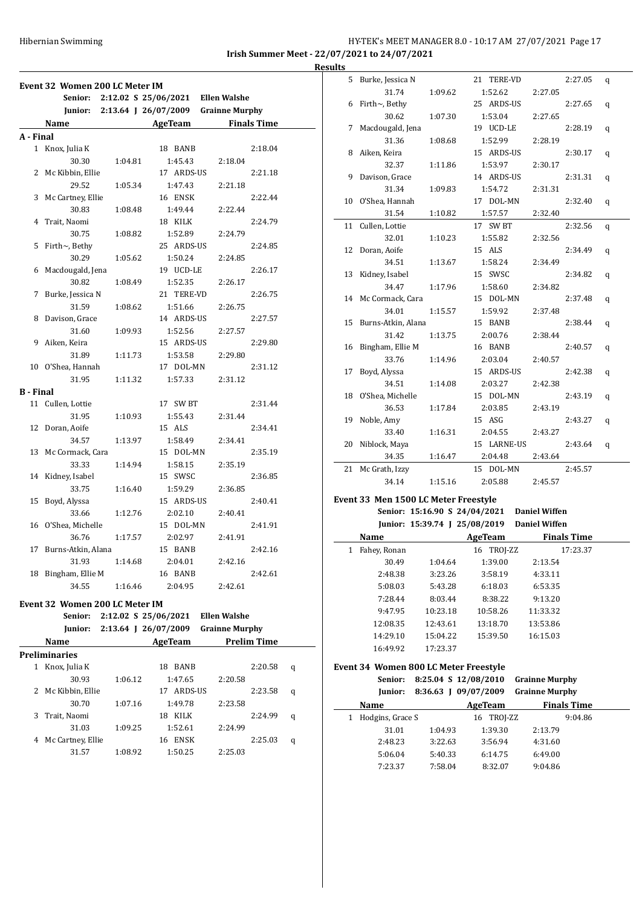## Hibernian Swimming HY-TEK's MEET MANAGER 8.0 - 10:17 AM 27/07/2021 Page 17 **Irish Summer Meet - 22/07/2021 to 24/07/2021**

**Event 32 Women 200 LC Meter IM Senior: 2:12.02 S 25/06/2021 Ellen Walshe Junior: 2:13.64 J 26/07/2009 Grainne Murphy Name Age Team Finals Time A - Final** 1 Knox, Julia K 18 BANB 2:18.04 30.30 1:04.81 1:45.43 2:18.04 2 Mc Kibbin, Ellie 17 ARDS-US 2:21.18 29.52 1:05.34 1:47.43 2:21.18 3 Mc Cartney, Ellie 16 ENSK 2:22.44 30.83 1:08.48 1:49.44 2:22.44 4 Trait, Naomi 18 KILK 2:24.79 30.75 1:08.82 1:52.89 2:24.79 5 Firth~, Bethy 25 ARDS-US 2:24.85 30.29 1:05.62 1:50.24 2:24.85 6 Macdougald, Jena 19 UCD-LE 2:26.17 30.82 1:08.49 1:52.35 2:26.17 7 Burke, Jessica N 21 TERE-VD 2:26.75 31.59 1:08.62 1:51.66 2:26.75 8 Davison, Grace 14 ARDS-US 2:27.57 31.60 1:09.93 1:52.56 2:27.57 9 Aiken, Keira 15 ARDS-US 2:29.80 31.89 1:11.73 1:53.58 2:29.80 10 O'Shea, Hannah 17 DOL-MN 2:31.12 31.95 1:11.32 1:57.33 2:31.12 **B - Final** 11 Cullen, Lottie 17 SW BT 2:31.44 31.95 1:10.93 1:55.43 2:31.44 12 Doran, Aoife 15 ALS 2:34.41 34.57 1:13.97 1:58.49 2:34.41 13 Mc Cormack, Cara 15 DOL-MN 2:35.19 33.33 1:14.94 1:58.15 2:35.19 14 Kidney, Isabel 15 SWSC 2:36.85 33.75 1:16.40 1:59.29 2:36.85 15 Boyd, Alyssa 15 ARDS-US 2:40.41 33.66 1:12.76 2:02.10 2:40.41 16 O'Shea, Michelle 15 DOL-MN 2:41.91 36.76 1:17.57 2:02.97 2:41.91 17 Burns-Atkin, Alana 15 BANB 2:42.16 31.93 1:14.68 2:04.01 2:42.16 18 Bingham, Ellie M 16 BANB 2:42.61 34.55 1:16.46 2:04.95 2:42.61 **Event 32 Women 200 LC Meter IM Senior: 2:12.02 S 25/06/2021 Ellen Walshe Junior: 2:13.64 J 26/07/2009 Grainne Murphy Name AgeTeam Prelim Time Preliminaries** 1 Knox, Julia K 18 BANB 2:20.58 q 30.93 1:06.12 1:47.65 2:20.58 2 Mc Kibbin, Ellie 17 ARDS-US 2:23.58 q 30.70 1:07.16 1:49.78 2:23.58 3 Trait, Naomi 18 KILK 2:24.99 q 31.03 1:09.25 1:52.61 2:24.99 4 Mc Cartney, Ellie 16 ENSK 2:25.03 q 31.57 1:08.92 1:50.25 2:25.03

| <b>Results</b> |                        |         |             |         |         |   |
|----------------|------------------------|---------|-------------|---------|---------|---|
|                | 5 Burke, Jessica N     |         | 21 TERE-VD  |         | 2:27.05 | q |
|                | 31.74                  | 1:09.62 | 1:52.62     | 2:27.05 |         |   |
|                | 6 Firth $\sim$ , Bethy |         | 25 ARDS-US  |         | 2:27.65 | q |
|                | 30.62                  | 1:07.30 | 1:53.04     | 2:27.65 |         |   |
| 7              | Macdougald, Jena       |         | 19 UCD-LE   |         | 2:28.19 | q |
|                | 31.36                  | 1:08.68 | 1:52.99     | 2:28.19 |         |   |
|                | 8 Aiken, Keira         |         | 15 ARDS-US  |         | 2:30.17 | q |
|                | 32.37                  | 1:11.86 | 1:53.97     | 2:30.17 |         |   |
|                | 9 Davison, Grace       |         | 14 ARDS-US  |         | 2:31.31 | q |
|                | 31.34                  | 1:09.83 | 1:54.72     | 2:31.31 |         |   |
|                | 10 O'Shea, Hannah      |         | 17 DOL-MN   |         | 2:32.40 | q |
|                | 31.54                  | 1:10.82 | 1:57.57     | 2:32.40 |         |   |
|                | 11 Cullen, Lottie      |         | 17 SW BT    |         | 2:32.56 | q |
|                | 32.01                  | 1:10.23 | 1:55.82     | 2:32.56 |         |   |
|                | 12 Doran, Aoife        |         | 15 ALS      |         | 2:34.49 | q |
|                | 34.51                  | 1:13.67 | 1:58.24     | 2:34.49 |         |   |
|                | 13 Kidney, Isabel      |         | 15 SWSC     |         | 2:34.82 | q |
|                | 34.47                  | 1:17.96 | 1:58.60     | 2:34.82 |         |   |
|                | 14 Mc Cormack, Cara    |         | 15 DOL-MN   |         | 2:37.48 | q |
|                | 34.01                  | 1:15.57 | 1:59.92     | 2:37.48 |         |   |
|                | 15 Burns-Atkin, Alana  |         | 15 BANB     |         | 2:38.44 | q |
|                | 31.42                  | 1:13.75 | 2:00.76     | 2:38.44 |         |   |
|                | 16 Bingham, Ellie M    |         | 16 BANB     |         | 2:40.57 | q |
|                | 33.76                  | 1:14.96 | 2:03.04     | 2:40.57 |         |   |
| 17             | Boyd, Alyssa           |         | 15 ARDS-US  |         | 2:42.38 | q |
|                | 34.51                  | 1:14.08 | 2:03.27     | 2:42.38 |         |   |
|                | 18 O'Shea, Michelle    |         | 15 DOL-MN   |         | 2:43.19 | q |
|                | 36.53                  | 1:17.84 | 2:03.85     | 2:43.19 |         |   |
|                | 19 Noble, Amy          |         | 15 ASG      |         | 2:43.27 | q |
|                | 33.40                  | 1:16.31 | 2:04.55     | 2:43.27 |         |   |
|                | 20 Niblock, Maya       |         | 15 LARNE-US |         | 2:43.64 | q |
|                | 34.35                  | 1:16.47 | 2:04.48     | 2:43.64 |         |   |
| 21             | Mc Grath, Izzy         |         | 15 DOL-MN   |         | 2:45.57 |   |
|                | 34.14                  | 1:15.16 | 2:05.88     | 2:45.57 |         |   |
|                |                        |         |             |         |         |   |

#### **Event 33 Men 1500 LC Meter Freestyle Senior: 15:16.90 S 24/04/2021 Daniel Wiffen**

|                   | Seniof: 15:10.90 S 44/04/4041 |            | Damer whiteh         |  |
|-------------------|-------------------------------|------------|----------------------|--|
|                   | Junior: 15:39.74   25/08/2019 |            | <b>Daniel Wiffen</b> |  |
| Name              |                               | AgeTeam    | <b>Finals Time</b>   |  |
| Fahey, Ronan<br>1 |                               | 16 TROJ-ZZ | 17:23.37             |  |
| 30.49             | 1:04.64                       | 1:39.00    | 2:13.54              |  |
| 2:48.38           | 3:23.26                       | 3:58.19    | 4:33.11              |  |
| 5:08.03           | 5:43.28                       | 6:18.03    | 6:53.35              |  |
| 7:28.44           | 8:03.44                       | 8:38.22    | 9:13.20              |  |
| 9:47.95           | 10:23.18                      | 10:58.26   | 11:33.32             |  |
| 12:08.35          | 12:43.61                      | 13:18.70   | 13:53.86             |  |
| 14:29.10          | 15:04.22                      | 15:39.50   | 16:15.03             |  |
| 16:49.92          | 17:23.37                      |            |                      |  |
|                   |                               |            |                      |  |

#### **Event 34 Women 800 LC Meter Freestyle**

| prent o r women ovo be meter ricestyle |  |  |  |  |  |  |  |
|----------------------------------------|--|--|--|--|--|--|--|
|                                        |  |  |  |  |  |  |  |
|                                        |  |  |  |  |  |  |  |
|                                        |  |  |  |  |  |  |  |
|                                        |  |  |  |  |  |  |  |
|                                        |  |  |  |  |  |  |  |
|                                        |  |  |  |  |  |  |  |
|                                        |  |  |  |  |  |  |  |
|                                        |  |  |  |  |  |  |  |
|                                        |  |  |  |  |  |  |  |